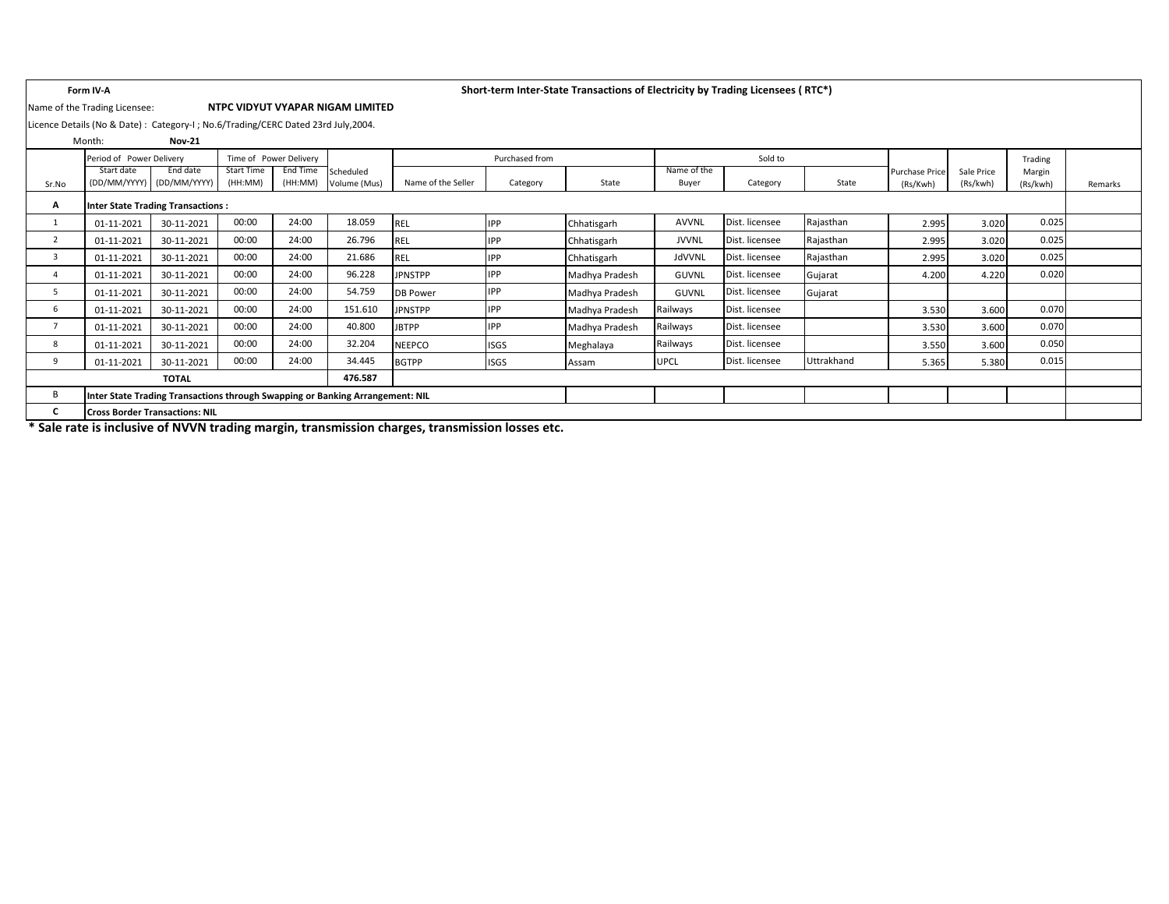### Name of the Trading Licensee: **NTPC VIDYUT VYAPAR NIGAM LIMITED**

## **Form IV-A Short-term Inter-State Transactions of Electricity by Trading Licensees ( RTC\*)**

Licence Details (No & Date) : Category-I ; No.6/Trading/CERC Dated 23rd July,2004.

|                | Month:                     | <b>Nov-21</b>                                                                 |                       |                        |                           |                    |                |                |                      |                |            |                                   |                        |                    |         |
|----------------|----------------------------|-------------------------------------------------------------------------------|-----------------------|------------------------|---------------------------|--------------------|----------------|----------------|----------------------|----------------|------------|-----------------------------------|------------------------|--------------------|---------|
|                | Period of Power Delivery   |                                                                               |                       | Time of Power Delivery |                           |                    | Purchased from |                |                      | Sold to        |            |                                   |                        | Trading            |         |
| Sr.No          | Start date<br>(DD/MM/YYYY) | End date<br>(DD/MM/YYYY)                                                      | Start Time<br>(HH:MM) | End Time<br>(HH:MM)    | Scheduled<br>Volume (Mus) | Name of the Seller | Category       | State          | Name of the<br>Buyer | Category       | State      | <b>Purchase Price</b><br>(Rs/Kwh) | Sale Price<br>(Rs/kwh) | Margin<br>(Rs/kwh) | Remarks |
| А              |                            | <b>Inter State Trading Transactions:</b>                                      |                       |                        |                           |                    |                |                |                      |                |            |                                   |                        |                    |         |
|                | 01-11-2021                 | 30-11-2021                                                                    | 00:00                 | 24:00                  | 18.059                    | <b>REL</b>         | <b>IPP</b>     | Chhatisgarh    | <b>AVVNL</b>         | Dist. licensee | Rajasthan  | 2.995                             | 3.020                  | 0.025              |         |
| $\overline{2}$ | 01-11-2021                 | 30-11-2021                                                                    | 00:00                 | 24:00                  | 26.796                    | <b>REL</b>         | <b>IPP</b>     | Chhatisgarh    | <b>JVVNL</b>         | Dist. licensee | Rajasthan  | 2.995                             | 3.020                  | 0.025              |         |
| 3              | 01-11-2021                 | 30-11-2021                                                                    | 00:00                 | 24:00                  | 21.686                    | <b>REL</b>         | <b>IPP</b>     | Chhatisgarh    | JdVVNL               | Dist. licensee | Rajasthan  | 2.995                             | 3.020                  | 0.025              |         |
| 4              | 01-11-2021                 | 30-11-2021                                                                    | 00:00                 | 24:00                  | 96.228                    | <b>JPNSTPP</b>     | <b>IPP</b>     | Madhya Pradesh | <b>GUVNL</b>         | Dist. licensee | Gujarat    | 4.200                             | 4.220                  | 0.020              |         |
| 5              | 01-11-2021                 | 30-11-2021                                                                    | 00:00                 | 24:00                  | 54.759                    | <b>DB Power</b>    | <b>IPP</b>     | Madhya Pradesh | <b>GUVNL</b>         | Dist. licensee | Gujarat    |                                   |                        |                    |         |
| 6              | 01-11-2021                 | 30-11-2021                                                                    | 00:00                 | 24:00                  | 151.610                   | <b>JPNSTPP</b>     | <b>IPP</b>     | Madhya Pradesh | Railways             | Dist. licensee |            | 3.530                             | 3.600                  | 0.070              |         |
| 7              | 01-11-2021                 | 30-11-2021                                                                    | 00:00                 | 24:00                  | 40.800                    | <b>JBTPP</b>       | <b>IPP</b>     | Madhya Pradesh | Railways             | Dist. licensee |            | 3.530                             | 3.600                  | 0.070              |         |
| 8              | 01-11-2021                 | 30-11-2021                                                                    | 00:00                 | 24:00                  | 32.204                    | <b>NEEPCO</b>      | <b>ISGS</b>    | Meghalaya      | Railways             | Dist. licensee |            | 3.550                             | 3.600                  | 0.050              |         |
| 9              | 01-11-2021                 | 30-11-2021                                                                    | 00:00                 | 24:00                  | 34.445                    | <b>BGTPP</b>       | <b>ISGS</b>    | Assam          | <b>UPCL</b>          | Dist. licensee | Uttrakhand | 5.365                             | 5.380                  | 0.015              |         |
|                |                            | <b>TOTAL</b>                                                                  |                       |                        | 476.587                   |                    |                |                |                      |                |            |                                   |                        |                    |         |
| B              |                            | Inter State Trading Transactions through Swapping or Banking Arrangement: NIL |                       |                        |                           |                    |                |                |                      |                |            |                                   |                        |                    |         |
| C              |                            | <b>Cross Border Transactions: NIL</b>                                         |                       |                        |                           |                    |                |                |                      |                |            |                                   |                        |                    |         |

**\* Sale rate is inclusive of NVVN trading margin, transmission charges, transmission losses etc.**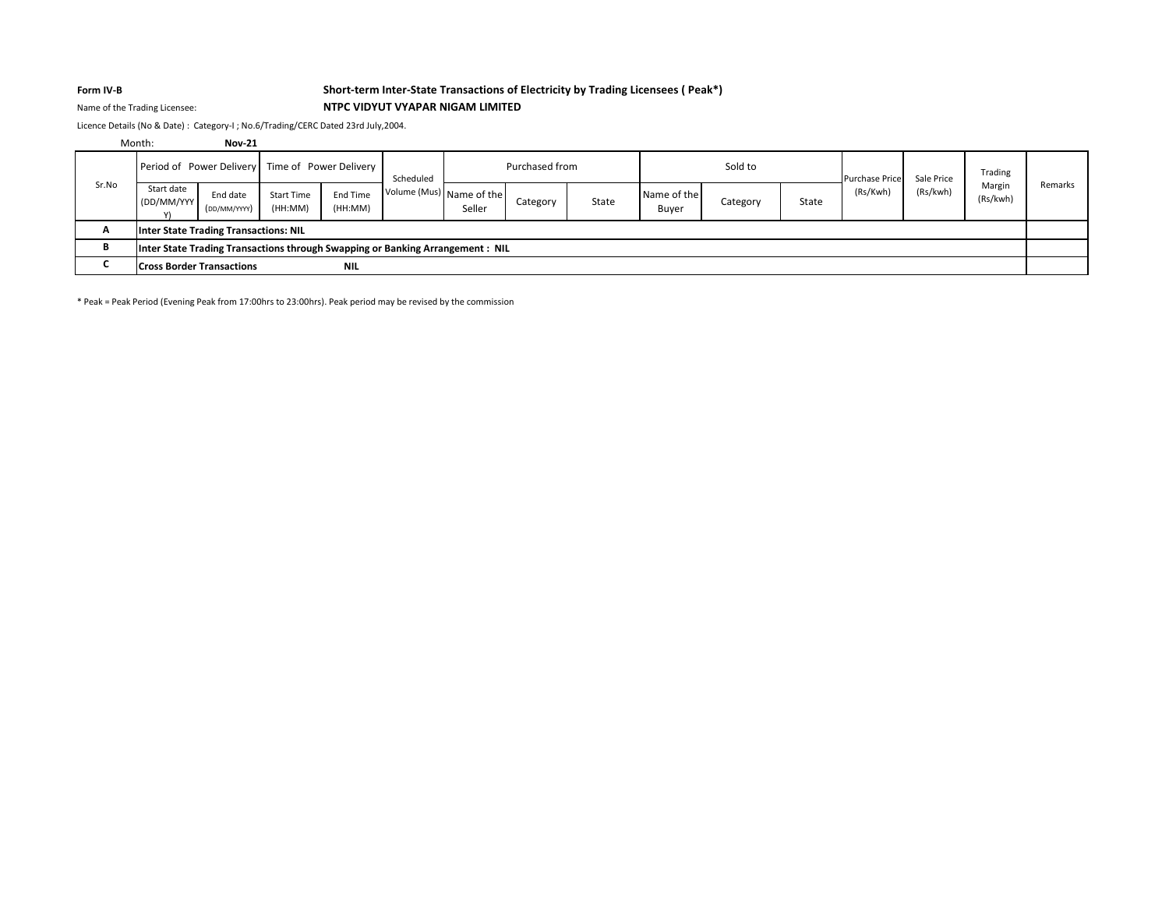## **Form IV-B Short-term Inter-State Transactions of Electricity by Trading Licensees ( Peak\*)** Name of the Trading Licensee: **NTPC VIDYUT VYAPAR NIGAM LIMITED**

Licence Details (No & Date) : Category-I ; No.6/Trading/CERC Dated 23rd July,2004.

|       | Month:                                                                         | <b>Nov-21</b>            |                              |                     |                          |        |                |       |                      |          |       |                       |            |                    |         |
|-------|--------------------------------------------------------------------------------|--------------------------|------------------------------|---------------------|--------------------------|--------|----------------|-------|----------------------|----------|-------|-----------------------|------------|--------------------|---------|
|       | Period of Power Delivery Time of Power Delivery                                |                          |                              |                     | Scheduled                |        | Purchased from |       |                      | Sold to  |       | <b>Purchase Price</b> | Sale Price | Trading            |         |
| Sr.No | Start date<br>(DD/MM/YYY)                                                      | End date<br>(DD/MM/YYYY) | <b>Start Time</b><br>(HH:MM) | End Time<br>(HH:MM) | Volume (Mus) Name of the | Seller | Category       | State | Name of the<br>Buyer | Category | State | (Rs/Kwh)              | (Rs/kwh)   | Margin<br>(Rs/kwh) | Remarks |
| A     | Inter State Trading Transactions: NIL                                          |                          |                              |                     |                          |        |                |       |                      |          |       |                       |            |                    |         |
| в     | Inter State Trading Transactions through Swapping or Banking Arrangement : NIL |                          |                              |                     |                          |        |                |       |                      |          |       |                       |            |                    |         |
|       | <b>Cross Border Transactions</b>                                               |                          |                              | <b>NIL</b>          |                          |        |                |       |                      |          |       |                       |            |                    |         |

\* Peak = Peak Period (Evening Peak from 17:00hrs to 23:00hrs). Peak period may be revised by the commission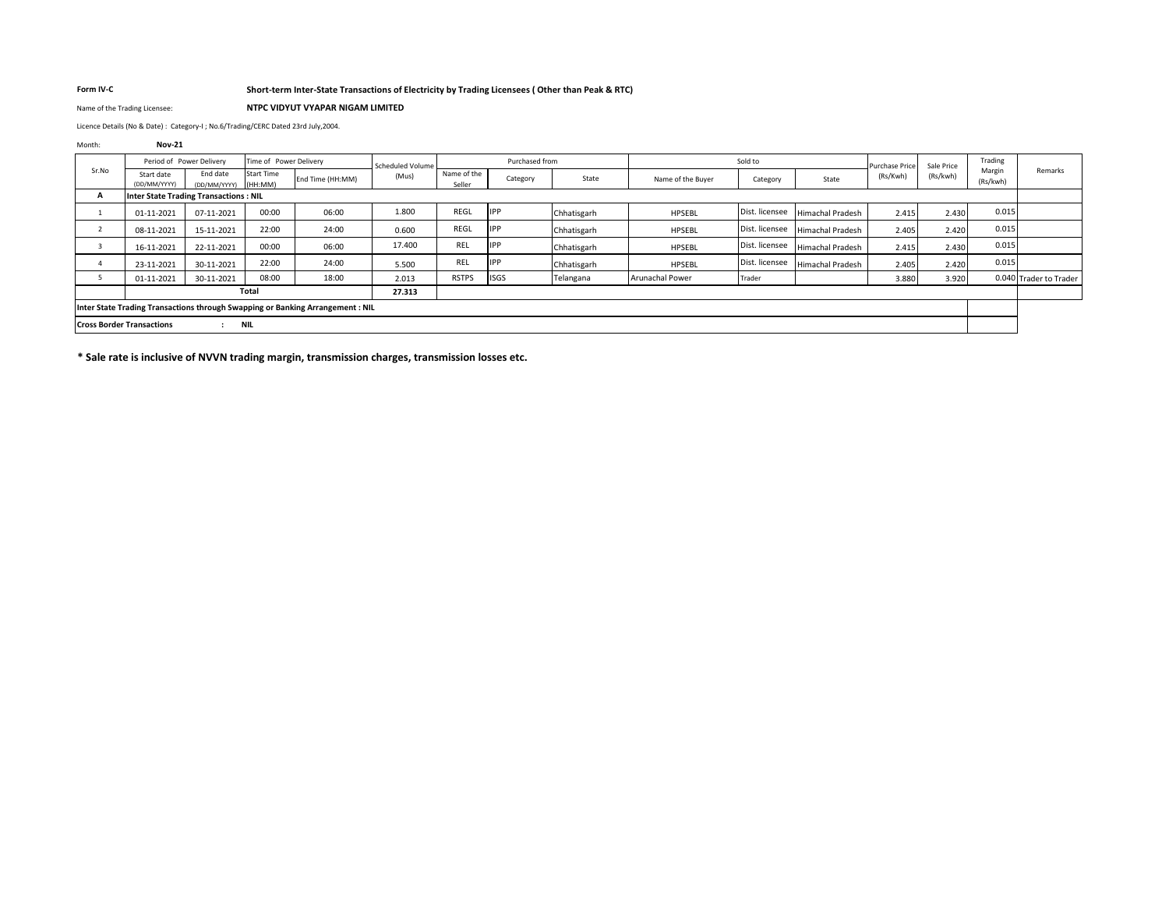### **Form IV-C Short-term Inter-State Transactions of Electricity by Trading Licensees ( Other than Peak & RTC)**

Name of the Trading Licensee: **NTPC VIDYUT VYAPAR NIGAM LIMITED**

Licence Details (No & Date) : Category-I ; No.6/Trading/CERC Dated 23rd July,2004.

| Month:         | <b>Nov-21</b>                    |                                              |                        |                                                                                |                  |                       |                |              |                        |                |                         |                |            |                    |                        |
|----------------|----------------------------------|----------------------------------------------|------------------------|--------------------------------------------------------------------------------|------------------|-----------------------|----------------|--------------|------------------------|----------------|-------------------------|----------------|------------|--------------------|------------------------|
|                |                                  | Period of Power Delivery                     | Time of Power Delivery |                                                                                | Scheduled Volume |                       | Purchased from |              |                        | Sold to        |                         | Purchase Price | Sale Price | Trading            |                        |
| Sr.No          | Start date<br>(DD/MM/YYYY)       | End date<br>(DD/MM/YYYY)                     | Start Time<br>(HH:MM)  | End Time (HH:MM)                                                               | (Mus)            | Name of the<br>Seller | Category       | State        | Name of the Buver      | Category       | State                   | (Rs/Kwh)       | (Rs/kwh)   | Margin<br>(Rs/kwh) | Remarks                |
| А              |                                  | <b>Inter State Trading Transactions: NIL</b> |                        |                                                                                |                  |                       |                |              |                        |                |                         |                |            |                    |                        |
|                | 01-11-2021                       | 07-11-2021                                   | 00:00                  | 06:00                                                                          | 1.800            | REGL                  | IPP            | IChhatisgarh | HPSEBL                 | Dist. licensee | <b>Himachal Pradesh</b> | 2.415          | 2.430      | 0.015              |                        |
|                | 08-11-2021                       | 15-11-2021                                   | 22:00                  | 24:00                                                                          | 0.600            | REGL                  | IPP            | Chhatisgarh  | HPSEBL                 | Dist. licensee | <b>Himachal Pradesh</b> | 2.405          | 2.420      | 0.015              |                        |
| $\overline{3}$ | 16-11-2021                       | 22-11-2021                                   | 00:00                  | 06:00                                                                          | 17.400           | REL                   | IPP            | Chhatisgarh  | HPSEBL                 | Dist. licensee | <b>Himachal Pradesh</b> | 2.415          | 2.430      | 0.015              |                        |
|                | 23-11-2021                       | 30-11-2021                                   | 22:00                  | 24:00                                                                          | 5.500            | REL                   | IPP            | Chhatisgarh  | HPSEBL                 | Dist. licensee | <b>Himachal Pradesh</b> | 2.405          | 2.420      | 0.015              |                        |
|                | 01-11-2021                       | 30-11-2021                                   | 08:00                  | 18:00                                                                          | 2.013            | <b>RSTPS</b>          | <b>ISGS</b>    | Telangana    | <b>Arunachal Power</b> | Trader         |                         | 3.880          | 3.920      |                    | 0.040 Trader to Trader |
|                |                                  |                                              | Total                  |                                                                                | 27.313           |                       |                |              |                        |                |                         |                |            |                    |                        |
|                |                                  |                                              |                        | Inter State Trading Transactions through Swapping or Banking Arrangement : NIL |                  |                       |                |              |                        |                |                         |                |            |                    |                        |
|                | <b>Cross Border Transactions</b> | $\mathbf{r}$                                 | NIL                    |                                                                                |                  |                       |                |              |                        |                |                         |                |            |                    |                        |
|                |                                  |                                              |                        |                                                                                |                  |                       |                |              |                        |                |                         |                |            |                    |                        |

**\* Sale rate is inclusive of NVVN trading margin, transmission charges, transmission losses etc.**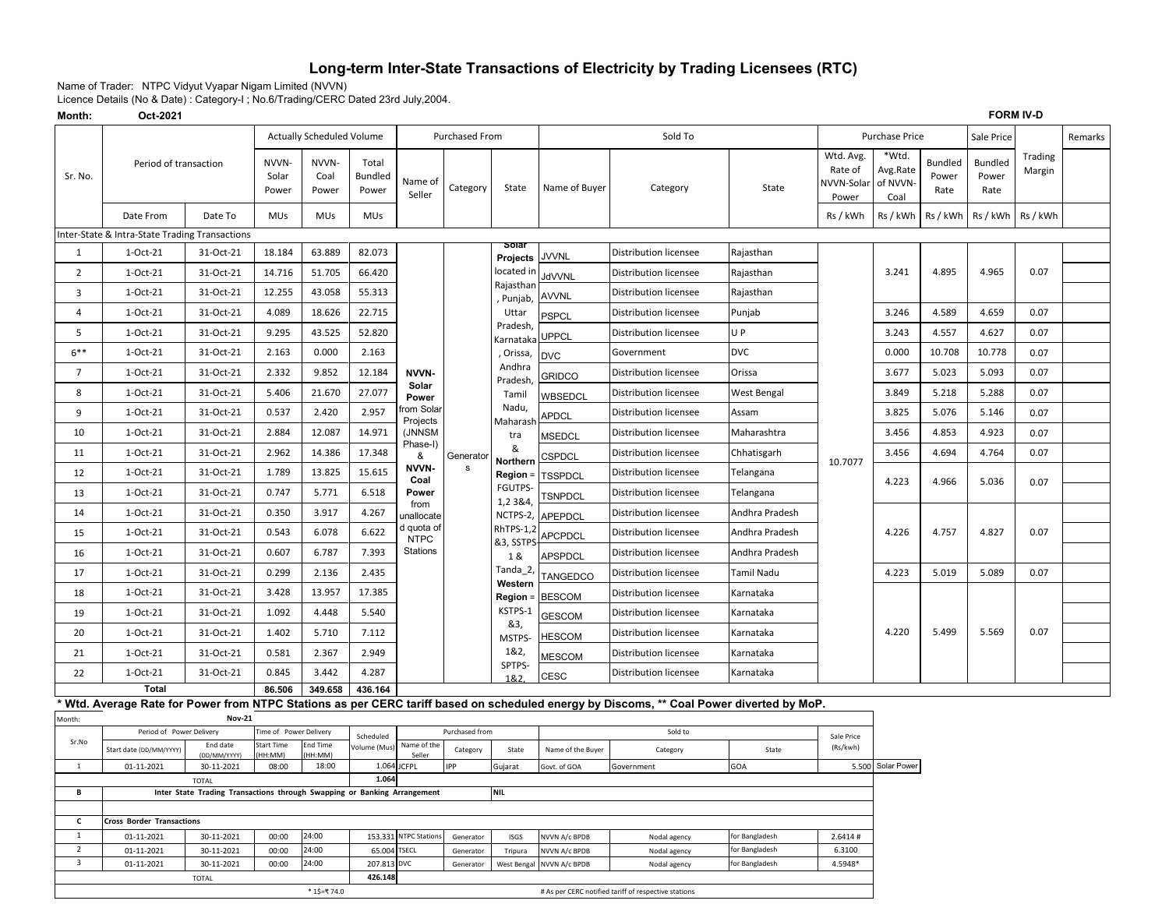# **Long-term Inter-State Transactions of Electricity by Trading Licensees (RTC)**

Name of Trader: NTPC Vidyut Vyapar Nigam Limited (NVVN)

Licence Details (No & Date) : Category-I ; No.6/Trading/CERC Dated 23rd July,2004.

**Month: Oct-2021**

| Month:                         | Oct-2021                                                                                                        |                          |                               |                                  |                                  |                                      |                        |                        |                                |                                                                                                                                        |                                  | <b>FORM IV-D</b>                            |                                       |                                 |                                 |                   |         |
|--------------------------------|-----------------------------------------------------------------------------------------------------------------|--------------------------|-------------------------------|----------------------------------|----------------------------------|--------------------------------------|------------------------|------------------------|--------------------------------|----------------------------------------------------------------------------------------------------------------------------------------|----------------------------------|---------------------------------------------|---------------------------------------|---------------------------------|---------------------------------|-------------------|---------|
|                                |                                                                                                                 |                          |                               | <b>Actually Scheduled Volume</b> |                                  |                                      | <b>Purchased From</b>  |                        |                                | Sold To                                                                                                                                |                                  |                                             | Purchase Price                        |                                 | Sale Price                      |                   | Remarks |
| Sr. No.                        | Period of transaction                                                                                           |                          | NVVN-<br>Solar<br>Power       | NVVN-<br>Coal<br>Power           | Total<br><b>Bundled</b><br>Power | Name of<br>Seller                    | Category               | State                  | Name of Buyer                  | Category                                                                                                                               | State                            | Wtd. Avg.<br>Rate of<br>NVVN-Solar<br>Power | *Wtd.<br>Avg.Rate<br>of NVVN-<br>Coal | <b>Bundled</b><br>Power<br>Rate | <b>Bundled</b><br>Power<br>Rate | Trading<br>Margin |         |
|                                | Date From                                                                                                       | Date To                  | <b>MUs</b>                    | <b>MUs</b>                       | <b>MUs</b>                       |                                      |                        |                        |                                |                                                                                                                                        |                                  | Rs / kWh                                    | Rs / kWh                              | Rs / kWh                        | Rs / kWh                        | Rs / kWh          |         |
|                                | Inter-State & Intra-State Trading Transactions                                                                  |                          |                               |                                  |                                  |                                      |                        |                        |                                |                                                                                                                                        |                                  |                                             |                                       |                                 |                                 |                   |         |
| $\mathbf{1}$                   | 1-Oct-21                                                                                                        | 31-Oct-21                | 18.184                        | 63.889                           | 82.073                           |                                      |                        | Solar<br>Projects      | <b>JVVNL</b>                   | Distribution licensee                                                                                                                  | Rajasthan                        |                                             |                                       |                                 |                                 |                   |         |
| $\overline{2}$                 | 1-Oct-21                                                                                                        | 31-Oct-21                | 14.716                        | 51.705                           | 66.420                           |                                      |                        | located in             | <b>JdVVNL</b>                  | <b>Distribution licensee</b>                                                                                                           | Rajasthan                        |                                             | 3.241                                 | 4.895                           | 4.965                           | 0.07              |         |
| 3                              | 1-Oct-21                                                                                                        | 31-Oct-21                | 12.255                        | 43.058                           | 55.313                           |                                      |                        | Rajasthan<br>, Punjab, | <b>AVVNL</b>                   | <b>Distribution licensee</b>                                                                                                           | Rajasthan                        |                                             |                                       |                                 |                                 |                   |         |
| 4                              | 1-Oct-21                                                                                                        | 31-Oct-21                | 4.089                         | 18.626                           | 22.715                           |                                      |                        | Uttar                  | <b>PSPCL</b>                   | Distribution licensee                                                                                                                  | Punjab                           |                                             | 3.246                                 | 4.589                           | 4.659                           | 0.07              |         |
| 5                              | 1-Oct-21                                                                                                        | 31-Oct-21                | 9.295                         | 43.525                           | 52.820                           |                                      |                        | Pradesh,<br>Karnataka  | <b>UPPCL</b>                   | Distribution licensee                                                                                                                  | U P                              |                                             | 3.243                                 | 4.557                           | 4.627                           | 0.07              |         |
| $6***$                         | 1-Oct-21                                                                                                        | 31-Oct-21                | 2.163                         | 0.000                            | 2.163                            |                                      |                        | , Orissa,              | <b>DVC</b>                     | Government                                                                                                                             | <b>DVC</b>                       |                                             | 0.000                                 | 10.708                          | 10.778                          | 0.07              |         |
| $\overline{7}$                 | 1-Oct-21                                                                                                        | 31-Oct-21                | 2.332                         | 9.852                            | 12.184                           | NVVN-                                |                        | Andhra<br>Pradesh      | <b>GRIDCO</b>                  | <b>Distribution licensee</b>                                                                                                           | Orissa                           |                                             | 3.677                                 | 5.023                           | 5.093                           | 0.07              |         |
| 8                              | 1-Oct-21                                                                                                        | 31-Oct-21                | 5.406                         | 21.670                           | 27.077                           | Solar<br>Power                       |                        | Tamil                  | WBSEDCL                        | Distribution licensee                                                                                                                  | West Bengal                      |                                             | 3.849                                 | 5.218                           | 5.288                           | 0.07              |         |
| 9                              | 1-Oct-21                                                                                                        | 31-Oct-21                | 0.537                         | 2.420                            | 2.957                            | rom Solar                            |                        | Nadu,                  | <b>APDCL</b>                   | Distribution licensee                                                                                                                  | Assam                            |                                             | 3.825                                 | 5.076                           | 5.146                           | 0.07              |         |
| 10                             | 1-Oct-21                                                                                                        | 31-Oct-21                | 2.884                         | 12.087                           | 14.971                           | Projects<br>(JNNSM                   |                        | Maharasl<br>tra        | <b>MSEDCL</b>                  | <b>Distribution licensee</b>                                                                                                           | Maharashtra                      |                                             | 3.456                                 | 4.853                           | 4.923                           | 0.07              |         |
| 11                             | 1-Oct-21                                                                                                        | 31-Oct-21                | 2.962                         | 14.386                           | 17.348                           | Phase-I)<br>&                        | Generator              | &                      | CSPDCL                         | <b>Distribution licensee</b>                                                                                                           | Chhatisgarh                      |                                             | 3.456                                 | 4.694                           | 4.764                           | 0.07              |         |
| 12                             | 1-Oct-21                                                                                                        | 31-Oct-21                | 1.789                         | 13.825                           | 15.615                           | NVVN-                                | s                      | Northern<br>Region =   | TSSPDCL                        | Distribution licensee                                                                                                                  | Telangana                        | 10.7077                                     |                                       |                                 |                                 |                   |         |
| 13                             | 1-Oct-21                                                                                                        | 31-Oct-21                | 0.747                         | 5.771                            | 6.518                            | Coal<br>Power                        |                        | <b>FGUTPS-</b>         | <b><i>ESNPDCL</i></b>          | Distribution licensee                                                                                                                  | Telangana                        |                                             | 4.223                                 | 4.966                           | 5.036                           | 0.07              |         |
| 14                             | 1-Oct-21                                                                                                        | 31-Oct-21                | 0.350                         | 3.917                            | 4.267                            | from<br>unallocate                   |                        | 1,2 3 & 4,<br>NCTPS-2, | APEPDCL                        | Distribution licensee                                                                                                                  | Andhra Pradesh                   |                                             |                                       |                                 |                                 |                   |         |
| 15                             | 1-Oct-21                                                                                                        | 31-Oct-21                | 0.543                         | 6.078                            | 6.622                            | d quota of<br><b>NTPC</b>            |                        | RhTPS-1,2              | APCPDCL                        | Distribution licensee                                                                                                                  | Andhra Pradesh                   |                                             | 4.226                                 | 4.757                           | 4.827                           | 0.07              |         |
| 16                             | 1-Oct-21                                                                                                        | 31-Oct-21                | 0.607                         | 6.787                            | 7.393                            | Stations                             |                        | &3, SSTPS<br>1 &       | <b>APSPDCL</b>                 | Distribution licensee                                                                                                                  | Andhra Pradesh                   |                                             |                                       |                                 |                                 |                   |         |
| 17                             | 1-Oct-21                                                                                                        | 31-Oct-21                | 0.299                         | 2.136                            | 2.435                            |                                      |                        | Tanda_2,               | <b>TANGEDCO</b>                | Distribution licensee                                                                                                                  | Tamil Nadu                       |                                             | 4.223                                 | 5.019                           | 5.089                           | 0.07              |         |
| 18                             | 1-Oct-21                                                                                                        | 31-Oct-21                | 3.428                         | 13.957                           | 17.385                           |                                      |                        | Western<br>Region =    | <b>BESCOM</b>                  | Distribution licensee                                                                                                                  | Karnataka                        |                                             |                                       |                                 |                                 |                   |         |
| 19                             | 1-Oct-21                                                                                                        | 31-Oct-21                | 1.092                         | 4.448                            | 5.540                            |                                      |                        | KSTPS-1                | <b>GESCOM</b>                  | <b>Distribution licensee</b>                                                                                                           | Karnataka                        |                                             |                                       |                                 |                                 |                   |         |
| 20                             | 1-Oct-21                                                                                                        | 31-Oct-21                | 1.402                         | 5.710                            | 7.112                            |                                      |                        | &3,<br>MSTPS-          | <b>HESCOM</b>                  | Distribution licensee                                                                                                                  | Karnataka                        |                                             | 4.220                                 | 5.499                           | 5.569                           | 0.07              |         |
| 21                             | 1-Oct-21                                                                                                        | 31-Oct-21                | 0.581                         | 2.367                            | 2.949                            |                                      |                        | 1&2,                   | <b>MESCOM</b>                  | Distribution licensee                                                                                                                  | Karnataka                        |                                             |                                       |                                 |                                 |                   |         |
| 22                             | 1-Oct-21                                                                                                        | 31-Oct-21                | 0.845                         | 3.442                            | 4.287                            |                                      |                        | SPTPS-                 | <b>CESC</b>                    | Distribution licensee                                                                                                                  | Karnataka                        |                                             |                                       |                                 |                                 |                   |         |
|                                | <b>Total</b>                                                                                                    |                          | 86.506                        | 349.658                          | 436.164                          |                                      |                        | 1&2.                   |                                |                                                                                                                                        |                                  |                                             |                                       |                                 |                                 |                   |         |
|                                |                                                                                                                 |                          |                               |                                  |                                  |                                      |                        |                        |                                | Wtd. Average Rate for Power from NTPC Stations as per CERC tariff based on scheduled energy by Discoms, ** Coal Power diverted by MoP. |                                  |                                             |                                       |                                 |                                 |                   |         |
| Month:                         | Period of Power Delivery                                                                                        | <b>Nov-21</b>            | <b>Fime of Power Delivery</b> |                                  |                                  |                                      | Purchased from         |                        |                                | Sold to                                                                                                                                |                                  |                                             |                                       |                                 |                                 |                   |         |
| Sr.No                          | Start date (DD/MM/YYYY)                                                                                         | End date<br>(DD/MM/YYYY) | Start Time<br>HH:MM)          | End Time<br>HH:MM)               | Scheduled<br>Volume (Mus)        | Name of the<br>Seller                | Category               | State                  | Name of the Buyer              | Category                                                                                                                               | State                            | Sale Price<br>(Rs/kwh)                      |                                       |                                 |                                 |                   |         |
| $\mathbf{1}$                   | 01-11-2021                                                                                                      | 30-11-2021               | 08:00                         | 18:00                            |                                  | 1.064 JCFPL                          | <b>IPP</b>             | Gujarat                | Govt. of GOA                   | Government                                                                                                                             | GOA                              |                                             | 5.500 Solar Power                     |                                 |                                 |                   |         |
| В                              | 1.064<br><b>TOTAL</b><br>Inter State Trading Transactions through Swapping or Banking Arrangement<br><b>NIL</b> |                          |                               |                                  |                                  |                                      |                        |                        |                                |                                                                                                                                        |                                  |                                             |                                       |                                 |                                 |                   |         |
|                                |                                                                                                                 |                          |                               |                                  |                                  |                                      |                        |                        |                                |                                                                                                                                        |                                  |                                             |                                       |                                 |                                 |                   |         |
| $\mathsf{c}$                   | <b>Cross Border Transactions</b>                                                                                |                          |                               |                                  |                                  |                                      |                        |                        |                                |                                                                                                                                        |                                  |                                             |                                       |                                 |                                 |                   |         |
| $\mathbf{1}$<br>$\overline{2}$ | 01-11-2021<br>01-11-2021                                                                                        | 30-11-2021<br>30-11-2021 | 00:00<br>00:00                | 24:00<br>24:00                   | 65.004                           | 153.331 NTPC Station<br><b>TSECL</b> | Generator<br>Generator | <b>ISGS</b><br>Tripura | NVVN A/c BPDB<br>NVVN A/c BPDB | Nodal agency<br>Nodal agency                                                                                                           | for Bangladesh<br>for Bangladesh | 2.6414#<br>6.3100                           |                                       |                                 |                                 |                   |         |
| 3                              | 24:00<br>01-11-2021<br>00:00<br>207.813<br><b>DVC</b><br>30-11-2021<br>Generator<br>West Bengal                 |                          |                               |                                  | NVVN A/c BPDB                    | Nodal agency                         | for Bangladesh         | 4.5948*                |                                |                                                                                                                                        |                                  |                                             |                                       |                                 |                                 |                   |         |
|                                | 426.148<br><b>TOTAL</b>                                                                                         |                          |                               |                                  |                                  |                                      |                        |                        |                                |                                                                                                                                        |                                  |                                             |                                       |                                 |                                 |                   |         |
|                                | * 1\$=₹ 74.0<br># As per CERC notified tariff of respective stations                                            |                          |                               |                                  |                                  |                                      |                        |                        |                                |                                                                                                                                        |                                  |                                             |                                       |                                 |                                 |                   |         |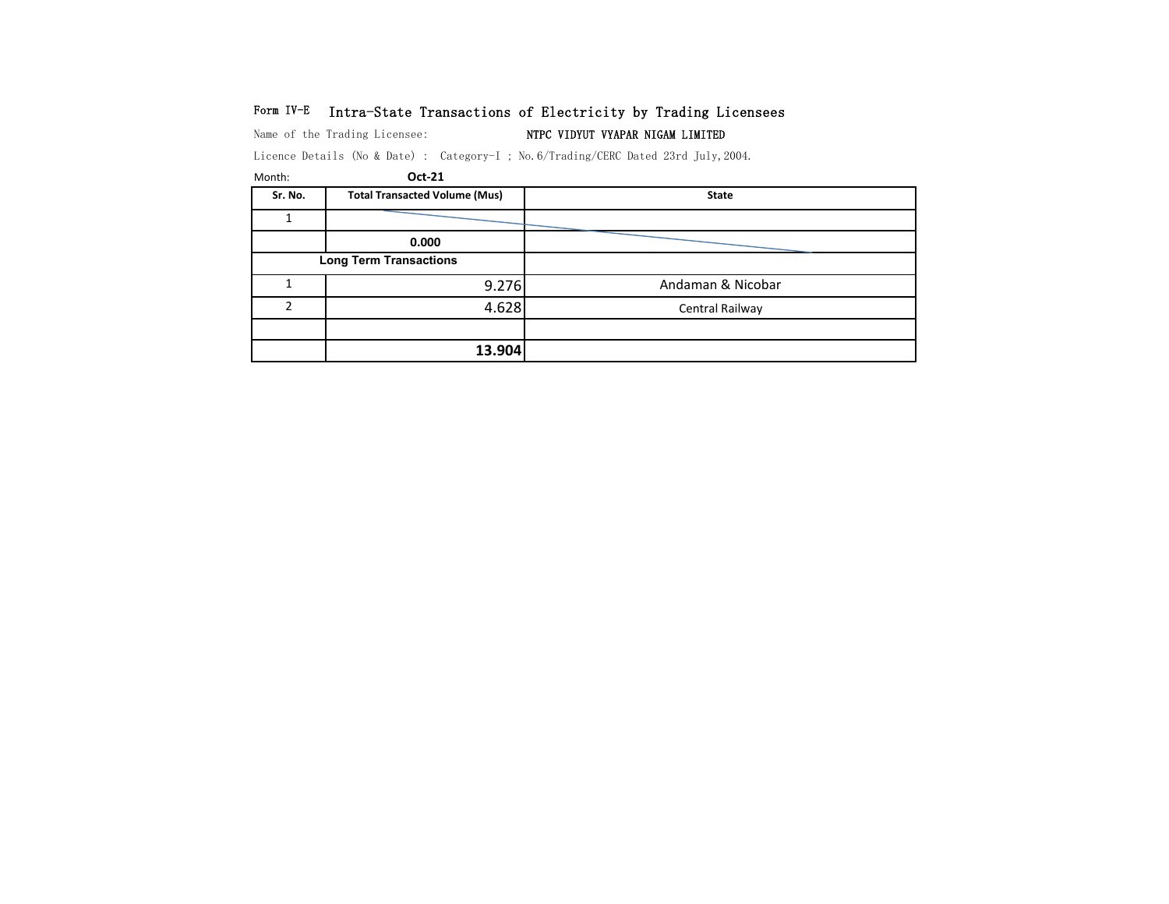# Form IV-E Intra-State Transactions of Electricity by Trading Licensees

Name of the Trading Licensee: NTPC VIDYUT VYAPAR NIGAM LIMITED

Licence Details (No & Date) : Category-I ; No.6/Trading/CERC Dated 23rd July,2004.

| Month:        | Oct-21                               |                   |
|---------------|--------------------------------------|-------------------|
| Sr. No.       | <b>Total Transacted Volume (Mus)</b> | <b>State</b>      |
|               |                                      |                   |
|               | 0.000                                |                   |
|               | <b>Long Term Transactions</b>        |                   |
|               | 9.276                                | Andaman & Nicobar |
| $\mathcal{P}$ | 4.628                                | Central Railway   |
|               |                                      |                   |
|               | 13.904                               |                   |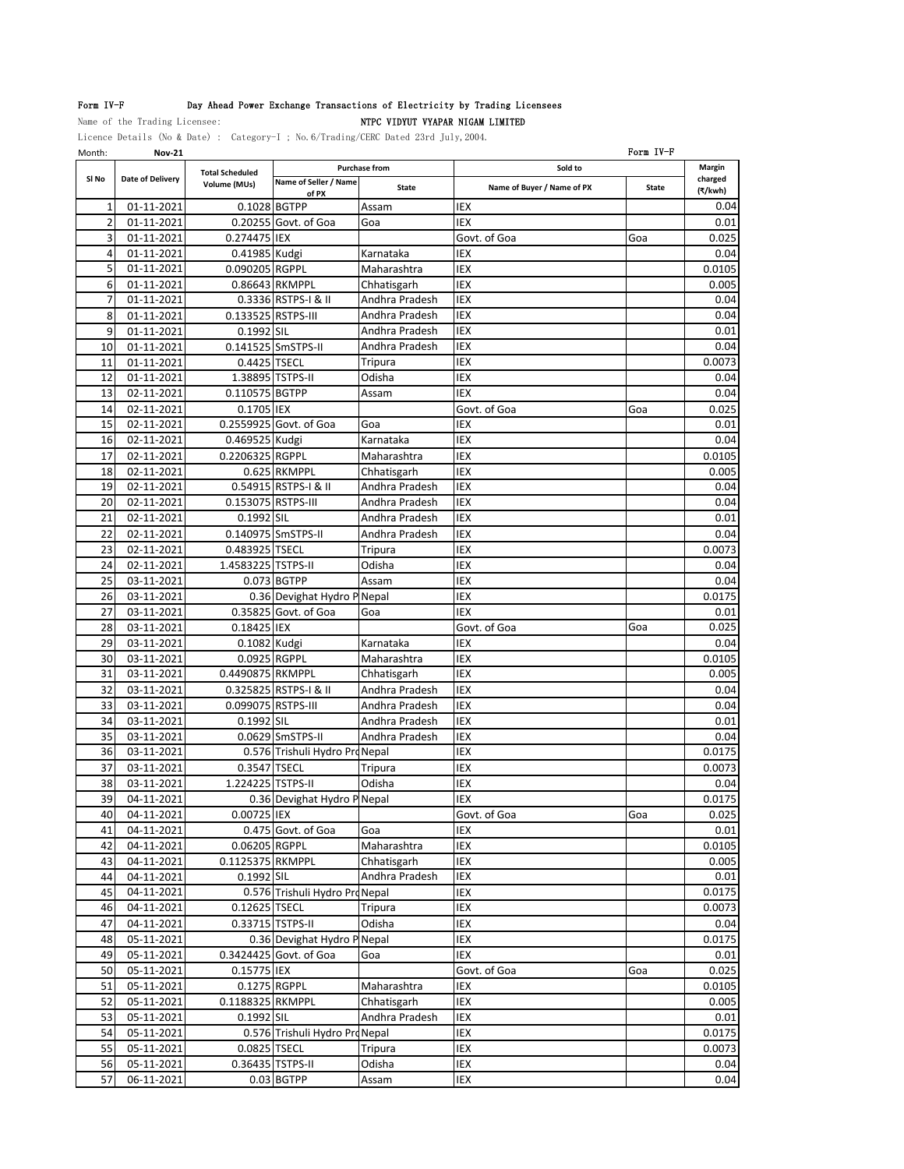## Form IV-F Day Ahead Power Exchange Transactions of Electricity by Trading Licensees

## Name of the Trading Licensee: NTPC VIDYUT VYAPAR NIGAM LIMITED

Licence Details (No & Date) : Category-I ; No.6/Trading/CERC Dated 23rd July,2004.

| Month:       | <b>Nov-21</b>    |                        |                                |                      |                            | Form IV-F    |         |
|--------------|------------------|------------------------|--------------------------------|----------------------|----------------------------|--------------|---------|
|              |                  | <b>Total Scheduled</b> |                                | <b>Purchase from</b> | Sold to                    |              | Margin  |
| SI No        | Date of Delivery | Volume (MUs)           | Name of Seller / Name          | <b>State</b>         | Name of Buyer / Name of PX | <b>State</b> | charged |
|              |                  |                        | of PX                          |                      |                            |              | (₹/kwh) |
| $\mathbf{1}$ | 01-11-2021       | 0.1028 BGTPP           |                                | Assam                | <b>IEX</b>                 |              | 0.04    |
| 2            | 01-11-2021       |                        | 0.20255 Govt. of Goa           | Goa                  | IEX                        |              | 0.01    |
| 3            | 01-11-2021       | 0.274475 IEX           |                                |                      | Govt. of Goa               | Goa          | 0.025   |
| 4            | 01-11-2021       | 0.41985 Kudgi          |                                | Karnataka            | IEX                        |              | 0.04    |
| 5            | 01-11-2021       | 0.090205 RGPPL         |                                | Maharashtra          | IEX                        |              | 0.0105  |
| 6            | 01-11-2021       |                        | 0.86643 RKMPPL                 | Chhatisgarh          | IEX                        |              | 0.005   |
| 7            | 01-11-2021       |                        | 0.3336 RSTPS-I & II            | Andhra Pradesh       | IEX                        |              | 0.04    |
| 8            | 01-11-2021       | 0.133525 RSTPS-III     |                                | Andhra Pradesh       | IEX                        |              | 0.04    |
| 9            | 01-11-2021       | 0.1992 SIL             |                                | Andhra Pradesh       | IEX                        |              | 0.01    |
| 10           | 01-11-2021       |                        | 0.141525 SmSTPS-II             | Andhra Pradesh       | IEX                        |              | 0.04    |
| 11           | 01-11-2021       | 0.4425 TSECL           |                                | <b>Tripura</b>       | IEX                        |              | 0.0073  |
| 12           | 01-11-2021       |                        | 1.38895 TSTPS-II               | Odisha               | IEX                        |              | 0.04    |
| 13           | 02-11-2021       | 0.110575 BGTPP         |                                | Assam                | IEX                        |              | 0.04    |
| 14           | 02-11-2021       | 0.1705 IEX             |                                |                      | Govt. of Goa               | Goa          | 0.025   |
| 15           | 02-11-2021       |                        | 0.2559925 Govt. of Goa         | Goa                  | IEX                        |              | 0.01    |
| 16           | 02-11-2021       | 0.469525 Kudgi         |                                | Karnataka            | IEX                        |              | 0.04    |
| 17           | 02-11-2021       | 0.2206325 RGPPL        |                                | Maharashtra          | <b>IEX</b>                 |              | 0.0105  |
| 18           | 02-11-2021       |                        | 0.625 RKMPPL                   | Chhatisgarh          | <b>IEX</b>                 |              | 0.005   |
| 19           | 02-11-2021       |                        | 0.54915 RSTPS-I & II           | Andhra Pradesh       | IEX                        |              | 0.04    |
| 20           | 02-11-2021       | 0.153075 RSTPS-III     |                                | Andhra Pradesh       | IEX                        |              | 0.04    |
| 21           | 02-11-2021       | 0.1992 SIL             |                                | Andhra Pradesh       | IEX                        |              | 0.01    |
| 22           | 02-11-2021       |                        | 0.140975 SmSTPS-II             | Andhra Pradesh       | <b>IEX</b>                 |              | 0.04    |
| 23           | 02-11-2021       | 0.483925 TSECL         |                                | Tripura              | IEX                        |              | 0.0073  |
| 24           | 02-11-2021       | 1.4583225 TSTPS-II     |                                | Odisha               | IEX                        |              | 0.04    |
| 25           | 03-11-2021       |                        | 0.073 BGTPP                    | Assam                | IEX                        |              | 0.04    |
| 26           | 03-11-2021       |                        | 0.36 Devighat Hydro P Nepal    |                      | IEX                        |              | 0.0175  |
| 27           | 03-11-2021       |                        | 0.35825 Govt. of Goa           | Goa                  | IEX                        |              | 0.01    |
| 28           | 03-11-2021       | 0.18425 IEX            |                                |                      | Govt. of Goa               | Goa          | 0.025   |
| 29           | 03-11-2021       | 0.1082 Kudgi           |                                | Karnataka            | IEX                        |              | 0.04    |
| 30           | 03-11-2021       | 0.0925 RGPPL           |                                | Maharashtra          | IEX                        |              | 0.0105  |
| 31           | 03-11-2021       | 0.4490875 RKMPPL       |                                | Chhatisgarh          | IEX                        |              | 0.005   |
| 32           | 03-11-2021       |                        | 0.325825 RSTPS-I & II          | Andhra Pradesh       | IEX                        |              | 0.04    |
| 33           | 03-11-2021       | 0.099075 RSTPS-III     |                                | Andhra Pradesh       | IEX                        |              | 0.04    |
| 34           | 03-11-2021       | 0.1992 SIL             |                                | Andhra Pradesh       | IEX                        |              | 0.01    |
| 35           | 03-11-2021       |                        | 0.0629 SmSTPS-II               | Andhra Pradesh       | IEX                        |              | 0.04    |
| 36           | 03-11-2021       |                        | 0.576 Trishuli Hydro ProNepal  |                      | IEX                        |              | 0.0175  |
| 37           | 03-11-2021       | 0.3547 TSECL           |                                | Tripura              | IEX                        |              | 0.0073  |
| 38           | 03-11-2021       | 1.224225 TSTPS-II      |                                | Odisha               | IEX                        |              | 0.04    |
| 39           | 04-11-2021       |                        | 0.36 Devighat Hydro P Nepal    |                      | IEX                        |              | 0.0175  |
| 40           | 04-11-2021       | 0.00725 IEX            |                                |                      | Govt. of Goa               | Goa          | 0.025   |
| 41           | 04-11-2021       |                        | 0.475 Govt. of Goa             | Goa                  | IEX                        |              | 0.01    |
| 42           | 04-11-2021       | 0.06205 RGPPL          |                                | Maharashtra          | IEX                        |              | 0.0105  |
| 43           | 04-11-2021       | 0.1125375 RKMPPL       |                                | Chhatisgarh          | IEX                        |              | 0.005   |
| 44           | 04-11-2021       | 0.1992 SIL             |                                | Andhra Pradesh       | IEX                        |              | 0.01    |
| 45           | 04-11-2021       |                        | 0.576 Trishuli Hydro Pro Nepal |                      | IEX                        |              | 0.0175  |
| 46           | 04-11-2021       | 0.12625 TSECL          |                                | Tripura              | IEX                        |              | 0.0073  |
| 47           | 04-11-2021       | 0.33715 TSTPS-II       |                                | Odisha               | IEX                        |              | 0.04    |
| 48           | 05-11-2021       |                        | 0.36 Devighat Hydro P Nepal    |                      | IEX                        |              | 0.0175  |
| 49           | 05-11-2021       |                        | 0.3424425 Govt. of Goa         | Goa                  | IEX                        |              | 0.01    |
| 50           | 05-11-2021       | 0.15775 IEX            |                                |                      | Govt. of Goa               | Goa          | 0.025   |
| 51           | 05-11-2021       | 0.1275 RGPPL           |                                | Maharashtra          | IEX                        |              | 0.0105  |
| 52           | 05-11-2021       | 0.1188325 RKMPPL       |                                | Chhatisgarh          | IEX                        |              | 0.005   |
| 53           | 05-11-2021       | 0.1992 SIL             |                                | Andhra Pradesh       | IEX                        |              | 0.01    |
| 54           | 05-11-2021       |                        | 0.576 Trishuli Hydro ProNepal  |                      | IEX                        |              | 0.0175  |
| 55           | 05-11-2021       | 0.0825 TSECL           |                                | Tripura              | IEX                        |              | 0.0073  |
| 56           | 05-11-2021       |                        | 0.36435 TSTPS-II               | Odisha               | IEX                        |              | 0.04    |
| 57           | 06-11-2021       |                        | 0.03 BGTPP                     | Assam                | IEX                        |              | 0.04    |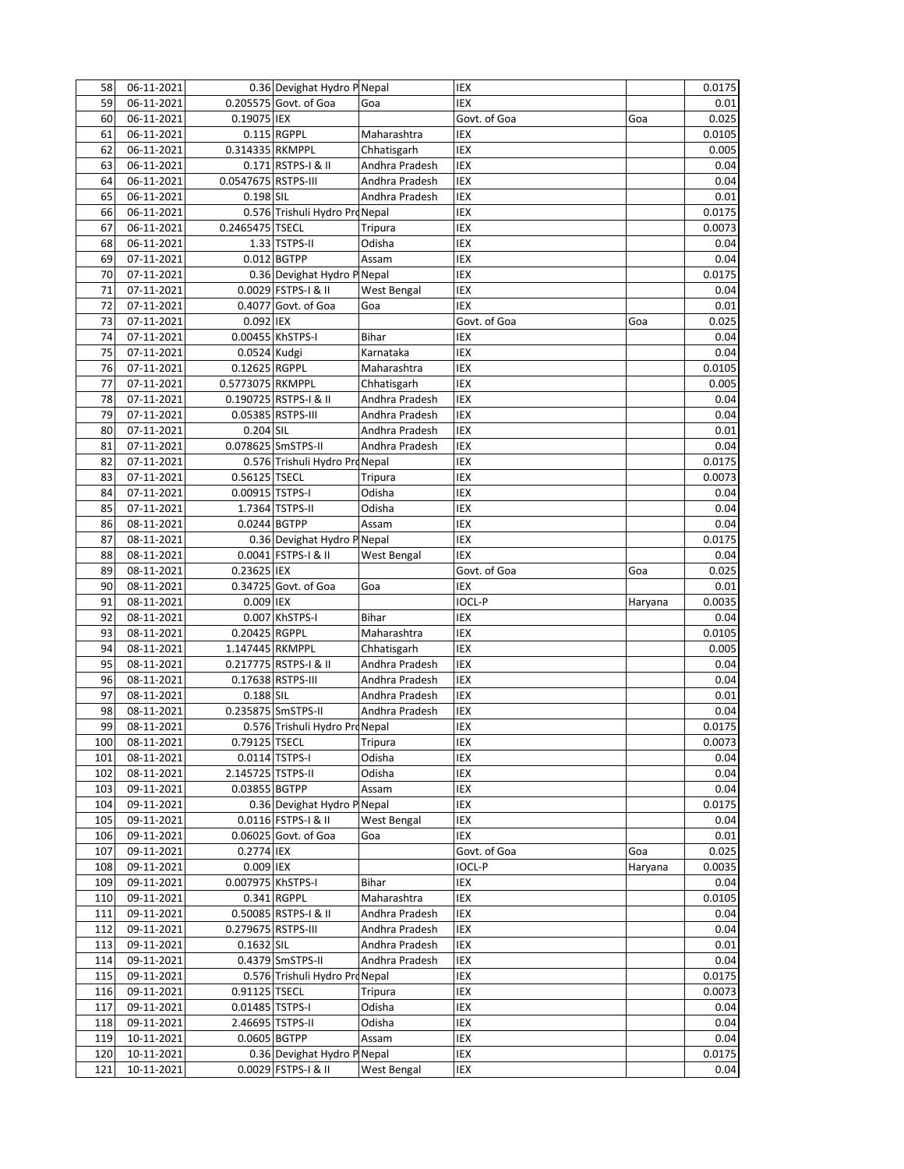| 58         | 06-11-2021                  |                     | 0.36 Devighat Hydro P Nepal                        |                | IEX          |         | 0.0175 |
|------------|-----------------------------|---------------------|----------------------------------------------------|----------------|--------------|---------|--------|
| 59         | 06-11-2021                  |                     | 0.205575 Govt. of Goa                              | Goa            | IEX          |         | 0.01   |
| 60         | 06-11-2021                  | 0.19075 IEX         |                                                    |                | Govt. of Goa | Goa     | 0.025  |
| 61         | 06-11-2021                  |                     | 0.115 RGPPL                                        | Maharashtra    | IEX          |         | 0.0105 |
| 62         | 06-11-2021                  | 0.314335 RKMPPL     |                                                    | Chhatisgarh    | IEX          |         | 0.005  |
| 63         | 06-11-2021                  |                     | 0.171 RSTPS-I & II                                 | Andhra Pradesh | IEX          |         | 0.04   |
| 64         | 06-11-2021                  | 0.0547675 RSTPS-III |                                                    | Andhra Pradesh | IEX          |         | 0.04   |
| 65         | 06-11-2021                  | 0.198 SIL           |                                                    | Andhra Pradesh | IEX          |         | 0.01   |
| 66         | 06-11-2021                  |                     | 0.576 Trishuli Hydro Pro Nepal                     |                | IEX          |         | 0.0175 |
| 67         | 06-11-2021                  | 0.2465475 TSECL     |                                                    | Tripura        | IEX          |         | 0.0073 |
| 68         | 06-11-2021                  |                     | 1.33 TSTPS-II                                      | Odisha         | IEX          |         | 0.04   |
| 69         | 07-11-2021                  |                     | 0.012 BGTPP                                        | Assam          | IEX          |         | 0.04   |
| 70         | 07-11-2021                  |                     | 0.36 Devighat Hydro P Nepal                        |                | IEX          |         | 0.0175 |
| 71         | 07-11-2021                  |                     | 0.0029 FSTPS-I & II                                | West Bengal    | <b>IEX</b>   |         | 0.04   |
| 72         | 07-11-2021                  |                     | 0.4077 Govt. of Goa                                | Goa            | <b>IEX</b>   |         | 0.01   |
| 73         | 07-11-2021                  | 0.092 IEX           |                                                    |                | Govt. of Goa | Goa     | 0.025  |
| 74         | 07-11-2021                  |                     | 0.00455 KhSTPS-I                                   | Bihar          | IEX          |         |        |
|            |                             |                     |                                                    |                | <b>IEX</b>   |         | 0.04   |
| 75         | 07-11-2021                  | 0.0524 Kudgi        |                                                    | Karnataka      |              |         | 0.04   |
| 76         | 07-11-2021                  | 0.12625 RGPPL       |                                                    | Maharashtra    | IEX          |         | 0.0105 |
| 77         | 07-11-2021                  | 0.5773075 RKMPPL    |                                                    | Chhatisgarh    | IEX          |         | 0.005  |
| 78         | 07-11-2021                  |                     | 0.190725 RSTPS-I & II                              | Andhra Pradesh | IEX          |         | 0.04   |
| 79         | 07-11-2021                  |                     | 0.05385 RSTPS-III                                  | Andhra Pradesh | IEX          |         | 0.04   |
| 80         | 07-11-2021                  | 0.204 SIL           |                                                    | Andhra Pradesh | <b>IEX</b>   |         | 0.01   |
| 81         | 07-11-2021                  |                     | 0.078625 SmSTPS-II                                 | Andhra Pradesh | IEX          |         | 0.04   |
| 82         | 07-11-2021                  |                     | 0.576 Trishuli Hydro ProNepal                      |                | IEX          |         | 0.0175 |
| 83         | 07-11-2021                  | 0.56125 TSECL       |                                                    | <b>Tripura</b> | IEX          |         | 0.0073 |
| 84         | 07-11-2021                  | 0.00915 TSTPS-I     |                                                    | Odisha         | IEX          |         | 0.04   |
| 85         | 07-11-2021                  |                     | 1.7364 TSTPS-II                                    | Odisha         | IEX          |         | 0.04   |
| 86         | 08-11-2021                  | 0.0244 BGTPP        |                                                    | Assam          | IEX          |         | 0.04   |
| 87         | 08-11-2021                  |                     | 0.36 Devighat Hydro P Nepal                        |                | IEX          |         | 0.0175 |
| 88         | 08-11-2021                  |                     | 0.0041 FSTPS-I & II                                | West Bengal    | IEX          |         | 0.04   |
| 89         | 08-11-2021                  | 0.23625 IEX         |                                                    |                | Govt. of Goa | Goa     | 0.025  |
| 90         | 08-11-2021                  |                     | 0.34725 Govt. of Goa                               | Goa            | IEX          |         | 0.01   |
| 91         | 08-11-2021                  | 0.009 IEX           |                                                    |                | IOCL-P       | Haryana | 0.0035 |
| 92         | 08-11-2021                  |                     | 0.007 KhSTPS-I                                     | <b>Bihar</b>   | IEX          |         | 0.04   |
| 93         | 08-11-2021                  | 0.20425 RGPPL       |                                                    | Maharashtra    | IEX          |         | 0.0105 |
| 94         | 08-11-2021                  | 1.147445 RKMPPL     |                                                    | Chhatisgarh    | IEX          |         | 0.005  |
| 95         | 08-11-2021                  |                     | 0.217775 RSTPS-I & II                              | Andhra Pradesh | IEX          |         | 0.04   |
| 96         | 08-11-2021                  |                     | 0.17638 RSTPS-III                                  | Andhra Pradesh | <b>IEX</b>   |         | 0.04   |
| 97         | 08-11-2021                  | $0.188$ SIL         |                                                    | Andhra Pradesh | IEX          |         | 0.01   |
| 98         | 08-11-2021                  |                     | 0.235875 SmSTPS-II                                 | Andhra Pradesh | IEX          |         | 0.04   |
| 99         | 08-11-2021                  |                     | 0.576 Trishuli Hydro Pro Nepal                     |                | IEX          |         | 0.0175 |
| 100        | 08-11-2021                  |                     | 0.79125 TSECL                                      | Tripura        | IEX          |         | 0.0073 |
| 101        | 08-11-2021                  |                     | 0.0114 TSTPS-I                                     | Odisha         | IEX          |         | 0.04   |
| 102        | 08-11-2021                  | 2.145725 TSTPS-II   |                                                    | Odisha         | IEX          |         | 0.04   |
| 103        | 09-11-2021                  | 0.03855 BGTPP       |                                                    | Assam          | IEX          |         | 0.04   |
| 104        | 09-11-2021                  |                     | 0.36 Devighat Hydro P Nepal                        |                | IEX          |         | 0.0175 |
| 105        | 09-11-2021                  |                     | 0.0116 FSTPS-I & II                                | West Bengal    | IEX          |         | 0.04   |
| 106        | 09-11-2021                  |                     | 0.06025 Govt. of Goa                               | Goa            | IEX          |         | 0.01   |
|            |                             |                     |                                                    |                | Govt. of Goa |         |        |
| 107        | 09-11-2021                  | 0.2774 IEX          |                                                    |                |              | Goa     | 0.025  |
| 108        | 09-11-2021                  | 0.009 IEX           |                                                    |                | IOCL-P       | Haryana | 0.0035 |
| 109        | 09-11-2021                  | 0.007975 KhSTPS-I   |                                                    | Bihar          | IEX          |         | 0.04   |
| 110        | 09-11-2021                  |                     | 0.341 RGPPL                                        | Maharashtra    | IEX          |         | 0.0105 |
| 111        | 09-11-2021                  |                     | 0.50085 RSTPS-I & II                               | Andhra Pradesh | IEX          |         | 0.04   |
| 112        | 09-11-2021                  | 0.279675 RSTPS-III  |                                                    | Andhra Pradesh | IEX          |         | 0.04   |
| 113        | 09-11-2021                  | 0.1632 SIL          |                                                    | Andhra Pradesh | IEX          |         | 0.01   |
| 114        | 09-11-2021                  |                     | 0.4379 SmSTPS-II                                   | Andhra Pradesh | IEX          |         | 0.04   |
| 115        | 09-11-2021                  |                     | 0.576 Trishuli Hydro ProNepal                      |                | IEX          |         | 0.0175 |
| 116        | 09-11-2021                  | 0.91125 TSECL       |                                                    | Tripura        | IEX          |         | 0.0073 |
| 117        | 09-11-2021                  | 0.01485 TSTPS-I     |                                                    | Odisha         | IEX          |         | 0.04   |
| 118        | $\overline{09} - 11 - 2021$ |                     | 2.46695 TSTPS-II                                   | Odisha         | IEX          |         | 0.04   |
| 119        | 10-11-2021                  | 0.0605 BGTPP        |                                                    | Assam          | IEX          |         | 0.04   |
|            |                             |                     |                                                    |                |              |         |        |
| 120<br>121 | 10-11-2021<br>10-11-2021    |                     | 0.36 Devighat Hydro P Nepal<br>0.0029 FSTPS-I & II | West Bengal    | IEX<br>IEX   |         | 0.0175 |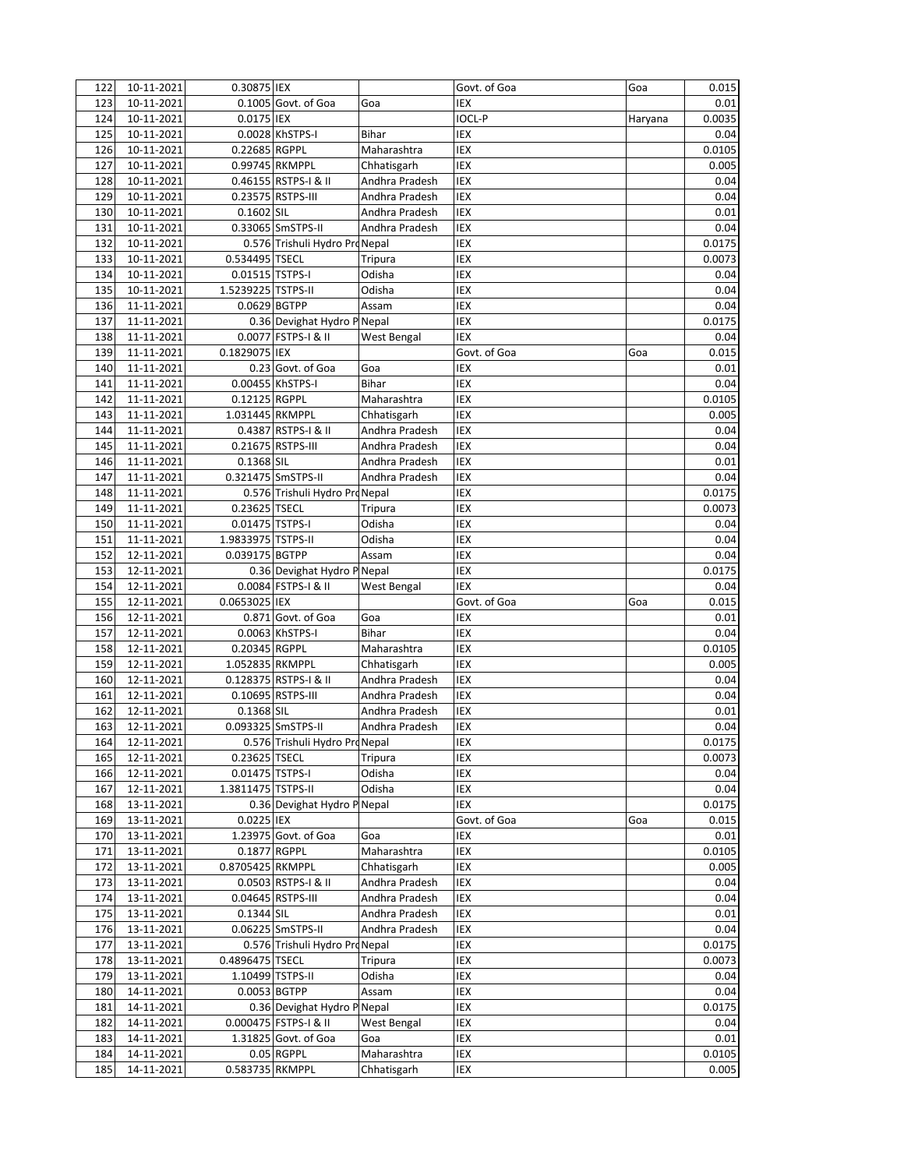| 122        | 10-11-2021               | 0.30875 IEX                           |                                                     |                  | Govt. of Goa  | Goa     | 0.015          |
|------------|--------------------------|---------------------------------------|-----------------------------------------------------|------------------|---------------|---------|----------------|
| 123        | 10-11-2021               |                                       | 0.1005 Govt. of Goa                                 | Goa              | IEX           |         | 0.01           |
| 124        | 10-11-2021               | 0.0175 IEX                            |                                                     |                  | <b>IOCL-P</b> | Haryana | 0.0035         |
| 125        | 10-11-2021               |                                       | 0.0028 KhSTPS-I                                     | Bihar            | IEX           |         | 0.04           |
| 126        | 10-11-2021               | 0.22685 RGPPL                         |                                                     | Maharashtra      | IEX           |         | 0.0105         |
| 127        | 10-11-2021               |                                       | 0.99745 RKMPPL                                      | Chhatisgarh      | IEX           |         | 0.005          |
| 128        | 10-11-2021               |                                       | 0.46155 RSTPS-I & II                                | Andhra Pradesh   | <b>IEX</b>    |         | 0.04           |
| 129        | 10-11-2021               |                                       | 0.23575 RSTPS-III                                   | Andhra Pradesh   | IEX           |         | 0.04           |
| 130        | 10-11-2021               | 0.1602 SIL                            |                                                     | Andhra Pradesh   | IEX           |         | 0.01           |
| 131        | 10-11-2021               |                                       | 0.33065 SmSTPS-II                                   | Andhra Pradesh   | IEX           |         | 0.04           |
| 132        | 10-11-2021               |                                       | 0.576 Trishuli Hydro Pro Nepal                      |                  | IEX           |         | 0.0175         |
| 133        | 10-11-2021               | 0.534495 TSECL                        |                                                     | Tripura          | IEX           |         | 0.0073         |
| 134        | 10-11-2021               | 0.01515 TSTPS-I                       |                                                     | Odisha           | IEX           |         | 0.04           |
| 135        | 10-11-2021               | 1.5239225 TSTPS-II                    |                                                     | Odisha           | IEX           |         | 0.04           |
| 136        | 11-11-2021               |                                       | 0.0629 BGTPP                                        | Assam            | IEX           |         | 0.04           |
| 137        | 11-11-2021               |                                       | 0.36 Devighat Hydro P Nepal                         |                  | IEX           |         | 0.0175         |
| 138        | 11-11-2021               |                                       | 0.0077 FSTPS-I & II                                 | West Bengal      | IEX           |         | 0.04           |
| 139        | 11-11-2021               | 0.1829075 IEX                         |                                                     |                  | Govt. of Goa  | Goa     | 0.015          |
| 140        | 11-11-2021               |                                       | 0.23 Govt. of Goa                                   | Goa              | IEX           |         | 0.01           |
| 141        | 11-11-2021               |                                       | 0.00455 KhSTPS-I                                    | Bihar            | IEX           |         | 0.04           |
| 142        | 11-11-2021               | 0.12125 RGPPL                         |                                                     | Maharashtra      | IEX           |         | 0.0105         |
| 143        | 11-11-2021               | 1.031445 RKMPPL                       |                                                     | Chhatisgarh      | IEX           |         | 0.005          |
| 144        | 11-11-2021               |                                       | 0.4387 RSTPS-I & II                                 | Andhra Pradesh   | IEX           |         | 0.04           |
| 145        | 11-11-2021               |                                       | 0.21675 RSTPS-III                                   | Andhra Pradesh   | IEX           |         | 0.04           |
| 146        | 11-11-2021               | 0.1368 SIL                            |                                                     | Andhra Pradesh   | IEX           |         | 0.01           |
| 147        | 11-11-2021               |                                       | 0.321475 SmSTPS-II                                  | Andhra Pradesh   | IEX           |         | 0.04           |
| 148        | 11-11-2021               |                                       | 0.576 Trishuli Hydro ProNepal                       |                  | IEX           |         | 0.0175         |
| 149        | 11-11-2021               | 0.23625 TSECL                         |                                                     | Tripura          | IEX           |         | 0.0073         |
| 150        | 11-11-2021               | 0.01475 TSTPS-I                       |                                                     | Odisha           | IEX           |         | 0.04           |
| 151        | 11-11-2021               | 1.9833975 TSTPS-II                    |                                                     | Odisha           | IEX           |         | 0.04           |
| 152        | 12-11-2021               | 0.039175 BGTPP                        |                                                     | Assam            | IEX           |         | 0.04           |
| 153        | 12-11-2021               |                                       | 0.36 Devighat Hydro P Nepal                         |                  | IEX           |         | 0.0175         |
| 154        | 12-11-2021               |                                       | 0.0084 FSTPS-I & II                                 | West Bengal      | IEX           |         | 0.04           |
| 155        | 12-11-2021               | 0.0653025 IEX                         |                                                     |                  | Govt. of Goa  | Goa     | 0.015          |
| 156        | 12-11-2021               |                                       | 0.871 Govt. of Goa                                  | Goa              | IEX           |         | 0.01           |
| 157        | 12-11-2021               |                                       | 0.0063 KhSTPS-I                                     | <b>Bihar</b>     | IEX           |         | 0.04           |
| 158        | 12-11-2021               | 0.20345 RGPPL                         |                                                     | Maharashtra      | IEX           |         | 0.0105         |
| 159        | 12-11-2021               | 1.052835 RKMPPL                       |                                                     | Chhatisgarh      | IEX           |         | 0.005          |
| 160        | 12-11-2021               |                                       | 0.128375 RSTPS-I & II                               | Andhra Pradesh   | IEX           |         | 0.04           |
| 161        | 12-11-2021               |                                       | 0.10695 RSTPS-III                                   | Andhra Pradesh   | <b>IEX</b>    |         | 0.04           |
| 162        | 12-11-2021               | 0.1368 SIL                            |                                                     | Andhra Pradesh   | IEX           |         | 0.01           |
| 163        | 12-11-2021<br>12-11-2021 |                                       | 0.093325 SmSTPS-II<br>0.576 Trishuli Hydro ProNepal | Andhra Pradesh   | IEX<br>IEX    |         | 0.04           |
| 164        |                          |                                       |                                                     |                  |               |         | 0.0175         |
| 165        | 12-11-2021               | 0.23625 TSECL                         |                                                     | Tripura          | IEX           |         | 0.0073         |
| 166<br>167 | 12-11-2021               | 0.01475 TSTPS-I<br>1.3811475 TSTPS-II |                                                     | Odisha<br>Odisha | IEX<br>IEX    |         | 0.04           |
| 168        | 12-11-2021<br>13-11-2021 |                                       | 0.36 Devighat Hydro P Nepal                         |                  | IEX           |         | 0.04<br>0.0175 |
| 169        | 13-11-2021               | 0.0225 IEX                            |                                                     |                  | Govt. of Goa  | Goa     | 0.015          |
| 170        | 13-11-2021               |                                       | 1.23975 Govt. of Goa                                | Goa              | IEX           |         | 0.01           |
| 171        | 13-11-2021               | 0.1877 RGPPL                          |                                                     | Maharashtra      | IEX           |         | 0.0105         |
| 172        | 13-11-2021               | 0.8705425 RKMPPL                      |                                                     | Chhatisgarh      | IEX           |         | 0.005          |
| 173        | 13-11-2021               |                                       | 0.0503 RSTPS-I & II                                 | Andhra Pradesh   | IEX           |         | 0.04           |
| 174        | 13-11-2021               |                                       | 0.04645 RSTPS-III                                   | Andhra Pradesh   | IEX           |         | 0.04           |
| 175        | 13-11-2021               | $0.1344$ SIL                          |                                                     | Andhra Pradesh   | IEX           |         | 0.01           |
| 176        | 13-11-2021               |                                       | 0.06225 SmSTPS-II                                   | Andhra Pradesh   | IEX           |         | 0.04           |
| 177        | 13-11-2021               |                                       | 0.576 Trishuli Hydro Pro Nepal                      |                  | IEX           |         | 0.0175         |
| 178        | 13-11-2021               | 0.4896475 TSECL                       |                                                     | <b>Tripura</b>   | IEX           |         | 0.0073         |
| 179        | 13-11-2021               |                                       | 1.10499 TSTPS-II                                    | Odisha           | IEX           |         | 0.04           |
| 180        | 14-11-2021               |                                       | 0.0053 BGTPP                                        | Assam            | IEX           |         | 0.04           |
| 181        | 14-11-2021               |                                       | 0.36 Devighat Hydro P Nepal                         |                  | IEX           |         | 0.0175         |
| 182        | 14-11-2021               |                                       | 0.000475 FSTPS-I & II                               | West Bengal      | IEX           |         | 0.04           |
| 183        | 14-11-2021               |                                       | 1.31825 Govt. of Goa                                | Goa              | IEX           |         | 0.01           |
| 184        | 14-11-2021               |                                       | 0.05 RGPPL                                          | Maharashtra      | IEX           |         | 0.0105         |
| 185        | 14-11-2021               | 0.583735 RKMPPL                       |                                                     | Chhatisgarh      | IEX           |         | 0.005          |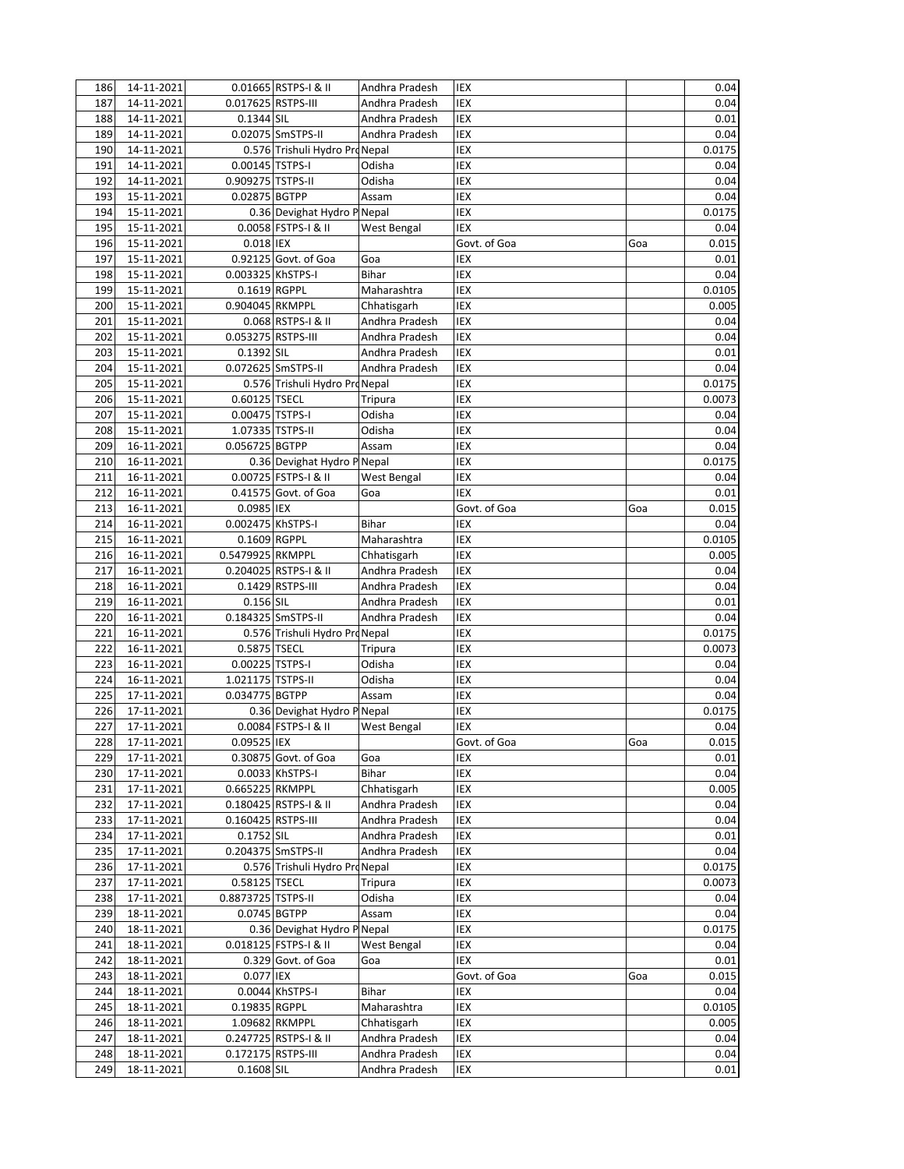| 186        | 14-11-2021               |                    | 0.01665 RSTPS-I & II           | Andhra Pradesh                   | IEX          |     | 0.04         |
|------------|--------------------------|--------------------|--------------------------------|----------------------------------|--------------|-----|--------------|
| 187        | 14-11-2021               | 0.017625 RSTPS-III |                                | Andhra Pradesh                   | IEX          |     | 0.04         |
| 188        | 14-11-2021               | 0.1344 SIL         |                                | Andhra Pradesh                   | IEX          |     | 0.01         |
| 189        | 14-11-2021               |                    | 0.02075 SmSTPS-II              | Andhra Pradesh                   | IEX          |     | 0.04         |
| 190        | 14-11-2021               |                    | 0.576 Trishuli Hydro Pro Nepal |                                  | IEX          |     | 0.0175       |
| 191        | 14-11-2021               | 0.00145 TSTPS-I    |                                | Odisha                           | IEX          |     | 0.04         |
| 192        | 14-11-2021               | 0.909275 TSTPS-II  |                                | Odisha                           | IEX          |     | 0.04         |
| 193        | 15-11-2021               | 0.02875 BGTPP      |                                | Assam                            | IEX          |     | 0.04         |
| 194        | 15-11-2021               |                    | 0.36 Devighat Hydro P Nepal    |                                  | IEX          |     | 0.0175       |
| 195        | 15-11-2021               |                    | 0.0058 FSTPS-I & II            | West Bengal                      | IEX          |     | 0.04         |
| 196        | 15-11-2021               | 0.018 IEX          |                                |                                  | Govt. of Goa | Goa | 0.015        |
| 197        | 15-11-2021               |                    | 0.92125 Govt. of Goa           | Goa                              | IEX          |     | 0.01         |
| 198        | 15-11-2021               | 0.003325 KhSTPS-I  |                                | <b>Bihar</b>                     | IEX          |     | 0.04         |
| 199        | 15-11-2021               | $0.1619$ RGPPL     |                                | Maharashtra                      | <b>IEX</b>   |     | 0.0105       |
| 200        | 15-11-2021               | 0.904045 RKMPPL    |                                | Chhatisgarh                      | <b>IEX</b>   |     | 0.005        |
| 201        | 15-11-2021               |                    | 0.068 RSTPS-I & II             | Andhra Pradesh                   | IEX          |     | 0.04         |
| 202        | 15-11-2021               | 0.053275 RSTPS-III |                                | Andhra Pradesh                   | IEX          |     | 0.04         |
| 203        | 15-11-2021               | 0.1392 SIL         |                                | Andhra Pradesh                   | IEX          |     | 0.01         |
| 204        | 15-11-2021               |                    | 0.072625 SmSTPS-II             | Andhra Pradesh                   | IEX          |     | 0.04         |
| 205        | 15-11-2021               |                    | 0.576 Trishuli Hydro ProNepal  |                                  | IEX          |     | 0.0175       |
| 206        | 15-11-2021               | 0.60125 TSECL      |                                | Tripura                          | IEX          |     | 0.0073       |
| 207        | 15-11-2021               | 0.00475 TSTPS-I    |                                | Odisha                           | IEX          |     | 0.04         |
| 208        | 15-11-2021               |                    | 1.07335 TSTPS-II               | Odisha                           | IEX          |     | 0.04         |
| 209        | 16-11-2021               | 0.056725 BGTPP     |                                | Assam                            | IEX          |     | 0.04         |
| 210        | 16-11-2021               |                    | 0.36 Devighat Hydro P Nepal    |                                  | IEX          |     | 0.0175       |
| 211        | 16-11-2021               |                    | 0.00725 FSTPS-I & II           | West Bengal                      | IEX          |     | 0.04         |
| 212        | 16-11-2021               |                    | 0.41575 Govt. of Goa           | Goa                              | IEX          |     | 0.01         |
| 213        | 16-11-2021               | 0.0985 IEX         |                                |                                  | Govt. of Goa | Goa | 0.015        |
| 214        | 16-11-2021               | 0.002475 KhSTPS-I  |                                | Bihar                            | IEX          |     | 0.04         |
| 215        | 16-11-2021               | 0.1609 RGPPL       |                                | Maharashtra                      | IEX          |     | 0.0105       |
| 216        | 16-11-2021               | 0.5479925 RKMPPL   |                                | Chhatisgarh                      | IEX          |     | 0.005        |
| 217        | 16-11-2021               |                    | 0.204025 RSTPS-I & II          | Andhra Pradesh                   | IEX          |     | 0.04         |
| 218        | 16-11-2021               |                    | 0.1429 RSTPS-III               | Andhra Pradesh                   | IEX          |     | 0.04         |
| 219        | 16-11-2021               | 0.156 SIL          |                                | Andhra Pradesh                   | IEX          |     | 0.01         |
| 220        | 16-11-2021               |                    | 0.184325 SmSTPS-II             | Andhra Pradesh                   | IEX          |     | 0.04         |
| 221        | 16-11-2021               |                    | 0.576 Trishuli Hydro ProNepal  |                                  | IEX          |     | 0.0175       |
| 222        | 16-11-2021               | 0.5875 TSECL       |                                | Tripura                          | IEX          |     | 0.0073       |
| 223        | 16-11-2021               | 0.00225 TSTPS-I    |                                | Odisha                           | IEX          |     | 0.04         |
| 224        | 16-11-2021               | 1.021175 TSTPS-II  |                                | Odisha                           | IEX          |     | 0.04         |
| 225        | 17-11-2021               | 0.034775 BGTPP     |                                | Assam                            | IEX          |     | 0.04         |
| 226        | 17-11-2021               |                    | 0.36 Devighat Hydro P Nepal    |                                  | IEX          |     | 0.0175       |
| 227        | 17-11-2021               |                    | 0.0084 FSTPS-I & II            | West Bengal                      | IEX          |     | 0.04         |
| 228        | 17-11-2021               | 0.09525 IEX        |                                |                                  | Govt. of Goa | Goa | 0.015        |
| 229        | 17-11-2021               |                    | 0.30875 Govt. of Goa           | Goa                              | IEX          |     | 0.01         |
| 230        | 17-11-2021               |                    | 0.0033 KhSTPS-I                | Bihar                            | IEX          |     | 0.04         |
| 231        | 17-11-2021               | 0.665225 RKMPPL    | 0.180425 RSTPS-I & II          | Chhatisgarh                      | IEX<br>IEX   |     | 0.005        |
| 232<br>233 | 17-11-2021<br>17-11-2021 | 0.160425 RSTPS-III |                                | Andhra Pradesh<br>Andhra Pradesh | IEX          |     | 0.04<br>0.04 |
| 234        | 17-11-2021               | 0.1752 SIL         |                                | Andhra Pradesh                   | IEX          |     | 0.01         |
| 235        | 17-11-2021               |                    | 0.204375 SmSTPS-II             | Andhra Pradesh                   | IEX          |     | 0.04         |
| 236        | 17-11-2021               |                    | 0.576 Trishuli Hydro Pro Nepal |                                  | IEX          |     | 0.0175       |
| 237        | $17 - 11 - 2021$         | 0.58125 TSECL      |                                | Tripura                          | IEX          |     | 0.0073       |
| 238        | 17-11-2021               | 0.8873725 TSTPS-II |                                | Odisha                           | IEX          |     | 0.04         |
| 239        | 18-11-2021               |                    | 0.0745 BGTPP                   | Assam                            | IEX          |     | 0.04         |
| 240        | 18-11-2021               |                    | 0.36 Devighat Hydro P Nepal    |                                  | IEX          |     | 0.0175       |
| 241        | 18-11-2021               |                    | 0.018125 FSTPS-I & II          | West Bengal                      | IEX          |     | 0.04         |
| 242        | 18-11-2021               |                    | 0.329 Govt. of Goa             | Goa                              | IEX          |     | 0.01         |
| 243        | 18-11-2021               | 0.077 IEX          |                                |                                  | Govt. of Goa | Goa | 0.015        |
| 244        | 18-11-2021               |                    | 0.0044 KhSTPS-I                | Bihar                            | IEX          |     | 0.04         |
| 245        | 18-11-2021               | 0.19835 RGPPL      |                                | Maharashtra                      | IEX          |     | 0.0105       |
| 246        | 18-11-2021               |                    | 1.09682 RKMPPL                 | Chhatisgarh                      | IEX          |     | 0.005        |
| 247        | 18-11-2021               |                    | 0.247725 RSTPS-I & II          | Andhra Pradesh                   | IEX          |     | 0.04         |
| 248        | 18-11-2021               | 0.172175 RSTPS-III |                                | Andhra Pradesh                   | IEX          |     | 0.04         |
| 249        | 18-11-2021               | 0.1608 SIL         |                                | Andhra Pradesh                   | IEX          |     | 0.01         |
|            |                          |                    |                                |                                  |              |     |              |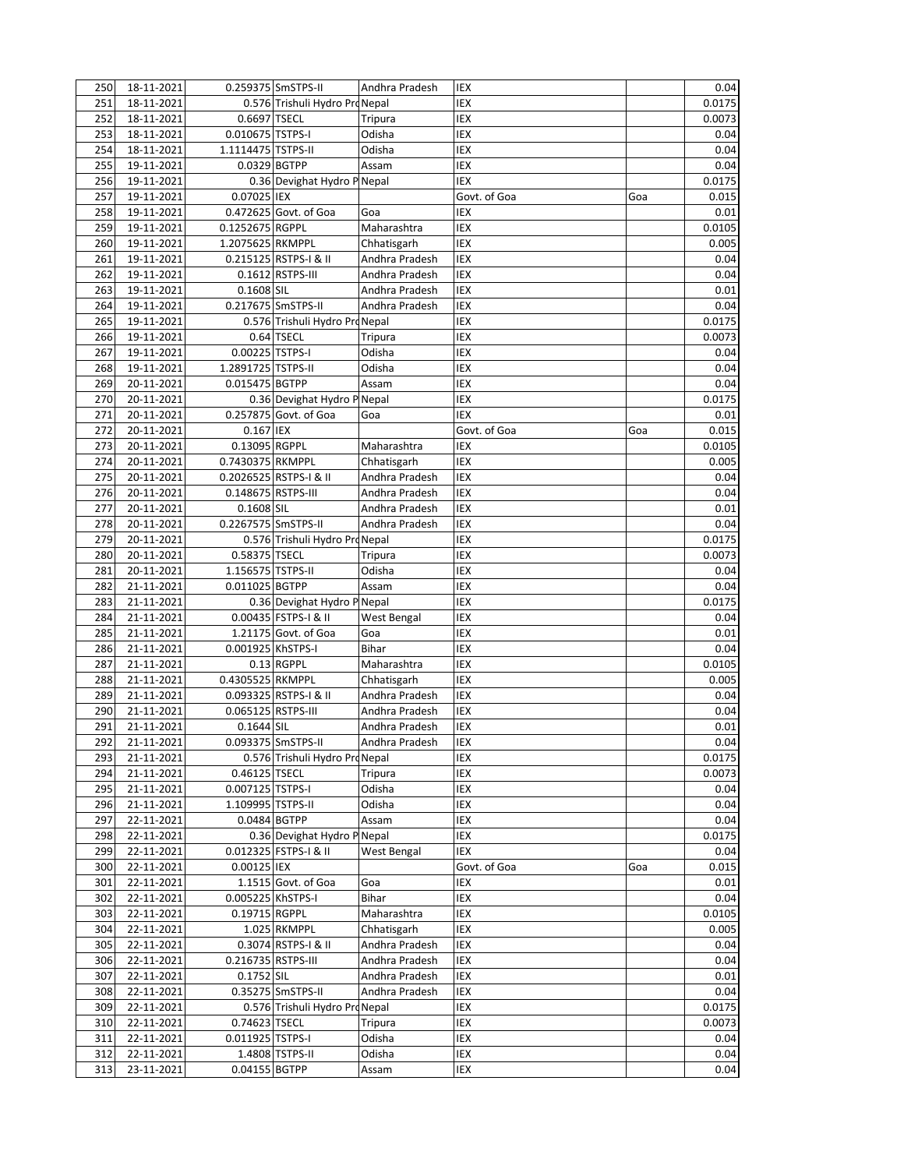| 250 | 18-11-2021               |                     | 0.259375 SmSTPS-II             | Andhra Pradesh | IEX          |     | 0.04   |
|-----|--------------------------|---------------------|--------------------------------|----------------|--------------|-----|--------|
| 251 | 18-11-2021               |                     | 0.576 Trishuli Hydro ProNepal  |                | IEX          |     | 0.0175 |
| 252 | 18-11-2021               | 0.6697 TSECL        |                                | Tripura        | IEX          |     | 0.0073 |
| 253 | 18-11-2021               | 0.010675 TSTPS-I    |                                | Odisha         | IEX          |     | 0.04   |
| 254 | 18-11-2021               | 1.1114475 TSTPS-II  |                                | Odisha         | IEX          |     | 0.04   |
| 255 | 19-11-2021               | 0.0329 BGTPP        |                                | Assam          | IEX          |     | 0.04   |
| 256 | 19-11-2021               |                     | 0.36 Devighat Hydro P Nepal    |                | IEX          |     | 0.0175 |
| 257 | 19-11-2021               | 0.07025 IEX         |                                |                | Govt. of Goa | Goa | 0.015  |
| 258 | 19-11-2021               |                     | 0.472625 Govt. of Goa          | Goa            | IEX          |     | 0.01   |
| 259 | 19-11-2021               | 0.1252675 RGPPL     |                                | Maharashtra    | IEX          |     | 0.0105 |
| 260 | 19-11-2021               | 1.2075625 RKMPPL    |                                | Chhatisgarh    | IEX          |     | 0.005  |
| 261 | 19-11-2021               |                     | 0.215125 RSTPS-I & II          | Andhra Pradesh | IEX          |     | 0.04   |
| 262 | 19-11-2021               |                     | 0.1612 RSTPS-III               | Andhra Pradesh | <b>IEX</b>   |     | 0.04   |
| 263 | 19-11-2021               | 0.1608 SIL          |                                | Andhra Pradesh | <b>IEX</b>   |     | 0.01   |
| 264 | 19-11-2021               |                     | 0.217675 SmSTPS-II             | Andhra Pradesh | IEX          |     | 0.04   |
| 265 | 19-11-2021               |                     | 0.576 Trishuli Hydro ProNepal  |                | IEX          |     | 0.0175 |
| 266 | 19-11-2021               |                     | 0.64 TSECL                     | Tripura        | IEX          |     | 0.0073 |
| 267 | 19-11-2021               | 0.00225 TSTPS-I     |                                | Odisha         | <b>IEX</b>   |     | 0.04   |
| 268 | 19-11-2021               | 1.2891725 TSTPS-II  |                                | Odisha         | IEX          |     | 0.04   |
| 269 | 20-11-2021               | 0.015475 BGTPP      |                                | Assam          | IEX          |     | 0.04   |
| 270 | 20-11-2021               |                     | 0.36 Devighat Hydro P Nepal    |                | IEX          |     | 0.0175 |
| 271 | 20-11-2021               |                     | 0.257875 Govt. of Goa          | Goa            | IEX          |     | 0.01   |
| 272 | 20-11-2021               | 0.167 IEX           |                                |                | Govt. of Goa | Goa | 0.015  |
| 273 | 20-11-2021               | 0.13095 RGPPL       |                                | Maharashtra    | IEX          |     | 0.0105 |
| 274 | 20-11-2021               | 0.7430375 RKMPPL    |                                | Chhatisgarh    | IEX          |     | 0.005  |
| 275 | 20-11-2021               |                     | 0.2026525 RSTPS-I & II         | Andhra Pradesh | IEX          |     | 0.04   |
| 276 | 20-11-2021               | 0.148675 RSTPS-III  |                                | Andhra Pradesh | IEX          |     | 0.04   |
| 277 | 20-11-2021               | 0.1608 SIL          |                                | Andhra Pradesh | IEX          |     | 0.01   |
| 278 | 20-11-2021               | 0.2267575 SmSTPS-II |                                | Andhra Pradesh | IEX          |     | 0.04   |
| 279 | 20-11-2021               |                     | 0.576 Trishuli Hydro Pro Nepal |                | IEX          |     | 0.0175 |
| 280 | 20-11-2021               | 0.58375 TSECL       |                                | <b>Tripura</b> | IEX          |     | 0.0073 |
| 281 | 20-11-2021               | 1.156575 TSTPS-II   |                                | Odisha         | IEX          |     | 0.04   |
| 282 | 21-11-2021               | 0.011025 BGTPP      |                                | Assam          | IEX          |     | 0.04   |
| 283 | $\overline{21}$ -11-2021 |                     | 0.36 Devighat Hydro P Nepal    |                | IEX          |     | 0.0175 |
| 284 | 21-11-2021               |                     | 0.00435 FSTPS-I & II           | West Bengal    | IEX          |     | 0.04   |
| 285 | 21-11-2021               |                     | 1.21175 Govt. of Goa           | Goa            | IEX          |     | 0.01   |
| 286 | 21-11-2021               | 0.001925 KhSTPS-I   |                                | Bihar          | IEX          |     | 0.04   |
| 287 | 21-11-2021               |                     | 0.13 RGPPL                     | Maharashtra    | IEX          |     | 0.0105 |
| 288 | 21-11-2021               | 0.4305525 RKMPPL    |                                | Chhatisgarh    | IEX          |     | 0.005  |
| 289 | 21-11-2021               |                     | 0.093325 RSTPS-I & II          | Andhra Pradesh | <b>IEX</b>   |     | 0.04   |
| 290 | 21-11-2021               | 0.065125 RSTPS-III  |                                | Andhra Pradesh | IEX          |     | 0.04   |
| 291 | 21-11-2021               | 0.1644 SIL          |                                | Andhra Pradesh | IEX          |     | 0.01   |
| 292 | 21-11-2021               |                     | 0.093375 SmSTPS-II             | Andhra Pradesh | IEX          |     | 0.04   |
| 293 | 21-11-2021               |                     | 0.576 Trishuli Hydro Pro Nepal |                | IEX          |     | 0.0175 |
| 294 | 21-11-2021               | 0.46125 TSECL       |                                | Tripura        | IEX          |     | 0.0073 |
| 295 | 21-11-2021               | 0.007125 TSTPS-I    |                                | Odisha         | IEX          |     | 0.04   |
| 296 | 21-11-2021               | 1.109995 TSTPS-II   |                                | Odisha         | IEX          |     | 0.04   |
| 297 | 22-11-2021               | 0.0484 BGTPP        |                                | Assam          | IEX          |     | 0.04   |
| 298 | 22-11-2021               |                     | 0.36 Devighat Hydro P Nepal    |                | IEX          |     | 0.0175 |
| 299 | 22-11-2021               |                     | 0.012325 FSTPS-I & II          | West Bengal    | IEX          |     | 0.04   |
| 300 | 22-11-2021               | 0.00125 IEX         |                                |                | Govt. of Goa | Goa | 0.015  |
| 301 | 22-11-2021               |                     | 1.1515 Govt. of Goa            | Goa            | IEX          |     | 0.01   |
| 302 | 22-11-2021               | 0.005225 KhSTPS-I   |                                | Bihar          | IEX          |     | 0.04   |
| 303 | 22-11-2021               | 0.19715 RGPPL       |                                | Maharashtra    | IEX          |     | 0.0105 |
| 304 | 22-11-2021               |                     | 1.025 RKMPPL                   | Chhatisgarh    | IEX          |     | 0.005  |
| 305 | 22-11-2021               |                     | 0.3074 RSTPS-I & II            | Andhra Pradesh | IEX          |     | 0.04   |
| 306 | 22-11-2021               | 0.216735 RSTPS-III  |                                | Andhra Pradesh | IEX          |     | 0.04   |
| 307 | 22-11-2021               | 0.1752 SIL          |                                | Andhra Pradesh | IEX          |     | 0.01   |
| 308 | 22-11-2021               |                     | 0.35275 SmSTPS-II              | Andhra Pradesh | IEX          |     | 0.04   |
| 309 | 22-11-2021               |                     | 0.576 Trishuli Hydro Pro Nepal |                | IEX          |     | 0.0175 |
| 310 | 22-11-2021               | 0.74623 TSECL       |                                | Tripura        | IEX          |     | 0.0073 |
| 311 | 22-11-2021               | 0.011925 TSTPS-I    |                                | Odisha         | IEX          |     | 0.04   |
| 312 | 22-11-2021               |                     | 1.4808 TSTPS-II                | Odisha         | IEX          |     | 0.04   |
| 313 | 23-11-2021               | 0.04155 BGTPP       |                                | Assam          | IEX          |     | 0.04   |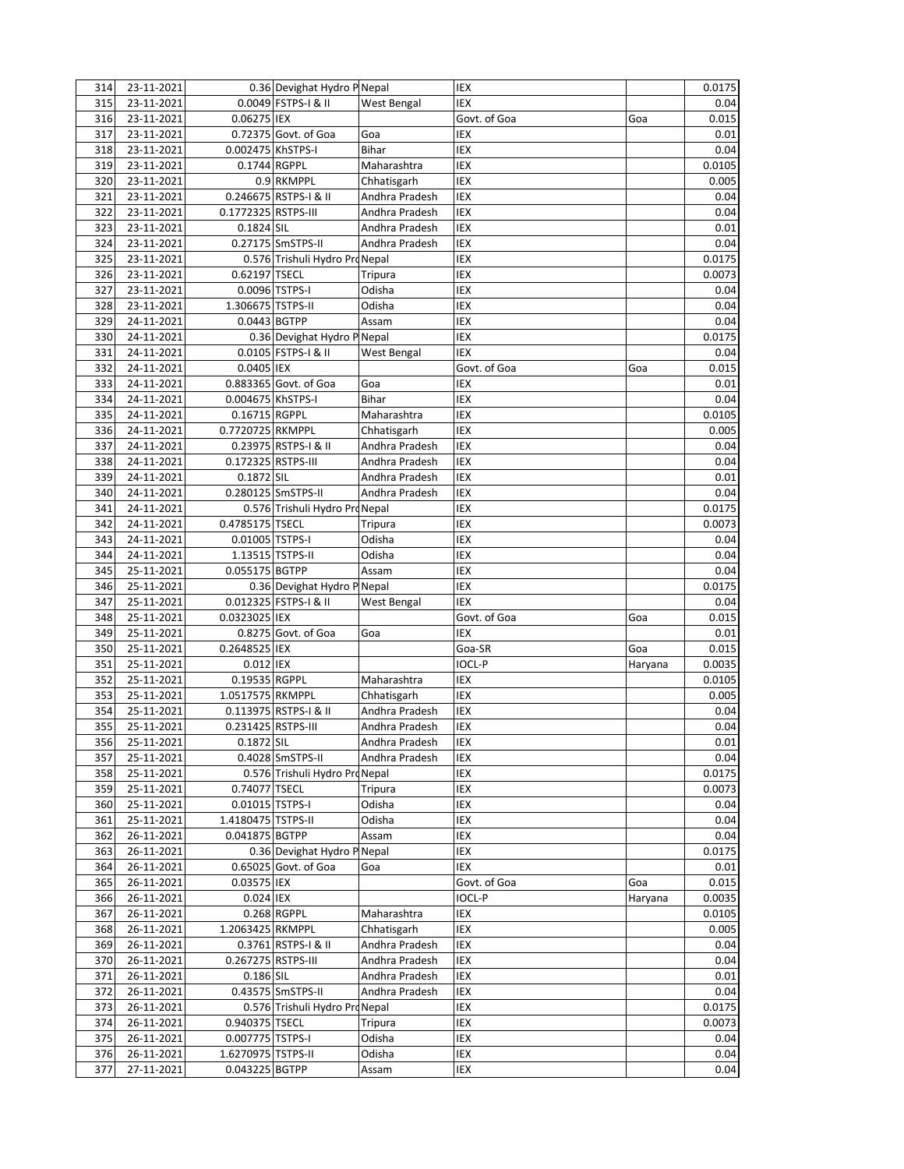| 314 | 23-11-2021 |                     | 0.36 Devighat Hydro P Nepal    |                | IEX          |         | 0.0175   |
|-----|------------|---------------------|--------------------------------|----------------|--------------|---------|----------|
| 315 | 23-11-2021 |                     | 0.0049 FSTPS-I & II            | West Bengal    | IEX          |         | 0.04     |
| 316 | 23-11-2021 | 0.06275 IEX         |                                |                | Govt. of Goa | Goa     | 0.015    |
| 317 | 23-11-2021 |                     | 0.72375 Govt. of Goa           | Goa            | IEX          |         | 0.01     |
| 318 | 23-11-2021 | 0.002475 KhSTPS-I   |                                | Bihar          | IEX          |         | 0.04     |
| 319 | 23-11-2021 | 0.1744 RGPPL        |                                | Maharashtra    | <b>IEX</b>   |         | 0.0105   |
| 320 | 23-11-2021 |                     | 0.9 RKMPPL                     | Chhatisgarh    | <b>IEX</b>   |         | 0.005    |
| 321 | 23-11-2021 |                     | 0.246675 RSTPS-I & II          | Andhra Pradesh | IEX          |         | 0.04     |
| 322 | 23-11-2021 | 0.1772325 RSTPS-III |                                | Andhra Pradesh | IEX          |         | 0.04     |
| 323 | 23-11-2021 | 0.1824 SIL          |                                | Andhra Pradesh | <b>IEX</b>   |         | 0.01     |
| 324 | 23-11-2021 |                     | 0.27175 SmSTPS-II              | Andhra Pradesh | <b>IEX</b>   |         | 0.04     |
| 325 | 23-11-2021 |                     | 0.576 Trishuli Hydro ProNepal  |                | IEX          |         | 0.0175   |
| 326 | 23-11-2021 | 0.62197 TSECL       |                                | Tripura        | IEX          |         | 0.0073   |
| 327 | 23-11-2021 |                     | 0.0096 TSTPS-I                 | Odisha         | IEX          |         | 0.04     |
| 328 | 23-11-2021 | 1.306675 TSTPS-II   |                                | Odisha         | IEX          |         | 0.04     |
| 329 | 24-11-2021 | 0.0443 BGTPP        |                                | Assam          | IEX          |         | 0.04     |
| 330 | 24-11-2021 |                     | 0.36 Devighat Hydro P Nepal    |                | IEX          |         | 0.0175   |
| 331 | 24-11-2021 |                     | 0.0105 FSTPS-I & II            | West Bengal    | IEX          |         | 0.04     |
| 332 | 24-11-2021 | 0.0405 IEX          |                                |                | Govt. of Goa | Goa     | 0.015    |
| 333 | 24-11-2021 |                     | 0.883365 Govt. of Goa          | Goa            | IEX          |         | 0.01     |
| 334 | 24-11-2021 | 0.004675 KhSTPS-I   |                                | Bihar          | IEX          |         | 0.04     |
| 335 | 24-11-2021 | 0.16715 RGPPL       |                                | Maharashtra    | IEX          |         | 0.0105   |
| 336 | 24-11-2021 | 0.7720725 RKMPPL    |                                | Chhatisgarh    | IEX          |         | 0.005    |
| 337 | 24-11-2021 |                     | 0.23975 RSTPS-I & II           | Andhra Pradesh | IEX          |         | 0.04     |
| 338 | 24-11-2021 | 0.172325 RSTPS-III  |                                | Andhra Pradesh | IEX          |         | 0.04     |
| 339 | 24-11-2021 | 0.1872 SIL          |                                | Andhra Pradesh | IEX          |         | 0.01     |
| 340 | 24-11-2021 |                     | 0.280125 SmSTPS-II             | Andhra Pradesh | IEX          |         | 0.04     |
| 341 | 24-11-2021 |                     | 0.576 Trishuli Hydro ProNepal  |                | IEX          |         | 0.0175   |
| 342 | 24-11-2021 | 0.4785175 TSECL     |                                | Tripura        | IEX          |         | 0.0073   |
| 343 | 24-11-2021 | 0.01005 TSTPS-I     |                                | Odisha         | IEX          |         | 0.04     |
| 344 | 24-11-2021 | 1.13515 TSTPS-II    |                                | Odisha         | IEX          |         | 0.04     |
| 345 | 25-11-2021 | 0.055175 BGTPP      |                                | Assam          | IEX          |         | 0.04     |
| 346 | 25-11-2021 |                     | 0.36 Devighat Hydro P Nepal    |                | IEX          |         | 0.0175   |
| 347 | 25-11-2021 |                     | 0.012325 FSTPS-I & II          | West Bengal    | IEX          |         | 0.04     |
| 348 | 25-11-2021 | 0.0323025 IEX       |                                |                | Govt. of Goa | Goa     | 0.015    |
| 349 | 25-11-2021 |                     | 0.8275 Govt. of Goa            | Goa            | <b>IEX</b>   |         | 0.01     |
| 350 | 25-11-2021 | 0.2648525 IEX       |                                |                | Goa-SR       | Goa     | 0.015    |
| 351 | 25-11-2021 | 0.012 IEX           |                                |                | IOCL-P       | Haryana | 0.0035   |
| 352 | 25-11-2021 | 0.19535 RGPPL       |                                | Maharashtra    | IEX          |         | 0.0105   |
| 353 | 25-11-2021 | 1.0517575 RKMPPL    |                                | Chhatisgarh    | IEX          |         | 0.005    |
| 354 | 25-11-2021 |                     | 0.113975 RSTPS-I & II          | Andhra Pradesh | <b>IEX</b>   |         | 0.04     |
| 355 | 25-11-2021 | 0.231425 RSTPS-III  |                                | Andhra Pradesh | IEX          |         | 0.04     |
| 356 | 25-11-2021 | 0.1872 SIL          |                                | Andhra Pradesh | IEX          |         | $0.01\,$ |
| 357 | 25-11-2021 |                     | 0.4028 SmSTPS-II               | Andhra Pradesh | IEX          |         | 0.04     |
| 358 | 25-11-2021 |                     | 0.576 Trishuli Hydro Pro Nepal |                | IEX          |         | 0.0175   |
| 359 | 25-11-2021 | 0.74077 TSECL       |                                | Tripura        | IEX          |         | 0.0073   |
| 360 | 25-11-2021 | 0.01015 TSTPS-I     |                                | Odisha         | IEX          |         | 0.04     |
| 361 | 25-11-2021 | 1.4180475 TSTPS-II  |                                | Odisha         | IEX          |         | 0.04     |
| 362 | 26-11-2021 | 0.041875 BGTPP      |                                | Assam          | IEX          |         | 0.04     |
| 363 | 26-11-2021 |                     | 0.36 Devighat Hydro P Nepal    |                | IEX          |         | 0.0175   |
| 364 | 26-11-2021 |                     | 0.65025 Govt. of Goa           | Goa            | IEX          |         | 0.01     |
| 365 | 26-11-2021 | 0.03575 IEX         |                                |                | Govt. of Goa | Goa     | 0.015    |
| 366 | 26-11-2021 | 0.024 IEX           |                                |                | IOCL-P       | Haryana | 0.0035   |
| 367 | 26-11-2021 |                     | 0.268 RGPPL                    | Maharashtra    | IEX          |         | 0.0105   |
| 368 | 26-11-2021 | 1.2063425 RKMPPL    |                                | Chhatisgarh    | IEX          |         | 0.005    |
| 369 | 26-11-2021 |                     | 0.3761 RSTPS-I & II            | Andhra Pradesh | IEX          |         | 0.04     |
| 370 | 26-11-2021 | 0.267275 RSTPS-III  |                                | Andhra Pradesh | IEX          |         | 0.04     |
| 371 | 26-11-2021 | 0.186 SIL           |                                | Andhra Pradesh | IEX          |         | 0.01     |
| 372 | 26-11-2021 |                     | 0.43575 SmSTPS-II              | Andhra Pradesh | IEX          |         | 0.04     |
| 373 | 26-11-2021 |                     | 0.576 Trishuli Hydro Pro Nepal |                | IEX          |         | 0.0175   |
| 374 | 26-11-2021 | 0.940375 TSECL      |                                | <b>Tripura</b> | IEX          |         | 0.0073   |
| 375 | 26-11-2021 | 0.007775 TSTPS-I    |                                | Odisha         | IEX          |         | 0.04     |
| 376 | 26-11-2021 | 1.6270975 TSTPS-II  |                                | Odisha         | IEX          |         | 0.04     |
| 377 | 27-11-2021 | 0.043225 BGTPP      |                                | Assam          | IEX          |         | 0.04     |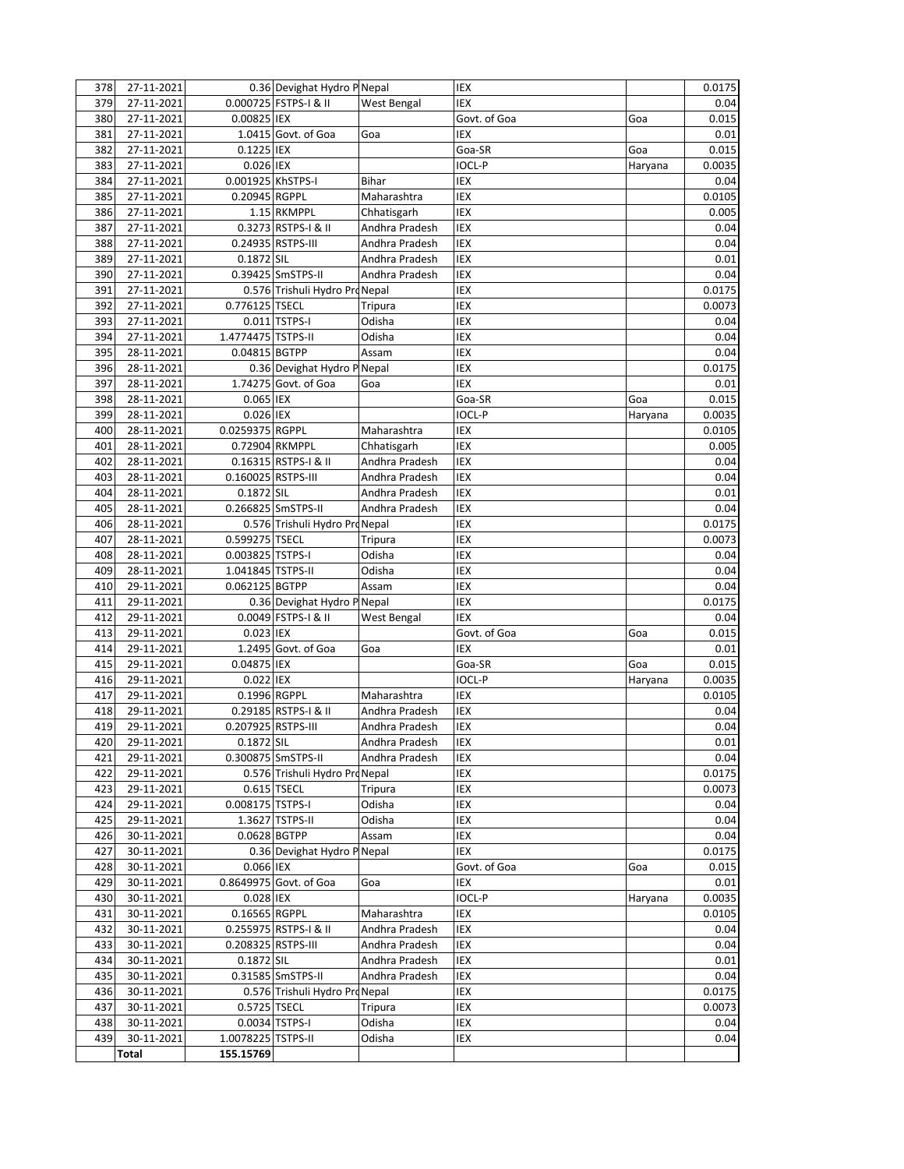| 378 | 27-11-2021 |                    | 0.36 Devighat Hydro P Nepal    |                | IEX           |         | 0.0175   |
|-----|------------|--------------------|--------------------------------|----------------|---------------|---------|----------|
| 379 | 27-11-2021 |                    | 0.000725 FSTPS-I & II          | West Bengal    | IEX           |         | 0.04     |
| 380 | 27-11-2021 | 0.00825 IEX        |                                |                | Govt. of Goa  | Goa     | 0.015    |
| 381 | 27-11-2021 |                    | 1.0415 Govt. of Goa            | Goa            | IEX           |         | 0.01     |
| 382 | 27-11-2021 | 0.1225 IEX         |                                |                | Goa-SR        | Goa     | 0.015    |
| 383 | 27-11-2021 | 0.026 IEX          |                                |                | IOCL-P        | Haryana | 0.0035   |
| 384 | 27-11-2021 | 0.001925 KhSTPS-I  |                                | <b>Bihar</b>   | IEX           |         | 0.04     |
| 385 | 27-11-2021 | 0.20945 RGPPL      |                                | Maharashtra    | IEX           |         | 0.0105   |
| 386 | 27-11-2021 |                    | 1.15 RKMPPL                    | Chhatisgarh    | IEX           |         | 0.005    |
| 387 | 27-11-2021 |                    | 0.3273 RSTPS-I & II            | Andhra Pradesh | IEX           |         | 0.04     |
| 388 | 27-11-2021 |                    | 0.24935 RSTPS-III              | Andhra Pradesh | <b>IEX</b>    |         | 0.04     |
| 389 | 27-11-2021 | 0.1872 SIL         |                                | Andhra Pradesh | IEX           |         | 0.01     |
| 390 | 27-11-2021 |                    | 0.39425 SmSTPS-II              | Andhra Pradesh | IEX           |         | 0.04     |
|     | 27-11-2021 |                    | 0.576 Trishuli Hydro Pro Nepal |                | IEX           |         |          |
| 391 | 27-11-2021 |                    |                                |                |               |         | 0.0175   |
| 392 |            | 0.776125 TSECL     |                                | Tripura        | IEX           |         | 0.0073   |
| 393 | 27-11-2021 |                    | 0.011 TSTPS-I                  | Odisha         | IEX           |         | 0.04     |
| 394 | 27-11-2021 | 1.4774475 TSTPS-II |                                | Odisha         | IEX           |         | 0.04     |
| 395 | 28-11-2021 | 0.04815 BGTPP      |                                | Assam          | IEX           |         | 0.04     |
| 396 | 28-11-2021 |                    | 0.36 Devighat Hydro P Nepal    |                | IEX           |         | 0.0175   |
| 397 | 28-11-2021 |                    | 1.74275 Govt. of Goa           | Goa            | IEX           |         | 0.01     |
| 398 | 28-11-2021 | 0.065 IEX          |                                |                | Goa-SR        | Goa     | 0.015    |
| 399 | 28-11-2021 | 0.026 IEX          |                                |                | IOCL-P        | Haryana | 0.0035   |
| 400 | 28-11-2021 | 0.0259375 RGPPL    |                                | Maharashtra    | IEX           |         | 0.0105   |
| 401 | 28-11-2021 |                    | 0.72904 RKMPPL                 | Chhatisgarh    | IEX           |         | 0.005    |
| 402 | 28-11-2021 |                    | 0.16315 RSTPS-I & II           | Andhra Pradesh | IEX           |         | 0.04     |
| 403 | 28-11-2021 | 0.160025 RSTPS-III |                                | Andhra Pradesh | IEX           |         | 0.04     |
| 404 | 28-11-2021 | 0.1872 SIL         |                                | Andhra Pradesh | IEX           |         | 0.01     |
| 405 | 28-11-2021 |                    | 0.266825 SmSTPS-II             | Andhra Pradesh | IEX           |         | 0.04     |
| 406 | 28-11-2021 |                    | 0.576 Trishuli Hydro ProNepal  |                | IEX           |         | 0.0175   |
| 407 | 28-11-2021 | 0.599275 TSECL     |                                | Tripura        | IEX           |         | 0.0073   |
| 408 | 28-11-2021 | 0.003825 TSTPS-I   |                                | Odisha         | IEX           |         | 0.04     |
| 409 | 28-11-2021 | 1.041845 TSTPS-II  |                                | Odisha         | IEX           |         | 0.04     |
| 410 | 29-11-2021 | 0.062125 BGTPP     |                                | Assam          | IEX           |         | 0.04     |
| 411 | 29-11-2021 |                    | 0.36 Devighat Hydro P Nepal    |                | IEX           |         | 0.0175   |
| 412 | 29-11-2021 |                    | 0.0049 FSTPS-I & II            | West Bengal    | IEX           |         | 0.04     |
| 413 | 29-11-2021 | 0.023 IEX          |                                |                | Govt. of Goa  | Goa     | 0.015    |
| 414 | 29-11-2021 |                    | 1.2495 Govt. of Goa            | Goa            | IEX           |         | 0.01     |
| 415 | 29-11-2021 | 0.04875 IEX        |                                |                | Goa-SR        | Goa     | 0.015    |
| 416 | 29-11-2021 | 0.022 IEX          |                                |                | <b>IOCL-P</b> | Haryana | 0.0035   |
| 417 | 29-11-2021 | 0.1996 RGPPL       |                                | Maharashtra    | IEX           |         | 0.0105   |
| 418 | 29-11-2021 |                    | 0.29185 RSTPS-I & II           | Andhra Pradesh | IEX           |         | 0.04     |
| 419 | 29-11-2021 | 0.207925 RSTPS-III |                                | Andhra Pradesh | IEX           |         | 0.04     |
| 420 | 29-11-2021 | 0.1872 SIL         |                                | Andhra Pradesh | IEX           |         | $0.01\,$ |
| 421 | 29-11-2021 |                    | 0.300875 SmSTPS-II             | Andhra Pradesh | IEX           |         | 0.04     |
| 422 | 29-11-2021 |                    | 0.576 Trishuli Hydro Pr        | d Nepal        | IEX           |         | 0.0175   |
| 423 | 29-11-2021 |                    | 0.615 TSECL                    | Tripura        | IEX           |         | 0.0073   |
| 424 | 29-11-2021 | 0.008175 TSTPS-I   |                                | Odisha         | IEX           |         | 0.04     |
| 425 | 29-11-2021 |                    | 1.3627 TSTPS-II                | Odisha         | IEX           |         | 0.04     |
| 426 | 30-11-2021 | 0.0628 BGTPP       |                                | Assam          | IEX           |         | 0.04     |
|     |            |                    |                                |                |               |         |          |
| 427 | 30-11-2021 |                    | 0.36 Devighat Hydro P Nepal    |                | IEX           |         | 0.0175   |
| 428 | 30-11-2021 | 0.066 IEX          |                                |                | Govt. of Goa  | Goa     | 0.015    |
| 429 | 30-11-2021 |                    | 0.8649975 Govt. of Goa         | Goa            | IEX           |         | 0.01     |
| 430 | 30-11-2021 | 0.028 IEX          |                                |                | IOCL-P        | Haryana | 0.0035   |
| 431 | 30-11-2021 | 0.16565 RGPPL      |                                | Maharashtra    | IEX           |         | 0.0105   |
| 432 | 30-11-2021 |                    | 0.255975 RSTPS-I & II          | Andhra Pradesh | IEX           |         | 0.04     |
| 433 | 30-11-2021 | 0.208325 RSTPS-III |                                | Andhra Pradesh | IEX           |         | 0.04     |
| 434 | 30-11-2021 | 0.1872 SIL         |                                | Andhra Pradesh | IEX           |         | 0.01     |
| 435 | 30-11-2021 |                    | 0.31585 SmSTPS-II              | Andhra Pradesh | IEX           |         | 0.04     |
| 436 | 30-11-2021 |                    | 0.576 Trishuli Hydro ProNepal  |                | IEX           |         | 0.0175   |
| 437 | 30-11-2021 | 0.5725 TSECL       |                                | Tripura        | IEX           |         | 0.0073   |
| 438 | 30-11-2021 |                    | 0.0034 TSTPS-I                 | Odisha         | IEX           |         | 0.04     |
| 439 | 30-11-2021 | 1.0078225 TSTPS-II |                                | Odisha         | IEX           |         | 0.04     |
|     | Total      | 155.15769          |                                |                |               |         |          |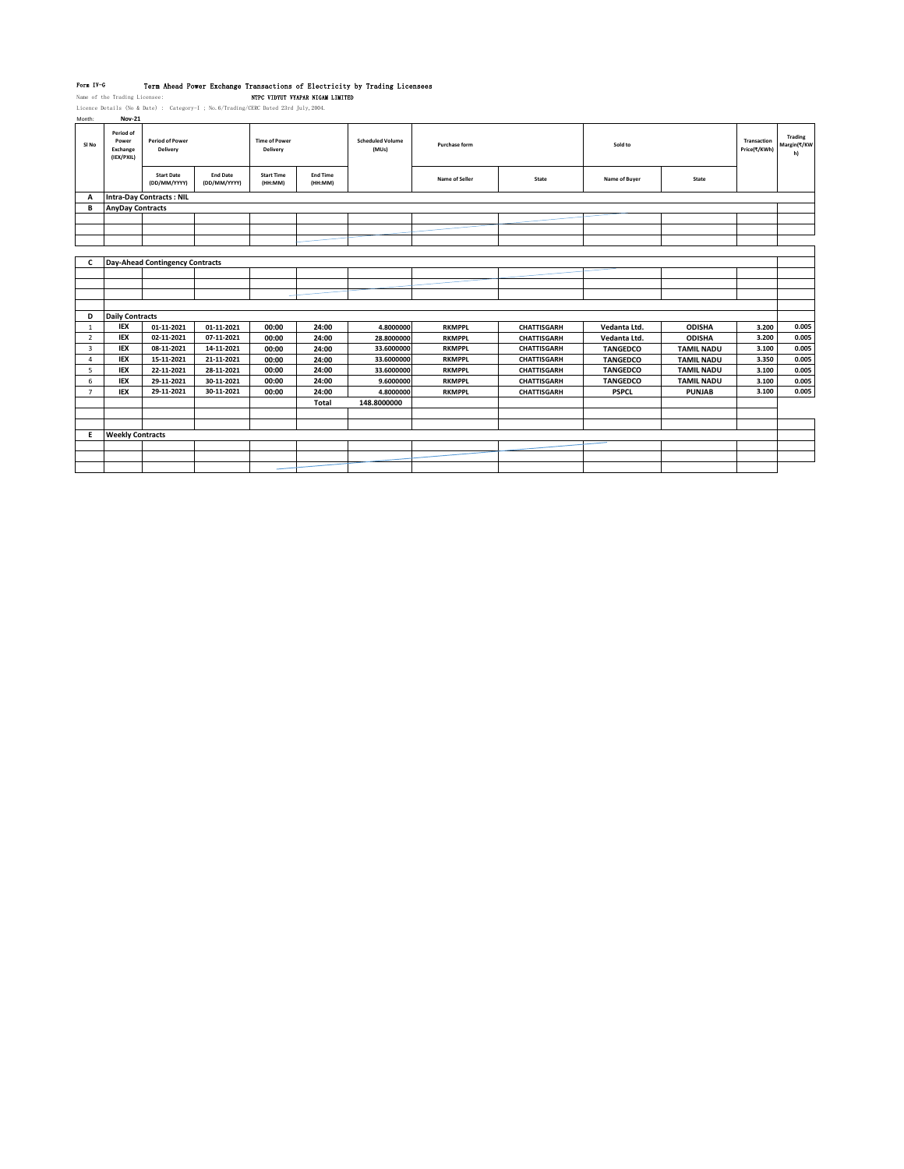Form IV-G Term Ahead Power Exchange Transactions of Electricity by Trading Licensees<br>Name of the Trading Licensee: NTPC VIDYUV VYAPAR NIGAM LIMITED<br>Licence Details (No & Date) : Category-I ; No.6/Trading/CERC Dated 23rd Ju

| month:           | <b>NOV-CT</b>                                |                                        |                                 |                                  |                            |                                  |                |                    |                 |                   |                             |                              |
|------------------|----------------------------------------------|----------------------------------------|---------------------------------|----------------------------------|----------------------------|----------------------------------|----------------|--------------------|-----------------|-------------------|-----------------------------|------------------------------|
| SI <sub>No</sub> | Period of<br>Power<br>Exchange<br>(IEX/PXIL) | <b>Period of Power</b><br>Delivery     |                                 | <b>Time of Power</b><br>Delivery |                            | <b>Scheduled Volume</b><br>(MUs) | Purchase form  |                    | Sold to         |                   | Transaction<br>Price(₹/KWh) | Trading<br>Margin(₹/KW<br>h) |
|                  |                                              | <b>Start Date</b><br>(DD/MM/YYYY)      | <b>End Date</b><br>(DD/MM/YYYY) | <b>Start Time</b><br>(HH:MM)     | <b>End Time</b><br>(HH:MM) |                                  | Name of Seller | State              | Name of Buyer   | State             |                             |                              |
| A                |                                              | <b>Intra-Day Contracts: NIL</b>        |                                 |                                  |                            |                                  |                |                    |                 |                   |                             |                              |
| B                | <b>AnyDay Contracts</b>                      |                                        |                                 |                                  |                            |                                  |                |                    |                 |                   |                             |                              |
|                  |                                              |                                        |                                 |                                  |                            |                                  |                |                    |                 |                   |                             |                              |
|                  |                                              |                                        |                                 |                                  |                            |                                  |                |                    |                 |                   |                             |                              |
|                  |                                              |                                        |                                 |                                  |                            |                                  |                |                    |                 |                   |                             |                              |
|                  |                                              |                                        |                                 |                                  |                            |                                  |                |                    |                 |                   |                             |                              |
| c                |                                              | <b>Day-Ahead Contingency Contracts</b> |                                 |                                  |                            |                                  |                |                    |                 |                   |                             |                              |
|                  |                                              |                                        |                                 |                                  |                            |                                  |                |                    |                 |                   |                             |                              |
|                  |                                              |                                        |                                 |                                  |                            |                                  |                |                    |                 |                   |                             |                              |
|                  |                                              |                                        |                                 |                                  |                            |                                  |                |                    |                 |                   |                             |                              |
|                  |                                              |                                        |                                 |                                  |                            |                                  |                |                    |                 |                   |                             |                              |
| D                | <b>Daily Contracts</b>                       |                                        |                                 |                                  |                            |                                  |                |                    |                 |                   |                             |                              |
| 1                | <b>IEX</b>                                   | 01-11-2021                             | 01-11-2021                      | 00:00                            | 24:00                      | 4.8000000                        | <b>RKMPPL</b>  | <b>CHATTISGARH</b> | Vedanta Ltd.    | <b>ODISHA</b>     | 3.200                       | 0.005                        |
| $\overline{2}$   | <b>IEX</b>                                   | 02-11-2021                             | 07-11-2021                      | 00:00                            | 24:00                      | 28.8000000                       | <b>RKMPPL</b>  | <b>CHATTISGARH</b> | Vedanta Ltd.    | <b>ODISHA</b>     | 3.200                       | 0.005                        |
| 3                | <b>IEX</b>                                   | 08-11-2021                             | 14-11-2021                      | 00:00                            | 24:00                      | 33.6000000                       | <b>RKMPPL</b>  | CHATTISGARH        | <b>TANGEDCO</b> | <b>TAMIL NADU</b> | 3.100                       | 0.005                        |
| 4                | <b>IEX</b>                                   | 15-11-2021                             | 21-11-2021                      | 00:00                            | 24:00                      | 33.6000000                       | <b>RKMPPL</b>  | CHATTISGARH        | <b>TANGEDCO</b> | <b>TAMIL NADU</b> | 3.350                       | 0.005                        |
| 5                | <b>IEX</b>                                   | 22-11-2021                             | 28-11-2021                      | 00:00                            | 24:00                      | 33.6000000                       | <b>RKMPPL</b>  | CHATTISGARH        | <b>TANGEDCO</b> | <b>TAMIL NADU</b> | 3.100                       | 0.005                        |
| 6                | IEX                                          | 29-11-2021                             | 30-11-2021                      | 00:00                            | 24:00                      | 9.6000000                        | <b>RKMPPL</b>  | CHATTISGARH        | <b>TANGEDCO</b> | <b>TAMIL NADU</b> | 3.100                       | 0.005                        |
| $\overline{7}$   | <b>IEX</b>                                   | 29-11-2021                             | 30-11-2021                      | 00:00                            | 24:00                      | 4.8000000                        | <b>RKMPPL</b>  | <b>CHATTISGARH</b> | <b>PSPCL</b>    | <b>PUNJAB</b>     | 3.100                       | 0.005                        |
|                  |                                              |                                        |                                 |                                  | Total                      | 148.8000000                      |                |                    |                 |                   |                             |                              |
|                  |                                              |                                        |                                 |                                  |                            |                                  |                |                    |                 |                   |                             |                              |
|                  |                                              |                                        |                                 |                                  |                            |                                  |                |                    |                 |                   |                             |                              |
| Е                | <b>Weekly Contracts</b>                      |                                        |                                 |                                  |                            |                                  |                |                    |                 |                   |                             |                              |
|                  |                                              |                                        |                                 |                                  |                            |                                  |                |                    |                 |                   |                             |                              |
|                  |                                              |                                        |                                 |                                  |                            |                                  |                |                    |                 |                   |                             |                              |
|                  |                                              |                                        |                                 |                                  |                            |                                  |                |                    |                 |                   |                             |                              |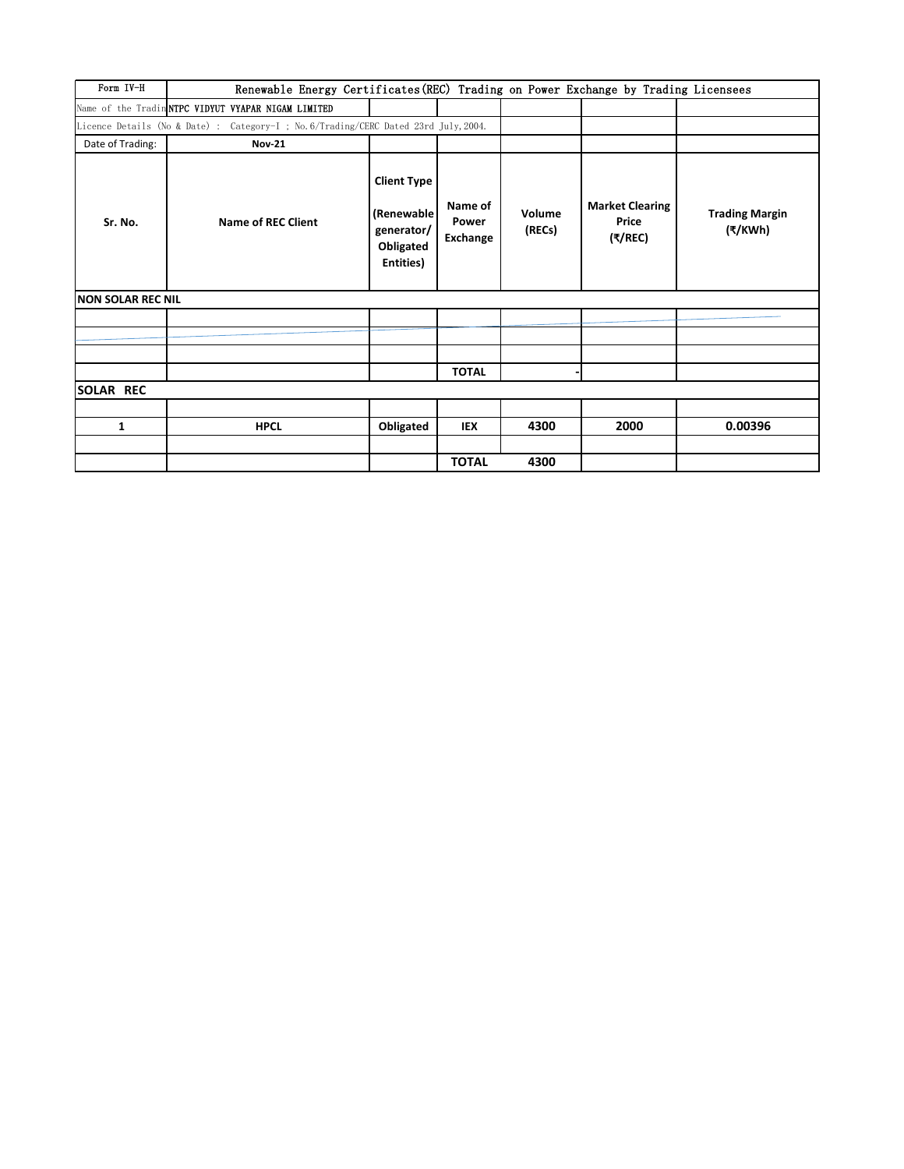| Form IV-H          | Renewable Energy Certificates (REC) Trading on Power Exchange by Trading Licensees   |                                                                           |                              |                  |                                            |                                  |
|--------------------|--------------------------------------------------------------------------------------|---------------------------------------------------------------------------|------------------------------|------------------|--------------------------------------------|----------------------------------|
|                    | Name of the Tradin NTPC VIDYUT VYAPAR NIGAM LIMITED                                  |                                                                           |                              |                  |                                            |                                  |
|                    | Licence Details (No & Date) : Category-I ; No. 6/Trading/CERC Dated 23rd July, 2004. |                                                                           |                              |                  |                                            |                                  |
| Date of Trading:   | <b>Nov-21</b>                                                                        |                                                                           |                              |                  |                                            |                                  |
| Sr. No.            | <b>Name of REC Client</b>                                                            | <b>Client Type</b><br>(Renewable)<br>generator/<br>Obligated<br>Entities) | Name of<br>Power<br>Exchange | Volume<br>(RECs) | <b>Market Clearing</b><br>Price<br>(₹/REC) | <b>Trading Margin</b><br>(₹/KWh) |
| INON SOLAR REC NIL |                                                                                      |                                                                           |                              |                  |                                            |                                  |
|                    |                                                                                      |                                                                           |                              |                  |                                            |                                  |
|                    |                                                                                      |                                                                           |                              |                  |                                            |                                  |
|                    |                                                                                      |                                                                           |                              |                  |                                            |                                  |
|                    |                                                                                      |                                                                           | <b>TOTAL</b>                 |                  |                                            |                                  |
| <b>SOLAR REC</b>   |                                                                                      |                                                                           |                              |                  |                                            |                                  |
|                    |                                                                                      |                                                                           |                              |                  |                                            |                                  |
| 1                  | <b>HPCL</b>                                                                          | Obligated                                                                 | <b>IEX</b>                   | 4300             | 2000                                       | 0.00396                          |
|                    |                                                                                      |                                                                           |                              |                  |                                            |                                  |
|                    |                                                                                      |                                                                           | <b>TOTAL</b>                 | 4300             |                                            |                                  |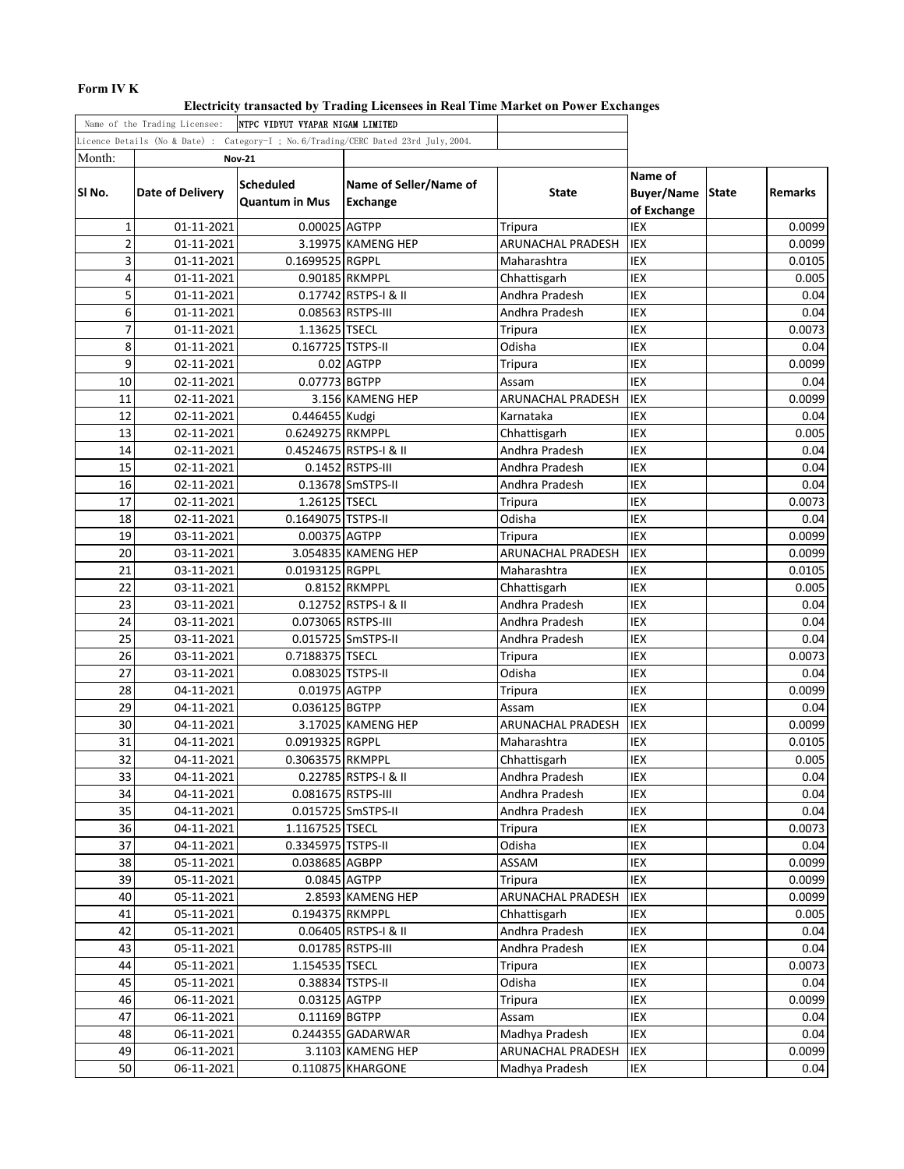## **Form IV K**

**Electricity transacted by Trading Licensees in Real Time Market on Power Exchanges**

|                | Name of the Trading Licensee: | INTPC VIDYUT VYAPAR NIGAM LIMITED         |                                                                                     |                   |                                             |              |         |
|----------------|-------------------------------|-------------------------------------------|-------------------------------------------------------------------------------------|-------------------|---------------------------------------------|--------------|---------|
|                |                               |                                           | Licence Details (No & Date) : Category-I ; No.6/Trading/CERC Dated 23rd July, 2004. |                   |                                             |              |         |
| Month:         |                               | <b>Nov-21</b>                             |                                                                                     |                   |                                             |              |         |
| SI No.         | <b>Date of Delivery</b>       | <b>Scheduled</b><br><b>Quantum in Mus</b> | Name of Seller/Name of<br>Exchange                                                  | <b>State</b>      | Name of<br><b>Buyer/Name</b><br>of Exchange | <b>State</b> | Remarks |
| 1              | 01-11-2021                    | 0.00025 AGTPP                             |                                                                                     | Tripura           | IEX                                         |              | 0.0099  |
| $\overline{2}$ | 01-11-2021                    |                                           | 3.19975 KAMENG HEP                                                                  | ARUNACHAL PRADESH | <b>IEX</b>                                  |              | 0.0099  |
| 3              | 01-11-2021                    | 0.1699525 RGPPL                           |                                                                                     | Maharashtra       | IEX                                         |              | 0.0105  |
| 4              | 01-11-2021                    |                                           | 0.90185 RKMPPL                                                                      | Chhattisgarh      | IEX                                         |              | 0.005   |
| 5              | 01-11-2021                    |                                           | 0.17742 RSTPS-I & II                                                                | Andhra Pradesh    | IEX                                         |              | 0.04    |
| 6              | 01-11-2021                    |                                           | 0.08563 RSTPS-III                                                                   | Andhra Pradesh    | <b>IEX</b>                                  |              | 0.04    |
| $\overline{7}$ | 01-11-2021                    | 1.13625 TSECL                             |                                                                                     | Tripura           | IEX                                         |              | 0.0073  |
| 8              | 01-11-2021                    | 0.167725 TSTPS-II                         |                                                                                     | Odisha            | IEX                                         |              | 0.04    |
| 9              | 02-11-2021                    |                                           | 0.02 AGTPP                                                                          | Tripura           | IEX                                         |              | 0.0099  |
| 10             | 02-11-2021                    | 0.07773 BGTPP                             |                                                                                     | Assam             | <b>IEX</b>                                  |              | 0.04    |
| 11             | 02-11-2021                    |                                           | 3.156 KAMENG HEP                                                                    | ARUNACHAL PRADESH | IEX                                         |              | 0.0099  |
| 12             | 02-11-2021                    | 0.446455 Kudgi                            |                                                                                     | Karnataka         | IEX                                         |              | 0.04    |
| 13             | 02-11-2021                    | 0.6249275 RKMPPL                          |                                                                                     | Chhattisgarh      | IEX                                         |              | 0.005   |
| 14             | 02-11-2021                    |                                           | 0.4524675 RSTPS-I & II                                                              | Andhra Pradesh    | IEX                                         |              | 0.04    |
| 15             | 02-11-2021                    |                                           | 0.1452 RSTPS-III                                                                    | Andhra Pradesh    | IEX                                         |              | 0.04    |
| 16             | 02-11-2021                    |                                           | 0.13678 SmSTPS-II                                                                   | Andhra Pradesh    | IEX                                         |              | 0.04    |
| 17             | 02-11-2021                    | 1.26125 TSECL                             |                                                                                     | Tripura           | IEX                                         |              | 0.0073  |
| 18             | 02-11-2021                    | 0.1649075 TSTPS-II                        |                                                                                     | Odisha            | IEX                                         |              | 0.04    |
| 19             | 03-11-2021                    | 0.00375 AGTPP                             |                                                                                     | Tripura           | IEX                                         |              | 0.0099  |
| 20             | 03-11-2021                    |                                           | 3.054835 KAMENG HEP                                                                 | ARUNACHAL PRADESH | IEX                                         |              | 0.0099  |
| 21             | 03-11-2021                    | 0.0193125 RGPPL                           |                                                                                     | Maharashtra       | IEX                                         |              | 0.0105  |
| 22             | 03-11-2021                    |                                           | 0.8152 RKMPPL                                                                       | Chhattisgarh      | <b>IEX</b>                                  |              | 0.005   |
| 23             | 03-11-2021                    |                                           | 0.12752 RSTPS-I & II                                                                | Andhra Pradesh    | IEX                                         |              | 0.04    |
| 24             | 03-11-2021                    | 0.073065 RSTPS-III                        |                                                                                     | Andhra Pradesh    | IEX                                         |              | 0.04    |
| 25             | 03-11-2021                    |                                           | 0.015725 SmSTPS-II                                                                  | Andhra Pradesh    | IEX                                         |              | 0.04    |
| 26             | 03-11-2021                    | 0.7188375 TSECL                           |                                                                                     | Tripura           | IEX                                         |              | 0.0073  |
| 27             | 03-11-2021                    | 0.083025 TSTPS-II                         |                                                                                     | Odisha            | IEX                                         |              | 0.04    |
| 28             | 04-11-2021                    | 0.01975 AGTPP                             |                                                                                     | Tripura           | IEX                                         |              | 0.0099  |
| 29             | 04-11-2021                    | 0.036125 BGTPP                            |                                                                                     | Assam             | IEX                                         |              | 0.04    |
| 30             | 04-11-2021                    |                                           | 3.17025 KAMENG HEP                                                                  | ARUNACHAL PRADESH | IEX                                         |              | 0.0099  |
| 31             | 04-11-2021                    | 0.0919325 RGPPL                           |                                                                                     | Maharashtra       | IEX                                         |              | 0.0105  |
| 32             | 04-11-2021                    | 0.3063575 RKMPPL                          |                                                                                     | Chhattisgarh      | IEX                                         |              | 0.005   |
| 33             | 04-11-2021                    |                                           | 0.22785 RSTPS-I & II                                                                | Andhra Pradesh    | IEX                                         |              | 0.04    |
| 34             | 04-11-2021                    |                                           | 0.081675 RSTPS-III                                                                  | Andhra Pradesh    | IEX                                         |              | 0.04    |
| 35             | 04-11-2021                    |                                           | 0.015725 SmSTPS-II                                                                  | Andhra Pradesh    | IEX                                         |              | 0.04    |
| 36             | 04-11-2021                    | 1.1167525 TSECL                           |                                                                                     | Tripura           | IEX                                         |              | 0.0073  |
| 37             | 04-11-2021                    | 0.3345975 TSTPS-II                        |                                                                                     | Odisha            | IEX                                         |              | 0.04    |
| 38             | 05-11-2021                    | 0.038685 AGBPP                            |                                                                                     | ASSAM             | IEX                                         |              | 0.0099  |
| 39             | 05-11-2021                    |                                           | 0.0845 AGTPP                                                                        | Tripura           | <b>IEX</b>                                  |              | 0.0099  |
| 40             | 05-11-2021                    |                                           | 2.8593 KAMENG HEP                                                                   | ARUNACHAL PRADESH | IEX                                         |              | 0.0099  |
| 41             | 05-11-2021                    | 0.194375 RKMPPL                           |                                                                                     | Chhattisgarh      | IEX                                         |              | 0.005   |
| 42             | 05-11-2021                    |                                           | 0.06405 RSTPS-I & II                                                                | Andhra Pradesh    | IEX                                         |              | 0.04    |
| 43             | 05-11-2021                    |                                           | 0.01785 RSTPS-III                                                                   | Andhra Pradesh    | IEX                                         |              | 0.04    |
| 44             | 05-11-2021                    | 1.154535 TSECL                            |                                                                                     | Tripura           | IEX                                         |              | 0.0073  |
| 45             | 05-11-2021                    |                                           | 0.38834 TSTPS-II                                                                    | Odisha            | IEX                                         |              | 0.04    |
| 46             | 06-11-2021                    | 0.03125 AGTPP                             |                                                                                     | Tripura           | IEX                                         |              | 0.0099  |
| 47             | 06-11-2021                    | 0.11169 BGTPP                             |                                                                                     | Assam             | IEX                                         |              | 0.04    |
| 48             | 06-11-2021                    |                                           | 0.244355 GADARWAR                                                                   | Madhya Pradesh    | IEX                                         |              | 0.04    |
| 49             | 06-11-2021                    |                                           | 3.1103 KAMENG HEP                                                                   | ARUNACHAL PRADESH | IEX                                         |              | 0.0099  |
| 50             | 06-11-2021                    |                                           | 0.110875 KHARGONE                                                                   | Madhya Pradesh    | IEX                                         |              | 0.04    |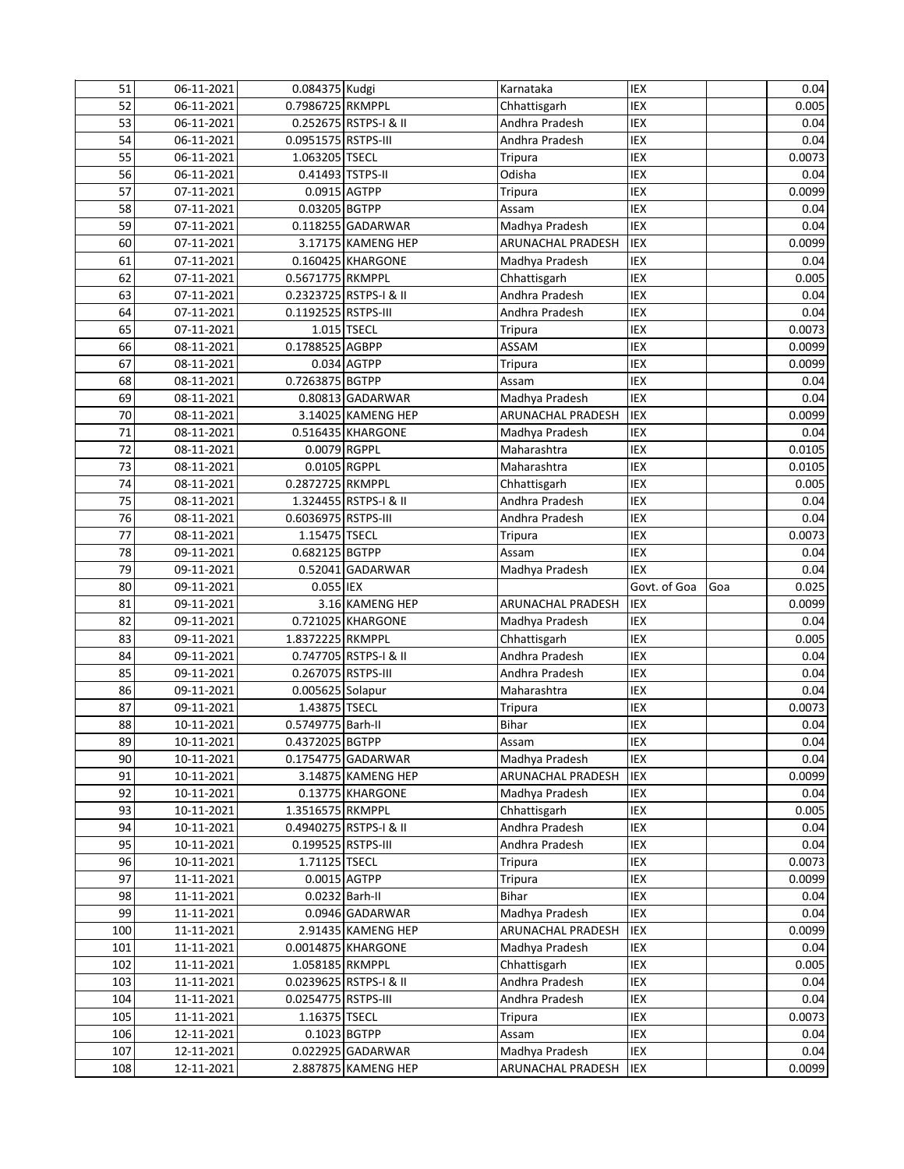| 51         | 06-11-2021               | 0.084375 Kudgi      |                                          | Karnataka                           | IEX          |     | 0.04                                                                                                                                                                                |
|------------|--------------------------|---------------------|------------------------------------------|-------------------------------------|--------------|-----|-------------------------------------------------------------------------------------------------------------------------------------------------------------------------------------|
| 52         | 06-11-2021               | 0.7986725 RKMPPL    |                                          | Chhattisgarh                        | IEX          |     | 0.005                                                                                                                                                                               |
| 53         | 06-11-2021               |                     | 0.252675 RSTPS-I & II                    | Andhra Pradesh                      | IEX          |     | 0.04                                                                                                                                                                                |
| 54         | 06-11-2021               | 0.0951575 RSTPS-III |                                          | Andhra Pradesh                      | IEX          |     | 0.04                                                                                                                                                                                |
| 55         | 06-11-2021               | 1.063205 TSECL      |                                          | <b>Tripura</b>                      | IEX          |     | 0.0073                                                                                                                                                                              |
| 56         | 06-11-2021               | 0.41493 TSTPS-II    |                                          | Odisha                              | IEX          |     | 0.04                                                                                                                                                                                |
| 57         | 07-11-2021               | $0.0915$ $AGTPP$    |                                          | Tripura                             | IEX          |     | 0.0099                                                                                                                                                                              |
| 58         | 07-11-2021               | 0.03205 BGTPP       |                                          | Assam                               | IEX          |     | 0.04                                                                                                                                                                                |
| 59         | 07-11-2021               |                     | $0.118255$ GADARWAR                      | Madhya Pradesh                      | IEX          |     | 0.04                                                                                                                                                                                |
| 60         | 07-11-2021               |                     | 3.17175 KAMENG HEP                       | ARUNACHAL PRADESH                   | IEX          |     | 0.0099                                                                                                                                                                              |
| 61         | 07-11-2021               |                     | 0.160425 KHARGONE                        | Madhya Pradesh                      | IEX          |     | 0.04                                                                                                                                                                                |
| 62         | 07-11-2021               | 0.5671775 RKMPPL    |                                          | Chhattisgarh                        | IEX          |     | 0.005                                                                                                                                                                               |
| 63         | 07-11-2021               |                     | 0.2323725 RSTPS-I & II                   | Andhra Pradesh                      | IEX          |     | 0.04                                                                                                                                                                                |
| 64         | 07-11-2021               | 0.1192525 RSTPS-III |                                          | Andhra Pradesh                      | IEX          |     | 0.04                                                                                                                                                                                |
| 65         | 07-11-2021               |                     | 1.015 TSECL                              | Tripura                             | IEX          |     | 0.0073                                                                                                                                                                              |
| 66         | 08-11-2021               | 0.1788525 AGBPP     |                                          | ASSAM                               | IEX          |     | 0.0099                                                                                                                                                                              |
| 67         | 08-11-2021               |                     | 0.034 AGTPP                              | Tripura                             | IEX          |     | 0.0099                                                                                                                                                                              |
| 68         | 08-11-2021               | 0.7263875 BGTPP     |                                          | Assam                               | IEX          |     | 0.04                                                                                                                                                                                |
| 69         | 08-11-2021               |                     | 0.80813 GADARWAR                         | Madhya Pradesh                      | IEX          |     | 0.04                                                                                                                                                                                |
| 70         | 08-11-2021               |                     | 3.14025 KAMENG HEP                       | ARUNACHAL PRADESH                   | IEX          |     | 0.0099                                                                                                                                                                              |
| 71         | 08-11-2021               |                     | 0.516435 KHARGONE                        | Madhya Pradesh                      | IEX          |     | 0.04                                                                                                                                                                                |
| 72         | 08-11-2021               | 0.0079 RGPPL        |                                          | Maharashtra                         | IEX          |     | 0.0105                                                                                                                                                                              |
| 73         | 08-11-2021               | 0.0105 RGPPL        |                                          | Maharashtra                         | IEX          |     | 0.0105                                                                                                                                                                              |
| 74         | 08-11-2021               | 0.2872725 RKMPPL    |                                          | Chhattisgarh                        | IEX          |     | 0.005                                                                                                                                                                               |
| 75         | 08-11-2021               |                     | 1.324455 RSTPS-I & II                    | Andhra Pradesh                      | IEX          |     | 0.04                                                                                                                                                                                |
| 76         | 08-11-2021               | 0.6036975 RSTPS-III |                                          | Andhra Pradesh                      | IEX          |     | 0.04                                                                                                                                                                                |
| 77         | 08-11-2021               | 1.15475 TSECL       |                                          | Tripura                             | IEX          |     | 0.0073                                                                                                                                                                              |
| 78         | 09-11-2021               | 0.682125 BGTPP      |                                          | Assam                               | IEX          |     | 0.04                                                                                                                                                                                |
| 79         | 09-11-2021               |                     | 0.52041 GADARWAR                         | Madhya Pradesh                      | IEX          |     | 0.04                                                                                                                                                                                |
|            |                          |                     |                                          |                                     |              |     |                                                                                                                                                                                     |
| 80         | 09-11-2021               | 0.055 IEX           |                                          |                                     | Govt. of Goa | Goa |                                                                                                                                                                                     |
| 81         | 09-11-2021               |                     | 3.16 KAMENG HEP                          | ARUNACHAL PRADESH                   | IEX          |     |                                                                                                                                                                                     |
| 82         | 09-11-2021               |                     | 0.721025 KHARGONE                        | Madhya Pradesh                      | IEX          |     |                                                                                                                                                                                     |
| 83         | 09-11-2021               | 1.8372225 RKMPPL    |                                          | Chhattisgarh                        | IEX          |     |                                                                                                                                                                                     |
| 84         | 09-11-2021               |                     | 0.747705 RSTPS-I & II                    | Andhra Pradesh                      | IEX          |     |                                                                                                                                                                                     |
| 85         | 09-11-2021               | 0.267075 RSTPS-III  |                                          | Andhra Pradesh                      | IEX          |     |                                                                                                                                                                                     |
| 86         | 09-11-2021               | 0.005625 Solapur    |                                          | Maharashtra                         | IEX          |     |                                                                                                                                                                                     |
| 87         | 09-11-2021               | 1.43875 TSECL       |                                          | Tripura                             | IEX          |     |                                                                                                                                                                                     |
| 88         | 10-11-2021               | 0.5749775 Barh-II   |                                          | Bihar                               | IEX          |     |                                                                                                                                                                                     |
| 89         | 10-11-2021               | 0.4372025 BGTPP     |                                          | Assam                               | IEX          |     |                                                                                                                                                                                     |
| 90         | 10-11-2021               |                     | 0.1754775 GADARWAR                       | Madhya Pradesh                      | IEX          |     |                                                                                                                                                                                     |
| 91         | 10-11-2021               |                     | 3.14875 KAMENG HEP                       | ARUNACHAL PRADESH                   | IEX          |     |                                                                                                                                                                                     |
| 92         | 10-11-2021               |                     | 0.13775 KHARGONE                         | Madhya Pradesh                      | IEX          |     |                                                                                                                                                                                     |
| 93         | 10-11-2021               | 1.3516575 RKMPPL    |                                          | Chhattisgarh                        | IEX          |     |                                                                                                                                                                                     |
| 94         | 10-11-2021               |                     | 0.4940275 RSTPS-I & II                   | Andhra Pradesh                      | IEX          |     |                                                                                                                                                                                     |
| 95         | 10-11-2021               | 0.199525 RSTPS-III  |                                          | Andhra Pradesh                      | IEX          |     |                                                                                                                                                                                     |
| 96         | 10-11-2021               | 1.71125 TSECL       |                                          | Tripura                             | IEX          |     |                                                                                                                                                                                     |
| 97         | 11-11-2021               |                     | 0.0015 AGTPP                             | Tripura                             | IEX          |     |                                                                                                                                                                                     |
| 98         | 11-11-2021               | 0.0232 Barh-II      |                                          | Bihar                               | IEX          |     |                                                                                                                                                                                     |
| 99         | 11-11-2021               |                     | 0.0946 GADARWAR                          | Madhya Pradesh                      | IEX          |     |                                                                                                                                                                                     |
| 100        | 11-11-2021               |                     | 2.91435 KAMENG HEP                       | ARUNACHAL PRADESH                   | IEX          |     | 0.025<br>0.0099<br>0.04<br>0.005<br>0.04<br>0.04<br>0.04<br>0.0073<br>0.04<br>0.04<br>0.04<br>0.0099<br>0.04<br>0.005<br>0.04<br>0.04<br>0.0073<br>0.0099<br>0.04<br>0.04<br>0.0099 |
| 101        | 11-11-2021               |                     | 0.0014875 KHARGONE                       | Madhya Pradesh                      | IEX          |     | 0.04                                                                                                                                                                                |
| 102        | 11-11-2021               | 1.058185 RKMPPL     |                                          | Chhattisgarh                        | IEX          |     |                                                                                                                                                                                     |
| 103        | 11-11-2021               |                     | 0.0239625 RSTPS-I & II                   | Andhra Pradesh                      | IEX          |     |                                                                                                                                                                                     |
| 104        | 11-11-2021               | 0.0254775 RSTPS-III |                                          | Andhra Pradesh                      | IEX          |     | 0.005<br>0.04<br>0.04                                                                                                                                                               |
| 105        | 11-11-2021               | 1.16375 TSECL       |                                          | Tripura                             | IEX          |     | 0.0073                                                                                                                                                                              |
| 106        | 12-11-2021               | 0.1023 BGTPP        |                                          | Assam                               | IEX          |     | 0.04                                                                                                                                                                                |
| 107<br>108 | 12-11-2021<br>12-11-2021 |                     | 0.022925 GADARWAR<br>2.887875 KAMENG HEP | Madhya Pradesh<br>ARUNACHAL PRADESH | IEX<br>IEX   |     | 0.04<br>0.0099                                                                                                                                                                      |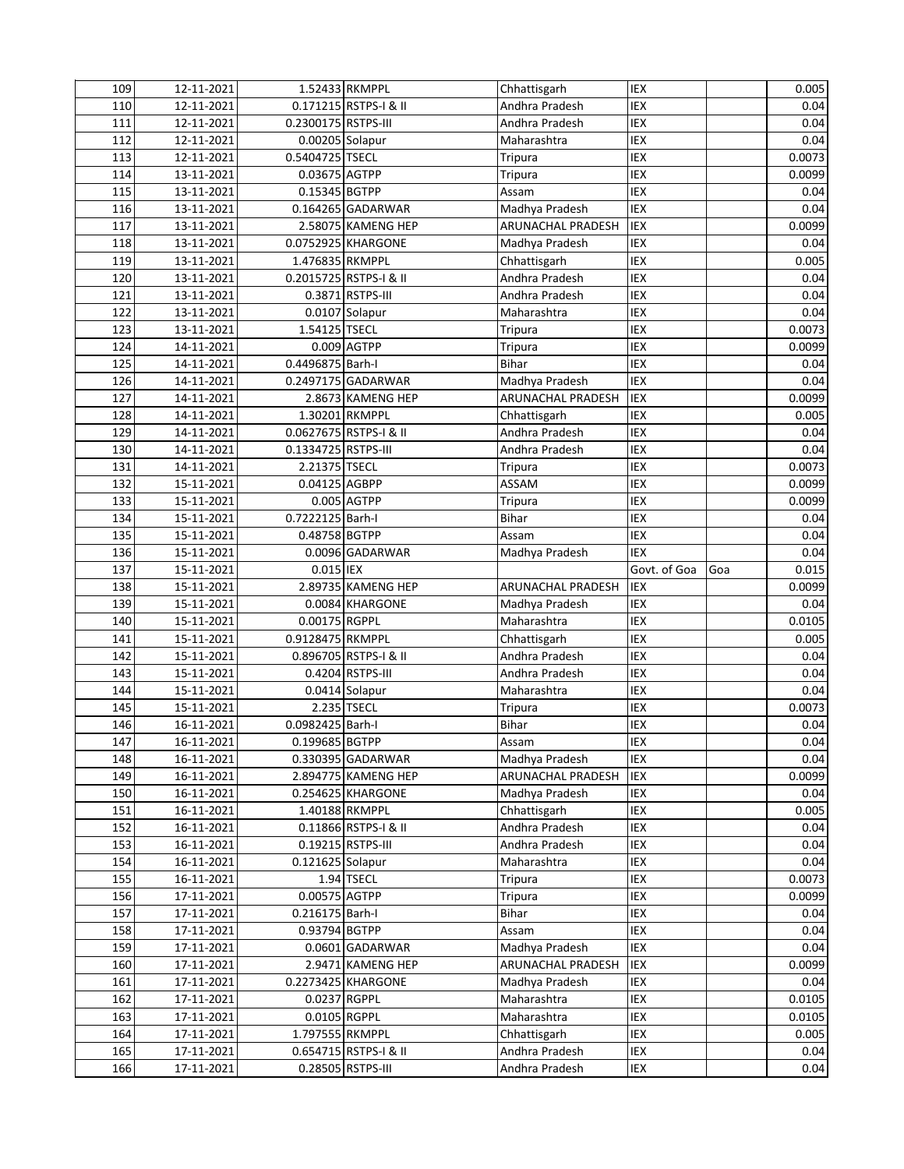| 109        | 12-11-2021               |                                  | 1.52433 RKMPPL         | Chhattisgarh             | IEX          |     | 0.005        |
|------------|--------------------------|----------------------------------|------------------------|--------------------------|--------------|-----|--------------|
| 110        | 12-11-2021               |                                  | 0.171215 RSTPS-I & II  | Andhra Pradesh           | IEX          |     | 0.04         |
| 111        | 12-11-2021               | 0.2300175 RSTPS-III              |                        | Andhra Pradesh           | IEX          |     | 0.04         |
| 112        | 12-11-2021               | 0.00205 Solapur                  |                        | Maharashtra              | IEX          |     | 0.04         |
| 113        | 12-11-2021               | 0.5404725 TSECL                  |                        | Tripura                  | IEX          |     | 0.0073       |
| 114        | 13-11-2021               | 0.03675 AGTPP                    |                        | <b>Tripura</b>           | IEX          |     | 0.0099       |
| 115        | 13-11-2021               | 0.15345 BGTPP                    |                        | Assam                    | IEX          |     | 0.04         |
| 116        | 13-11-2021               |                                  | 0.164265 GADARWAR      | Madhya Pradesh           | IEX          |     | 0.04         |
| 117        | 13-11-2021               |                                  | 2.58075 KAMENG HEP     | ARUNACHAL PRADESH        | <b>IEX</b>   |     | 0.0099       |
| 118        | 13-11-2021               |                                  | 0.0752925 KHARGONE     | Madhya Pradesh           | IEX          |     | 0.04         |
| 119        | 13-11-2021               | 1.476835 RKMPPL                  |                        | Chhattisgarh             | IEX          |     | 0.005        |
| 120        | 13-11-2021               |                                  | 0.2015725 RSTPS-I & II | Andhra Pradesh           | IEX          |     | 0.04         |
| 121        | 13-11-2021               |                                  | 0.3871 RSTPS-III       | Andhra Pradesh           | IEX          |     | 0.04         |
| 122        | 13-11-2021               |                                  | 0.0107 Solapur         | Maharashtra              | IEX          |     | 0.04         |
| 123        | 13-11-2021               | 1.54125 TSECL                    |                        | Tripura                  | IEX          |     | 0.0073       |
| 124        | 14-11-2021               |                                  | 0.009 AGTPP            | Tripura                  | IEX          |     | 0.0099       |
| 125        | 14-11-2021               | 0.4496875 Barh-I                 |                        | Bihar                    | IEX          |     | 0.04         |
| 126        | 14-11-2021               |                                  | 0.2497175 GADARWAR     | Madhya Pradesh           | IEX          |     | 0.04         |
| 127        | 14-11-2021               |                                  | 2.8673 KAMENG HEP      | ARUNACHAL PRADESH        | IEX          |     | 0.0099       |
| 128        | 14-11-2021               |                                  | 1.30201 RKMPPL         | Chhattisgarh             | IEX          |     | 0.005        |
| 129        | 14-11-2021               |                                  | 0.0627675 RSTPS-I & II | Andhra Pradesh           | IEX          |     | 0.04         |
| 130        | 14-11-2021               | 0.1334725 RSTPS-III              |                        | Andhra Pradesh           | IEX          |     | 0.04         |
| 131        | 14-11-2021               | 2.21375 TSECL                    |                        | Tripura                  | IEX          |     | 0.0073       |
| 132        | 15-11-2021               | 0.04125 AGBPP                    |                        | ASSAM                    | IEX          |     | 0.0099       |
| 133        | 15-11-2021               |                                  | 0.005 AGTPP            | Tripura                  | IEX          |     | 0.0099       |
| 134        | 15-11-2021               | 0.7222125 Barh-I                 |                        | Bihar                    | IEX          |     | 0.04         |
| 135        | 15-11-2021               | 0.48758 BGTPP                    |                        | Assam                    | IEX          |     | 0.04         |
| 136        | 15-11-2021               |                                  | 0.0096 GADARWAR        | Madhya Pradesh           | <b>IEX</b>   |     | 0.04         |
| 137        | 15-11-2021               | 0.015 IEX                        |                        |                          | Govt. of Goa | Goa | 0.015        |
| 138        | 15-11-2021               |                                  | 2.89735 KAMENG HEP     | <b>ARUNACHAL PRADESH</b> | IEX          |     | 0.0099       |
| 139        | 15-11-2021               |                                  | 0.0084 KHARGONE        | Madhya Pradesh           | IEX          |     | 0.04         |
| 140        | 15-11-2021               | 0.00175 RGPPL                    |                        | Maharashtra              | IEX          |     | 0.0105       |
| 141        | 15-11-2021               | 0.9128475 RKMPPL                 |                        | Chhattisgarh             | IEX          |     | 0.005        |
| 142        | 15-11-2021               |                                  | 0.896705 RSTPS-I & II  | Andhra Pradesh           | IEX          |     | 0.04         |
| 143        | 15-11-2021               |                                  | 0.4204 RSTPS-III       | Andhra Pradesh           | IEX          |     | 0.04         |
| 144        | 15-11-2021               |                                  | 0.0414 Solapur         | Maharashtra              | IEX          |     | 0.04         |
| 145        | 15-11-2021               |                                  | 2.235 TSECL            | Tripura                  | IEX          |     | 0.0073       |
| 146        | 16-11-2021               | 0.0982425 Barh-I                 |                        | Bihar                    | IEX          |     | 0.04         |
| 147        | 16-11-2021               | 0.199685 BGTPP                   |                        | Assam                    | IEX          |     | 0.04         |
| 148        | 16-11-2021               |                                  | 0.330395 GADARWAR      | Madhya Pradesh           | IEX          |     | 0.04         |
| 149        | 16-11-2021               |                                  | 2.894775 KAMENG HEP    | ARUNACHAL PRADESH        | IEX          |     | 0.0099       |
| 150        | 16-11-2021               |                                  | 0.254625 KHARGONE      | Madhya Pradesh           | IEX          |     | 0.04         |
| 151        | 16-11-2021               |                                  | 1.40188 RKMPPL         | Chhattisgarh             | IEX          |     | 0.005        |
| 152        | 16-11-2021               |                                  | 0.11866 RSTPS-I & II   | Andhra Pradesh           | IEX          |     | 0.04         |
| 153        | 16-11-2021               |                                  | 0.19215 RSTPS-III      | Andhra Pradesh           | IEX          |     | 0.04         |
| 154        | 16-11-2021               | 0.121625 Solapur                 |                        | Maharashtra              | IEX          |     | 0.04         |
| 155        | 16-11-2021               |                                  | 1.94 TSECL             | Tripura                  | IEX          |     | 0.0073       |
| 156        | 17-11-2021               | 0.00575 AGTPP<br>0.216175 Barh-I |                        | Tripura<br><b>Bihar</b>  | IEX          |     | 0.0099       |
| 157        | 17-11-2021               |                                  |                        |                          | IEX          |     | 0.04         |
| 158<br>159 | 17-11-2021               | 0.93794 BGTPP                    | 0.0601 GADARWAR        | Assam<br>Madhya Pradesh  | IEX<br>IEX   |     | 0.04<br>0.04 |
| 160        | 17-11-2021               |                                  | 2.9471 KAMENG HEP      | ARUNACHAL PRADESH        | IEX          |     | 0.0099       |
| 161        | 17-11-2021<br>17-11-2021 |                                  | 0.2273425 KHARGONE     | Madhya Pradesh           | IEX          |     | 0.04         |
| 162        | 17-11-2021               |                                  | 0.0237 RGPPL           | Maharashtra              | IEX          |     | 0.0105       |
| 163        | 17-11-2021               |                                  | 0.0105 RGPPL           | Maharashtra              | IEX          |     | 0.0105       |
| 164        | 17-11-2021               | 1.797555 RKMPPL                  |                        | Chhattisgarh             | IEX          |     | 0.005        |
| 165        | 17-11-2021               |                                  | 0.654715 RSTPS-I & II  | Andhra Pradesh           | IEX          |     | 0.04         |
| 166        | 17-11-2021               |                                  | 0.28505 RSTPS-III      | Andhra Pradesh           | IEX          |     | 0.04         |
|            |                          |                                  |                        |                          |              |     |              |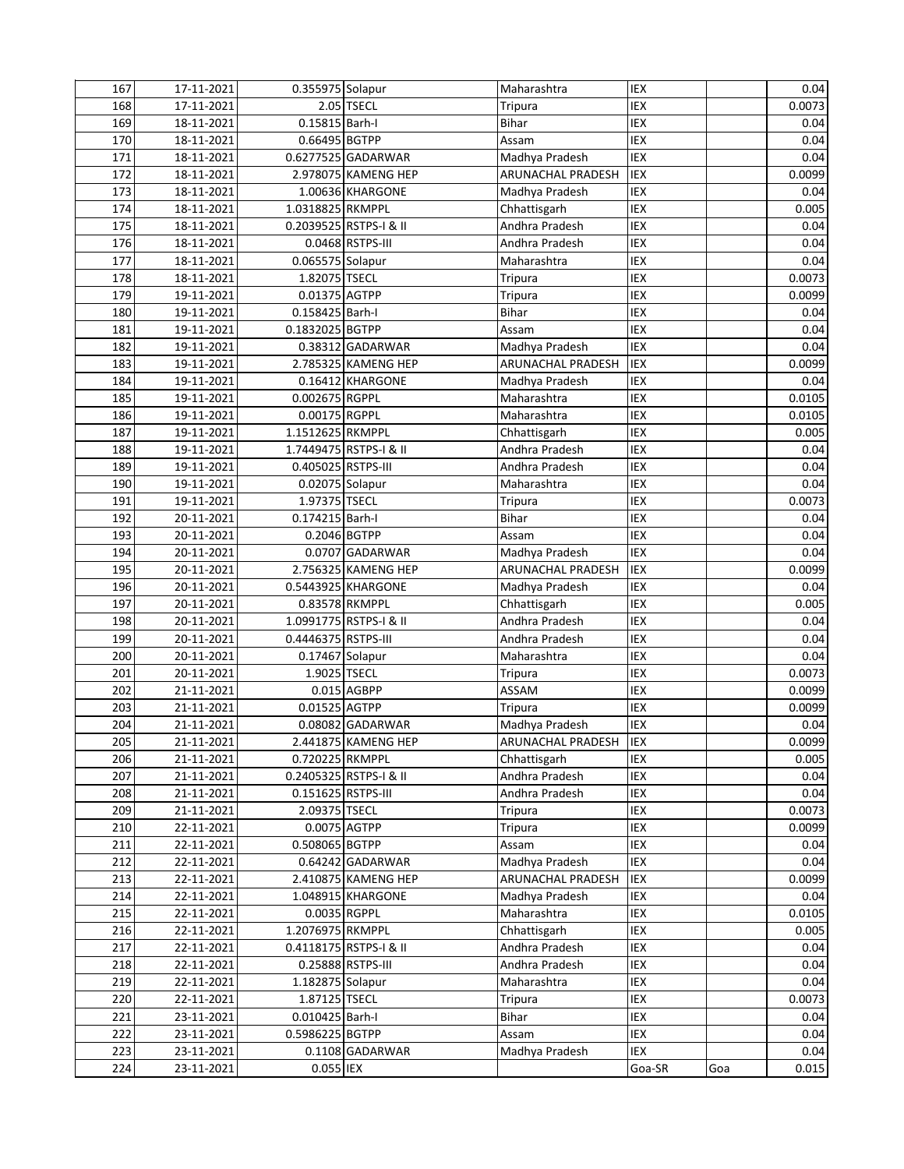| 167 | 17-11-2021 | 0.355975 Solapur    |                        | Maharashtra           | IEX        |     | 0.04   |
|-----|------------|---------------------|------------------------|-----------------------|------------|-----|--------|
| 168 | 17-11-2021 |                     | 2.05 TSECL             | Tripura               | IEX        |     | 0.0073 |
| 169 | 18-11-2021 | 0.15815 Barh-I      |                        | Bihar                 | IEX        |     | 0.04   |
| 170 | 18-11-2021 | 0.66495 BGTPP       |                        | Assam                 | IEX        |     | 0.04   |
| 171 | 18-11-2021 |                     | 0.6277525 GADARWAR     | Madhya Pradesh        | IEX        |     | 0.04   |
| 172 | 18-11-2021 |                     | 2.978075 KAMENG HEP    | ARUNACHAL PRADESH     | <b>IEX</b> |     | 0.0099 |
| 173 | 18-11-2021 |                     | 1.00636 KHARGONE       | Madhya Pradesh        | IEX        |     | 0.04   |
| 174 | 18-11-2021 | 1.0318825 RKMPPL    |                        | Chhattisgarh          | IEX        |     | 0.005  |
| 175 | 18-11-2021 |                     | 0.2039525 RSTPS-I & II | Andhra Pradesh        | <b>IEX</b> |     | 0.04   |
| 176 | 18-11-2021 |                     | 0.0468 RSTPS-III       | Andhra Pradesh        | IEX        |     | 0.04   |
| 177 | 18-11-2021 | 0.065575 Solapur    |                        | Maharashtra           | IEX        |     | 0.04   |
| 178 | 18-11-2021 | 1.82075 TSECL       |                        | Tripura               | IEX        |     | 0.0073 |
| 179 | 19-11-2021 | 0.01375 AGTPP       |                        | Tripura               | IEX        |     | 0.0099 |
| 180 | 19-11-2021 | 0.158425 Barh-I     |                        | Bihar                 | IEX        |     | 0.04   |
| 181 | 19-11-2021 | 0.1832025 BGTPP     |                        | Assam                 | IEX        |     | 0.04   |
| 182 | 19-11-2021 |                     | 0.38312 GADARWAR       | Madhya Pradesh        | IEX        |     | 0.04   |
| 183 | 19-11-2021 |                     | 2.785325 KAMENG HEP    | ARUNACHAL PRADESH     | IEX        |     | 0.0099 |
| 184 | 19-11-2021 |                     | 0.16412 KHARGONE       | Madhya Pradesh        | IEX        |     | 0.04   |
| 185 | 19-11-2021 | 0.002675 RGPPL      |                        | Maharashtra           | IEX        |     | 0.0105 |
| 186 | 19-11-2021 | 0.00175 RGPPL       |                        | Maharashtra           | IEX        |     | 0.0105 |
| 187 | 19-11-2021 | 1.1512625 RKMPPL    |                        | Chhattisgarh          | IEX        |     | 0.005  |
| 188 | 19-11-2021 |                     | 1.7449475 RSTPS-I & II | Andhra Pradesh        | IEX        |     | 0.04   |
| 189 | 19-11-2021 | 0.405025 RSTPS-III  |                        | Andhra Pradesh        | IEX        |     | 0.04   |
| 190 | 19-11-2021 | 0.02075 Solapur     |                        | Maharashtra           | IEX        |     | 0.04   |
| 191 | 19-11-2021 | 1.97375 TSECL       |                        | Tripura               | IEX        |     | 0.0073 |
| 192 | 20-11-2021 | 0.174215 Barh-I     |                        | Bihar                 | IEX        |     | 0.04   |
| 193 | 20-11-2021 | 0.2046 BGTPP        |                        | Assam                 | IEX        |     | 0.04   |
| 194 | 20-11-2021 |                     | 0.0707 GADARWAR        | Madhya Pradesh        | IEX        |     | 0.04   |
| 195 | 20-11-2021 |                     | 2.756325 KAMENG HEP    | ARUNACHAL PRADESH     | IEX        |     | 0.0099 |
| 196 | 20-11-2021 |                     | 0.5443925 KHARGONE     | Madhya Pradesh        | IEX        |     | 0.04   |
| 197 | 20-11-2021 |                     | 0.83578 RKMPPL         | Chhattisgarh          | IEX        |     | 0.005  |
| 198 | 20-11-2021 |                     | 1.0991775 RSTPS-I & II | Andhra Pradesh        | IEX        |     | 0.04   |
| 199 | 20-11-2021 | 0.4446375 RSTPS-III |                        | Andhra Pradesh        | IEX        |     | 0.04   |
| 200 | 20-11-2021 | 0.17467 Solapur     |                        | Maharashtra           | IEX        |     | 0.04   |
| 201 | 20-11-2021 | 1.9025 TSECL        |                        | <b>Tripura</b>        | IEX        |     | 0.0073 |
| 202 | 21-11-2021 |                     | 0.015 AGBPP            | ASSAM                 | IEX        |     | 0.0099 |
| 203 | 21-11-2021 | 0.01525 AGTPP       |                        | Tripura               | IEX        |     | 0.0099 |
| 204 | 21-11-2021 |                     | 0.08082 GADARWAR       | Madhya Pradesh        | <b>IEX</b> |     | 0.04   |
| 205 | 21-11-2021 |                     | 2.441875 KAMENG HEP    | ARUNACHAL PRADESH IEX |            |     | 0.0099 |
| 206 | 21-11-2021 | 0.720225 RKMPPL     |                        | Chhattisgarh          | <b>IEX</b> |     | 0.005  |
| 207 | 21-11-2021 |                     | 0.2405325 RSTPS-I & II | Andhra Pradesh        | IEX        |     | 0.04   |
| 208 | 21-11-2021 | 0.151625 RSTPS-III  |                        | Andhra Pradesh        | IEX        |     | 0.04   |
| 209 | 21-11-2021 | 2.09375 TSECL       |                        | Tripura               | IEX        |     | 0.0073 |
| 210 | 22-11-2021 |                     | 0.0075 AGTPP           | Tripura               | IEX        |     | 0.0099 |
| 211 | 22-11-2021 | 0.508065 BGTPP      |                        | Assam                 | <b>IEX</b> |     | 0.04   |
| 212 | 22-11-2021 |                     | 0.64242 GADARWAR       | Madhya Pradesh        | IEX        |     | 0.04   |
| 213 | 22-11-2021 |                     | 2.410875 KAMENG HEP    | ARUNACHAL PRADESH     | IEX        |     | 0.0099 |
| 214 | 22-11-2021 |                     | 1.048915 KHARGONE      | Madhya Pradesh        | <b>IEX</b> |     | 0.04   |
| 215 | 22-11-2021 |                     | 0.0035 RGPPL           | Maharashtra           | IEX        |     | 0.0105 |
| 216 | 22-11-2021 | 1.2076975 RKMPPL    |                        | Chhattisgarh          | IEX        |     | 0.005  |
| 217 | 22-11-2021 |                     | 0.4118175 RSTPS-I & II | Andhra Pradesh        | IEX        |     | 0.04   |
| 218 | 22-11-2021 |                     | 0.25888 RSTPS-III      | Andhra Pradesh        | IEX        |     | 0.04   |
| 219 | 22-11-2021 | 1.182875 Solapur    |                        | Maharashtra           | IEX        |     | 0.04   |
| 220 | 22-11-2021 | 1.87125 TSECL       |                        | Tripura               | IEX        |     | 0.0073 |
| 221 | 23-11-2021 | 0.010425 Barh-I     |                        | Bihar                 | IEX        |     | 0.04   |
| 222 | 23-11-2021 | 0.5986225 BGTPP     |                        | Assam                 | IEX        |     | 0.04   |
| 223 | 23-11-2021 |                     | 0.1108 GADARWAR        | Madhya Pradesh        | IEX        |     | 0.04   |
| 224 | 23-11-2021 | 0.055 IEX           |                        |                       | Goa-SR     | Goa | 0.015  |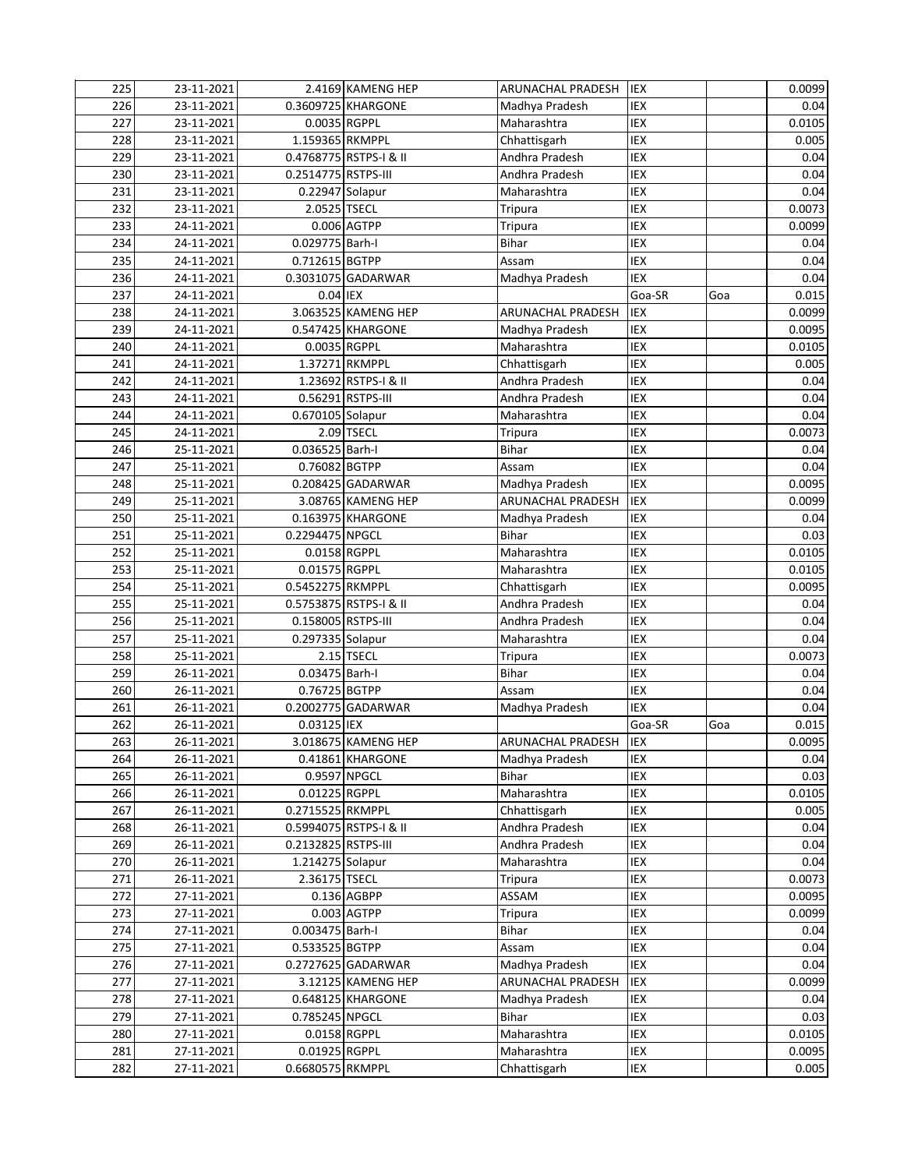| 225 | 23-11-2021 |                     | 2.4169 KAMENG HEP      | <b>ARUNACHAL PRADESH</b> | <b>IEX</b> |     | 0.0099 |
|-----|------------|---------------------|------------------------|--------------------------|------------|-----|--------|
| 226 | 23-11-2021 |                     | 0.3609725 KHARGONE     | Madhya Pradesh           | IEX        |     | 0.04   |
| 227 | 23-11-2021 | 0.0035 RGPPL        |                        | Maharashtra              | IEX        |     | 0.0105 |
| 228 | 23-11-2021 | 1.159365 RKMPPL     |                        | Chhattisgarh             | IEX        |     | 0.005  |
| 229 | 23-11-2021 |                     | 0.4768775 RSTPS-I & II | Andhra Pradesh           | IEX        |     | 0.04   |
| 230 | 23-11-2021 | 0.2514775 RSTPS-III |                        | Andhra Pradesh           | IEX        |     | 0.04   |
| 231 | 23-11-2021 | 0.22947 Solapur     |                        | Maharashtra              | IEX        |     | 0.04   |
| 232 | 23-11-2021 | 2.0525 TSECL        |                        | Tripura                  | IEX        |     | 0.0073 |
| 233 | 24-11-2021 |                     | 0.006 AGTPP            | Tripura                  | IEX        |     | 0.0099 |
| 234 | 24-11-2021 | 0.029775 Barh-I     |                        | Bihar                    | IEX        |     | 0.04   |
| 235 | 24-11-2021 | 0.712615 BGTPP      |                        | Assam                    | IEX        |     | 0.04   |
| 236 | 24-11-2021 |                     | 0.3031075 GADARWAR     | Madhya Pradesh           | IEX        |     | 0.04   |
| 237 | 24-11-2021 | 0.04 IEX            |                        |                          | Goa-SR     | Goa | 0.015  |
| 238 | 24-11-2021 |                     | 3.063525 KAMENG HEP    | ARUNACHAL PRADESH        | <b>IEX</b> |     | 0.0099 |
| 239 | 24-11-2021 |                     | 0.547425 KHARGONE      | Madhya Pradesh           | IEX        |     | 0.0095 |
| 240 | 24-11-2021 | 0.0035 RGPPL        |                        | Maharashtra              | IEX        |     | 0.0105 |
| 241 | 24-11-2021 |                     | 1.37271 RKMPPL         | Chhattisgarh             | IEX        |     | 0.005  |
| 242 | 24-11-2021 |                     | 1.23692 RSTPS-I & II   | Andhra Pradesh           | IEX        |     | 0.04   |
| 243 | 24-11-2021 |                     | 0.56291 RSTPS-III      | Andhra Pradesh           | IEX        |     | 0.04   |
| 244 | 24-11-2021 | 0.670105 Solapur    |                        | Maharashtra              | IEX        |     | 0.04   |
| 245 | 24-11-2021 |                     | 2.09 TSECL             | <b>Tripura</b>           | IEX        |     | 0.0073 |
| 246 | 25-11-2021 | 0.036525 Barh-I     |                        | Bihar                    | IEX        |     | 0.04   |
| 247 | 25-11-2021 | 0.76082 BGTPP       |                        | Assam                    | IEX        |     | 0.04   |
| 248 | 25-11-2021 |                     | 0.208425 GADARWAR      | Madhya Pradesh           | IEX        |     | 0.0095 |
| 249 | 25-11-2021 |                     | 3.08765 KAMENG HEP     | ARUNACHAL PRADESH        | <b>IEX</b> |     | 0.0099 |
| 250 | 25-11-2021 |                     | 0.163975 KHARGONE      | Madhya Pradesh           | IEX        |     | 0.04   |
| 251 | 25-11-2021 | 0.2294475 NPGCL     |                        | Bihar                    | IEX        |     | 0.03   |
| 252 | 25-11-2021 |                     | 0.0158 RGPPL           | Maharashtra              | IEX        |     | 0.0105 |
| 253 | 25-11-2021 | 0.01575 RGPPL       |                        | Maharashtra              | IEX        |     | 0.0105 |
| 254 | 25-11-2021 | 0.5452275 RKMPPL    |                        | Chhattisgarh             | IEX        |     | 0.0095 |
| 255 | 25-11-2021 |                     | 0.5753875 RSTPS-I & II | Andhra Pradesh           | IEX        |     | 0.04   |
| 256 | 25-11-2021 | 0.158005 RSTPS-III  |                        | Andhra Pradesh           | IEX        |     | 0.04   |
| 257 | 25-11-2021 | 0.297335 Solapur    |                        | Maharashtra              | IEX        |     | 0.04   |
| 258 | 25-11-2021 |                     | 2.15 TSECL             | <b>Tripura</b>           | IEX        |     | 0.0073 |
| 259 | 26-11-2021 | 0.03475 Barh-I      |                        | Bihar                    | IEX        |     | 0.04   |
| 260 | 26-11-2021 | 0.76725 BGTPP       |                        | Assam                    | IEX        |     | 0.04   |
| 261 | 26-11-2021 |                     | 0.2002775 GADARWAR     | Madhya Pradesh           | <b>IEX</b> |     | 0.04   |
| 262 | 26-11-2021 | 0.03125 IEX         |                        |                          | Goa-SR     | Goa | 0.015  |
| 263 | 26-11-2021 |                     | 3.018675 KAMENG HEP    | ARUNACHAL PRADESH IEX    |            |     | 0.0095 |
| 264 | 26-11-2021 |                     | 0.41861 KHARGONE       | Madhya Pradesh           | IEX        |     | 0.04   |
| 265 | 26-11-2021 | 0.9597 NPGCL        |                        | Bihar                    | IEX        |     | 0.03   |
| 266 | 26-11-2021 | 0.01225 RGPPL       |                        | Maharashtra              | IEX        |     | 0.0105 |
| 267 | 26-11-2021 | 0.2715525 RKMPPL    |                        | Chhattisgarh             | IEX        |     | 0.005  |
| 268 | 26-11-2021 |                     | 0.5994075 RSTPS-I & II | Andhra Pradesh           | IEX        |     | 0.04   |
| 269 | 26-11-2021 | 0.2132825 RSTPS-III |                        | Andhra Pradesh           | IEX        |     | 0.04   |
| 270 | 26-11-2021 | 1.214275 Solapur    |                        | Maharashtra              | IEX        |     | 0.04   |
| 271 | 26-11-2021 | 2.36175 TSECL       |                        | Tripura                  | IEX        |     | 0.0073 |
| 272 | 27-11-2021 |                     | $0.136$ AGBPP          | ASSAM                    | IEX        |     | 0.0095 |
| 273 | 27-11-2021 |                     | $0.003$ $AGTPP$        | Tripura                  | IEX        |     | 0.0099 |
| 274 | 27-11-2021 | 0.003475 Barh-I     |                        | Bihar                    | IEX        |     | 0.04   |
| 275 | 27-11-2021 | 0.533525 BGTPP      |                        | Assam                    | IEX        |     | 0.04   |
| 276 | 27-11-2021 |                     | 0.2727625 GADARWAR     | Madhya Pradesh           | <b>IEX</b> |     | 0.04   |
| 277 | 27-11-2021 |                     | 3.12125 KAMENG HEP     | ARUNACHAL PRADESH        | IEX        |     | 0.0099 |
| 278 | 27-11-2021 |                     | 0.648125 KHARGONE      | Madhya Pradesh           | IEX        |     | 0.04   |
| 279 | 27-11-2021 | 0.785245 NPGCL      |                        | Bihar                    | <b>IEX</b> |     | 0.03   |
| 280 | 27-11-2021 |                     | 0.0158 RGPPL           | Maharashtra              | <b>IEX</b> |     | 0.0105 |
| 281 | 27-11-2021 | 0.01925 RGPPL       |                        | Maharashtra              | <b>IEX</b> |     | 0.0095 |
| 282 | 27-11-2021 | 0.6680575 RKMPPL    |                        | Chhattisgarh             | IEX        |     | 0.005  |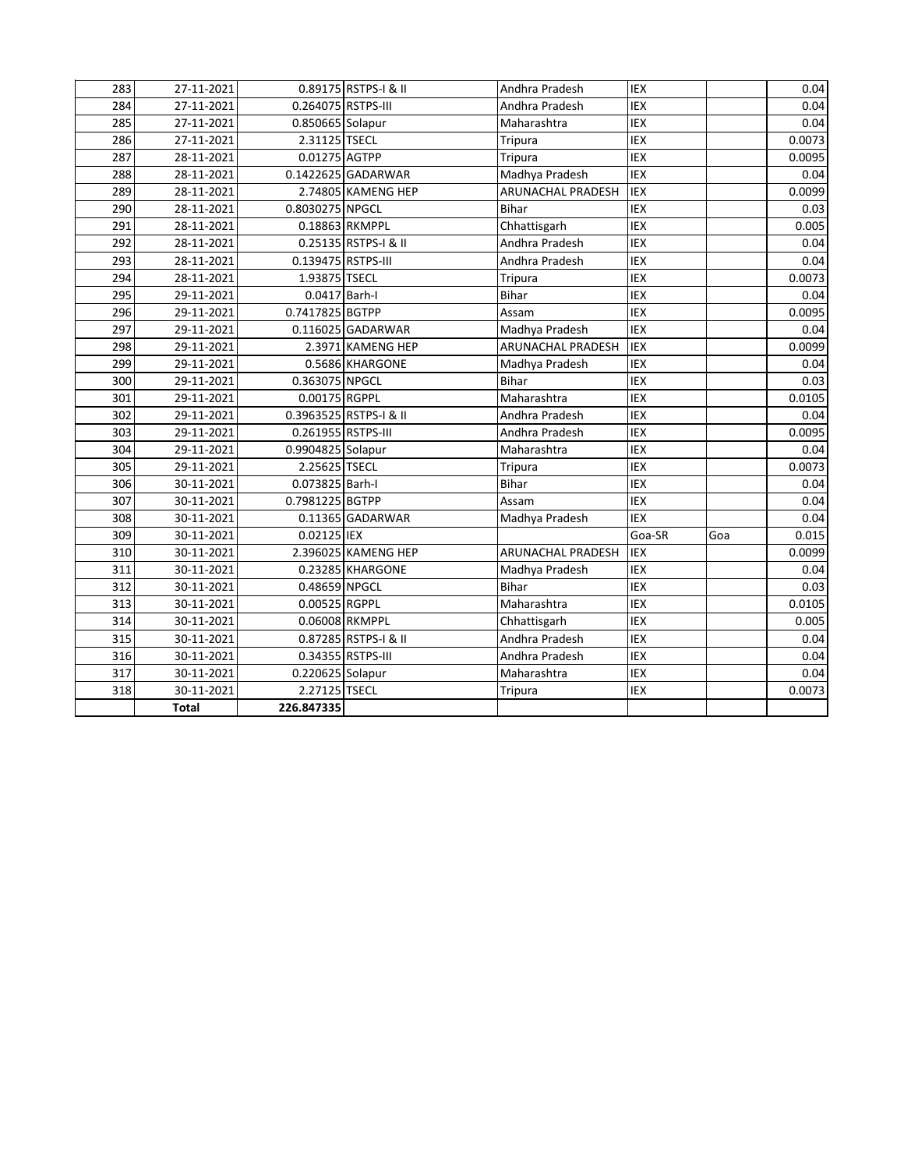| 283 | 27-11-2021   |                    | 0.89175 RSTPS-1 & II   | Andhra Pradesh           | <b>IEX</b> |     | 0.04   |
|-----|--------------|--------------------|------------------------|--------------------------|------------|-----|--------|
| 284 | 27-11-2021   | 0.264075 RSTPS-III |                        | Andhra Pradesh           | <b>IEX</b> |     | 0.04   |
| 285 | 27-11-2021   | 0.850665 Solapur   |                        | Maharashtra              | <b>IEX</b> |     | 0.04   |
| 286 | 27-11-2021   | 2.31125 TSECL      |                        | Tripura                  | <b>IEX</b> |     | 0.0073 |
| 287 | 28-11-2021   | 0.01275 AGTPP      |                        | Tripura                  | <b>IEX</b> |     | 0.0095 |
| 288 | 28-11-2021   |                    | 0.1422625 GADARWAR     | Madhya Pradesh           | IEX        |     | 0.04   |
| 289 | 28-11-2021   |                    | 2.74805 KAMENG HEP     | <b>ARUNACHAL PRADESH</b> | IEX        |     | 0.0099 |
| 290 | 28-11-2021   | 0.8030275 NPGCL    |                        | <b>Bihar</b>             | IEX        |     | 0.03   |
| 291 | 28-11-2021   |                    | 0.18863 RKMPPL         | Chhattisgarh             | <b>IEX</b> |     | 0.005  |
| 292 | 28-11-2021   |                    | 0.25135 RSTPS-I & II   | Andhra Pradesh           | <b>IEX</b> |     | 0.04   |
| 293 | 28-11-2021   | 0.139475 RSTPS-III |                        | Andhra Pradesh           | IEX        |     | 0.04   |
| 294 | 28-11-2021   | 1.93875 TSECL      |                        | Tripura                  | IEX        |     | 0.0073 |
| 295 | 29-11-2021   | 0.0417 Barh-I      |                        | Bihar                    | IEX        |     | 0.04   |
| 296 | 29-11-2021   | 0.7417825 BGTPP    |                        | Assam                    | IEX        |     | 0.0095 |
| 297 | 29-11-2021   |                    | 0.116025 GADARWAR      | Madhya Pradesh           | IEX        |     | 0.04   |
| 298 | 29-11-2021   |                    | 2.3971 KAMENG HEP      | <b>ARUNACHAL PRADESH</b> | IEX        |     | 0.0099 |
| 299 | 29-11-2021   |                    | 0.5686 KHARGONE        | Madhya Pradesh           | <b>IEX</b> |     | 0.04   |
| 300 | 29-11-2021   | 0.363075 NPGCL     |                        | <b>Bihar</b>             | IEX        |     | 0.03   |
| 301 | 29-11-2021   | 0.00175 RGPPL      |                        | Maharashtra              | IEX        |     | 0.0105 |
| 302 | 29-11-2021   |                    | 0.3963525 RSTPS-I & II | Andhra Pradesh           | <b>IEX</b> |     | 0.04   |
| 303 | 29-11-2021   | 0.261955 RSTPS-III |                        | Andhra Pradesh           | IEX        |     | 0.0095 |
| 304 | 29-11-2021   | 0.9904825 Solapur  |                        | Maharashtra              | IEX        |     | 0.04   |
| 305 | 29-11-2021   | 2.25625 TSECL      |                        | Tripura                  | IEX        |     | 0.0073 |
| 306 | 30-11-2021   | 0.073825 Barh-I    |                        | <b>Bihar</b>             | IEX        |     | 0.04   |
| 307 | 30-11-2021   | 0.7981225 BGTPP    |                        | Assam                    | <b>IEX</b> |     | 0.04   |
| 308 | 30-11-2021   |                    | 0.11365 GADARWAR       | Madhya Pradesh           | <b>IEX</b> |     | 0.04   |
| 309 | 30-11-2021   | 0.02125 IEX        |                        |                          | Goa-SR     | Goa | 0.015  |
| 310 | 30-11-2021   |                    | 2.396025 KAMENG HEP    | ARUNACHAL PRADESH        | <b>IEX</b> |     | 0.0099 |
| 311 | 30-11-2021   |                    | 0.23285 KHARGONE       | Madhya Pradesh           | IEX        |     | 0.04   |
| 312 | 30-11-2021   | 0.48659 NPGCL      |                        | <b>Bihar</b>             | <b>IEX</b> |     | 0.03   |
| 313 | 30-11-2021   | 0.00525 RGPPL      |                        | Maharashtra              | IEX        |     | 0.0105 |
| 314 | 30-11-2021   |                    | 0.06008 RKMPPL         | Chhattisgarh             | <b>IEX</b> |     | 0.005  |
| 315 | 30-11-2021   |                    | 0.87285 RSTPS-I & II   | Andhra Pradesh           | <b>IEX</b> |     | 0.04   |
| 316 | 30-11-2021   |                    | 0.34355 RSTPS-III      | Andhra Pradesh           | <b>IEX</b> |     | 0.04   |
| 317 | 30-11-2021   | 0.220625 Solapur   |                        | Maharashtra              | <b>IEX</b> |     | 0.04   |
| 318 | 30-11-2021   | 2.27125 TSECL      |                        | <b>Tripura</b>           | IEX        |     | 0.0073 |
|     | <b>Total</b> | 226.847335         |                        |                          |            |     |        |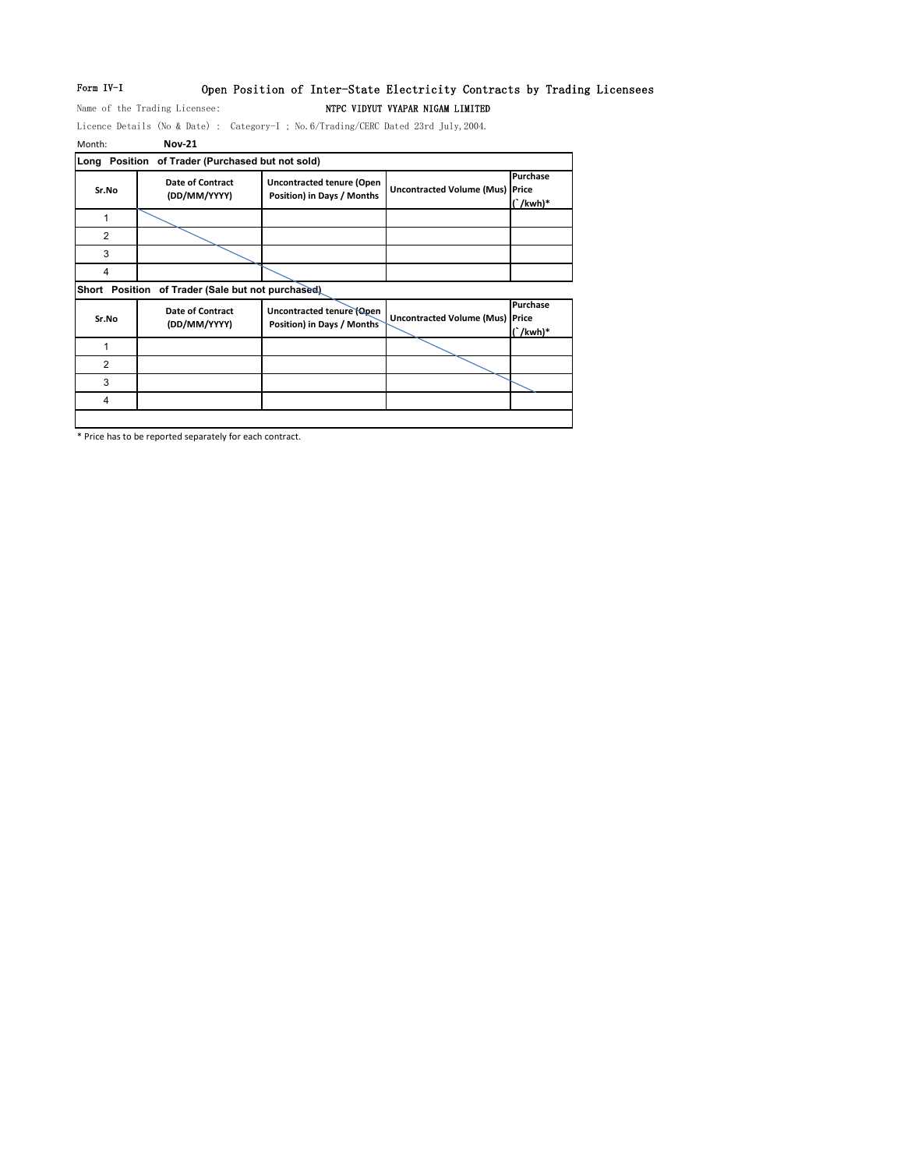# Form IV-I Open Position of Inter-State Electricity Contracts by Trading Licensees Name of the Trading Licensee: NTPC VIDYUT VYAPAR NIGAM LIMITED

Licence Details (No & Date) : Category-I ; No.6/Trading/CERC Dated 23rd July,2004.

| Month:         | <b>Nov-21</b>                               |                                                                |                                        |                           |
|----------------|---------------------------------------------|----------------------------------------------------------------|----------------------------------------|---------------------------|
| Long           | Position of Trader (Purchased but not sold) |                                                                |                                        |                           |
| Sr.No          | Date of Contract<br>(DD/MM/YYYY)            | <b>Uncontracted tenure (Open</b><br>Position) in Days / Months | <b>Uncontracted Volume (Mus) Price</b> | Purchase<br>$\int$ /kwh)* |
| $\mathbf{1}$   |                                             |                                                                |                                        |                           |
| $\overline{2}$ |                                             |                                                                |                                        |                           |
| 3              |                                             |                                                                |                                        |                           |
| 4              |                                             |                                                                |                                        |                           |
| Short Position | of Trader (Sale but not purchased)          |                                                                |                                        |                           |
| Sr.No          | <b>Date of Contract</b><br>(DD/MM/YYYY)     | Uncontracted tenure (Open<br>Position) in Days / Months        | <b>Uncontracted Volume (Mus) Price</b> | Purchase<br>$\int$ /kwh)* |
| 1              |                                             |                                                                |                                        |                           |
| $\overline{2}$ |                                             |                                                                |                                        |                           |
| 3              |                                             |                                                                |                                        |                           |
|                |                                             |                                                                |                                        |                           |

\* Price has to be reported separately for each contract.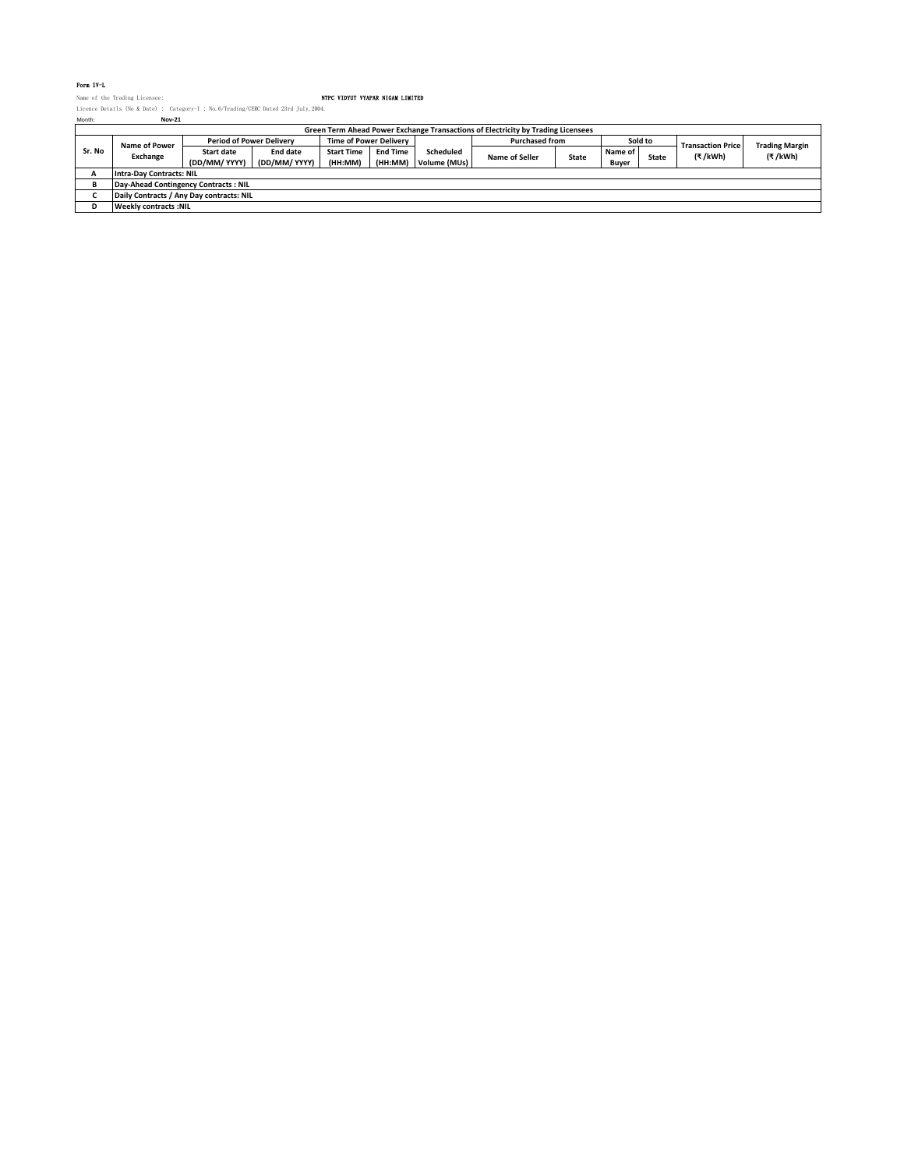### Form IV-L

Name of the Trading Licensee: NTPC VIDYUT VYAPAR NIGAM LIMITED Licence Details (No & Date) : Category-I ; No.6/Trading/CERC Dated 23rd July,2004. Month: **Nov-21**

| Month: | <b>Nov-21</b>                                                                    |                                 |                 |                               |                 |              |                       |              |         |              |                          |                       |
|--------|----------------------------------------------------------------------------------|---------------------------------|-----------------|-------------------------------|-----------------|--------------|-----------------------|--------------|---------|--------------|--------------------------|-----------------------|
|        | Green Term Ahead Power Exchange Transactions of Electricity by Trading Licensees |                                 |                 |                               |                 |              |                       |              |         |              |                          |                       |
| Sr. No | Name of Power<br>Exchange                                                        | <b>Period of Power Delivery</b> |                 | <b>Time of Power Delivery</b> |                 |              | <b>Purchased from</b> |              | Sold to |              | <b>Transaction Price</b> | <b>Trading Margin</b> |
|        |                                                                                  | <b>Start date</b>               | <b>End date</b> | <b>Start Time</b>             | <b>End Time</b> | Scheduled    | <b>Name of Seller</b> | <b>State</b> | Name of | <b>State</b> | (₹/kWh)                  | (₹/kWh)               |
|        |                                                                                  | (DD/MM/ YYYY)                   | (DD/MM/ YYYY)   | (HH:MM)                       | (HH:MM)         | Volume (MUs) |                       |              | Buver   |              |                          |                       |
|        | <b>Intra-Day Contracts: NIL</b>                                                  |                                 |                 |                               |                 |              |                       |              |         |              |                          |                       |
|        | Day-Ahead Contingency Contracts: NIL                                             |                                 |                 |                               |                 |              |                       |              |         |              |                          |                       |
|        | Daily Contracts / Any Day contracts: NIL                                         |                                 |                 |                               |                 |              |                       |              |         |              |                          |                       |
|        | Weekly contracts :NIL                                                            |                                 |                 |                               |                 |              |                       |              |         |              |                          |                       |